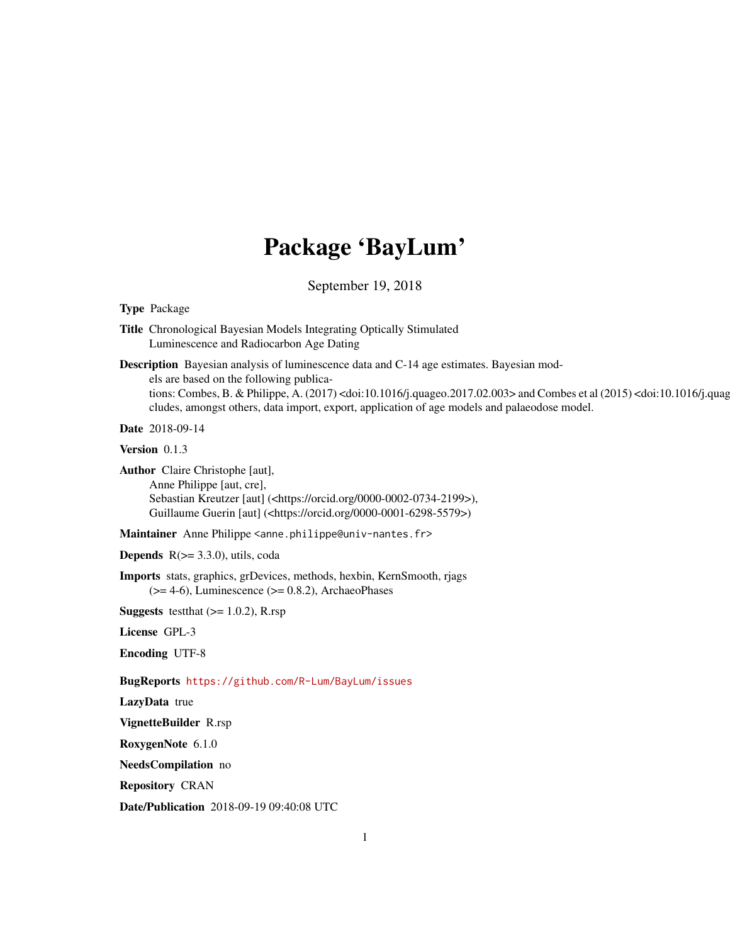# Package 'BayLum'

September 19, 2018

<span id="page-0-0"></span>Type Package

Title Chronological Bayesian Models Integrating Optically Stimulated Luminescence and Radiocarbon Age Dating

Description Bayesian analysis of luminescence data and C-14 age estimates. Bayesian models are based on the following publications: Combes, B. & Philippe, A. (2017) <doi:10.1016/j.quageo.2017.02.003> and Combes et al (2015) <doi:10.1016/j.quag cludes, amongst others, data import, export, application of age models and palaeodose model.

Date 2018-09-14

Version 0.1.3

Author Claire Christophe [aut], Anne Philippe [aut, cre], Sebastian Kreutzer [aut] (<https://orcid.org/0000-0002-0734-2199>), Guillaume Guerin [aut] (<https://orcid.org/0000-0001-6298-5579>)

Maintainer Anne Philippe <anne.philippe@univ-nantes.fr>

**Depends**  $R$ ( $>=$  3.3.0), utils, coda

Imports stats, graphics, grDevices, methods, hexbin, KernSmooth, rjags  $(>= 4-6)$ , Luminescence  $(>= 0.8.2)$ , ArchaeoPhases

**Suggests** testthat  $(>= 1.0.2)$ , R.rsp

License GPL-3

Encoding UTF-8

BugReports <https://github.com/R-Lum/BayLum/issues>

LazyData true

VignetteBuilder R.rsp

RoxygenNote 6.1.0

NeedsCompilation no

Repository CRAN

Date/Publication 2018-09-19 09:40:08 UTC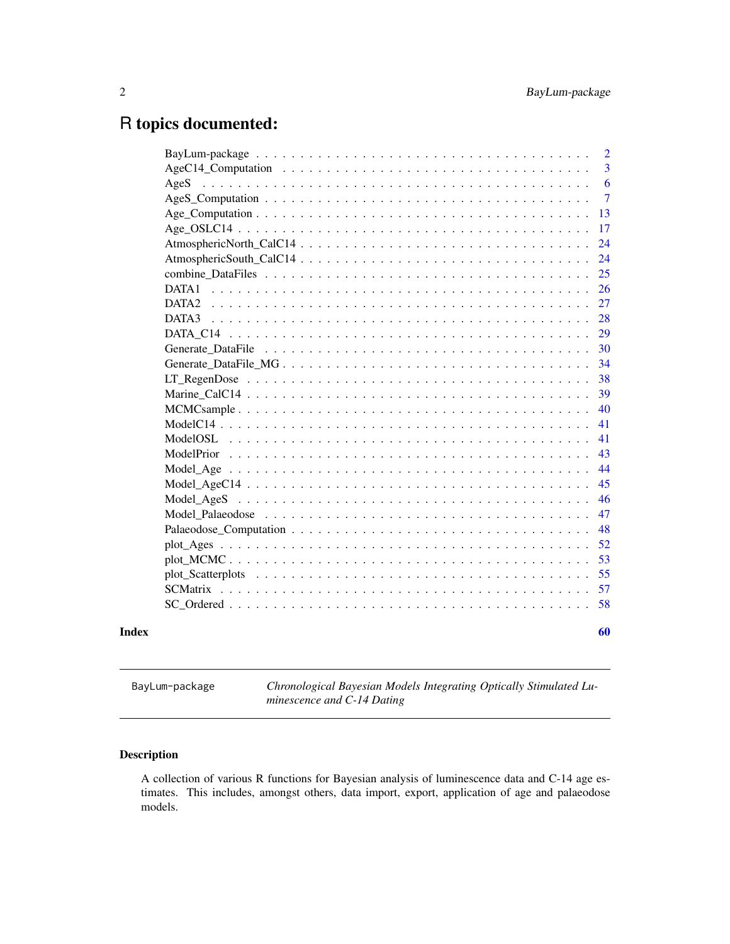## <span id="page-1-0"></span>R topics documented:

|            |  |  |  |  |  |  |  |  |  |  |  |  | $\overline{2}$ |
|------------|--|--|--|--|--|--|--|--|--|--|--|--|----------------|
|            |  |  |  |  |  |  |  |  |  |  |  |  | 3              |
| AgeS       |  |  |  |  |  |  |  |  |  |  |  |  | 6              |
|            |  |  |  |  |  |  |  |  |  |  |  |  | $\overline{7}$ |
|            |  |  |  |  |  |  |  |  |  |  |  |  | 13             |
|            |  |  |  |  |  |  |  |  |  |  |  |  | 17             |
|            |  |  |  |  |  |  |  |  |  |  |  |  | 24             |
|            |  |  |  |  |  |  |  |  |  |  |  |  | 24             |
|            |  |  |  |  |  |  |  |  |  |  |  |  | 25             |
| DATA1      |  |  |  |  |  |  |  |  |  |  |  |  | 26             |
|            |  |  |  |  |  |  |  |  |  |  |  |  | 27             |
|            |  |  |  |  |  |  |  |  |  |  |  |  | 28             |
|            |  |  |  |  |  |  |  |  |  |  |  |  | 29             |
|            |  |  |  |  |  |  |  |  |  |  |  |  | 30             |
|            |  |  |  |  |  |  |  |  |  |  |  |  | 34             |
|            |  |  |  |  |  |  |  |  |  |  |  |  | 38             |
|            |  |  |  |  |  |  |  |  |  |  |  |  | 39             |
|            |  |  |  |  |  |  |  |  |  |  |  |  | 40             |
|            |  |  |  |  |  |  |  |  |  |  |  |  | 41             |
| ModelOSL   |  |  |  |  |  |  |  |  |  |  |  |  | 41             |
| ModelPrior |  |  |  |  |  |  |  |  |  |  |  |  | 43             |
|            |  |  |  |  |  |  |  |  |  |  |  |  | 44             |
|            |  |  |  |  |  |  |  |  |  |  |  |  | 45             |
|            |  |  |  |  |  |  |  |  |  |  |  |  | 46             |
|            |  |  |  |  |  |  |  |  |  |  |  |  | 47             |
|            |  |  |  |  |  |  |  |  |  |  |  |  | 48             |
|            |  |  |  |  |  |  |  |  |  |  |  |  | 52             |
|            |  |  |  |  |  |  |  |  |  |  |  |  | 53             |
|            |  |  |  |  |  |  |  |  |  |  |  |  | 55             |
|            |  |  |  |  |  |  |  |  |  |  |  |  | 57             |
|            |  |  |  |  |  |  |  |  |  |  |  |  | 58             |
|            |  |  |  |  |  |  |  |  |  |  |  |  |                |
|            |  |  |  |  |  |  |  |  |  |  |  |  | 60             |

BayLum-package *Chronological Bayesian Models Integrating Optically Stimulated Luminescence and C-14 Dating*

## Description

A collection of various R functions for Bayesian analysis of luminescence data and C-14 age estimates. This includes, amongst others, data import, export, application of age and palaeodose models.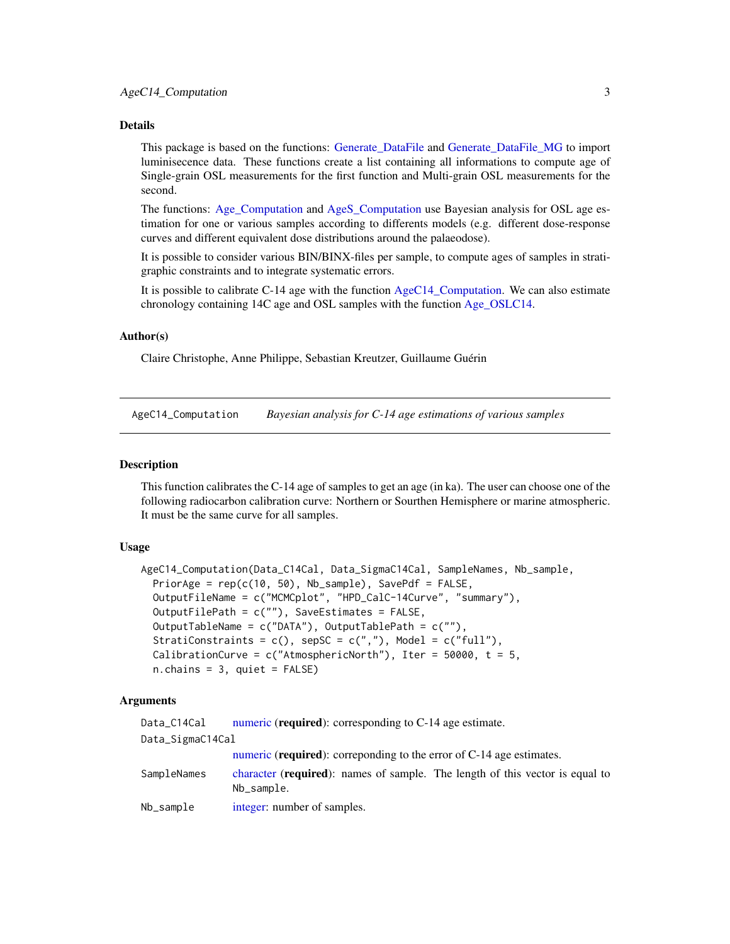## <span id="page-2-0"></span>Details

This package is based on the functions: Generate DataFile and Generate DataFile MG to import luminisecence data. These functions create a list containing all informations to compute age of Single-grain OSL measurements for the first function and Multi-grain OSL measurements for the second.

The functions: [Age\\_Computation](#page-12-1) and [AgeS\\_Computation](#page-6-1) use Bayesian analysis for OSL age estimation for one or various samples according to differents models (e.g. different dose-response curves and different equivalent dose distributions around the palaeodose).

It is possible to consider various BIN/BINX-files per sample, to compute ages of samples in stratigraphic constraints and to integrate systematic errors.

It is possible to calibrate C-14 age with the function  $AgeC14$  Computation. We can also estimate chronology containing 14C age and OSL samples with the function [Age\\_OSLC14.](#page-16-1)

### Author(s)

Claire Christophe, Anne Philippe, Sebastian Kreutzer, Guillaume Guérin

<span id="page-2-1"></span>AgeC14\_Computation *Bayesian analysis for C-14 age estimations of various samples*

#### Description

This function calibrates the C-14 age of samples to get an age (in ka). The user can choose one of the following radiocarbon calibration curve: Northern or Sourthen Hemisphere or marine atmospheric. It must be the same curve for all samples.

#### Usage

```
AgeC14_Computation(Data_C14Cal, Data_SigmaC14Cal, SampleNames, Nb_sample,
 PriorAge = rep(c(10, 50), Nb_sample), SavePdf = FALSE,
  OutputFileName = c("MCMCplot", "HPD_CalC-14Curve", "summary"),
 OutputFilePath = c(""), SaveEstimates = FALSE,
  OutputTableName = c("DATA"), OutputTablePath = c(""),
  StratiConstraints = c(), sepSC = c(","), Model = c("full"),
  CalibrationCurve = c("AtmosphericNorth"), Iter = 50000, t = 5,
  n.chains = 3, quiet = FALSE)
```
## Arguments

| Data_C14Cal      | numeric (required): corresponding to C-14 age estimate.                                             |
|------------------|-----------------------------------------------------------------------------------------------------|
| Data_SigmaC14Cal |                                                                                                     |
|                  | numeric ( <b>required</b> ): corresponding to the error of C-14 age estimates.                      |
| SampleNames      | character ( <b>required</b> ): names of sample. The length of this vector is equal to<br>Nb_sample. |
| Nb_sample        | integer: number of samples.                                                                         |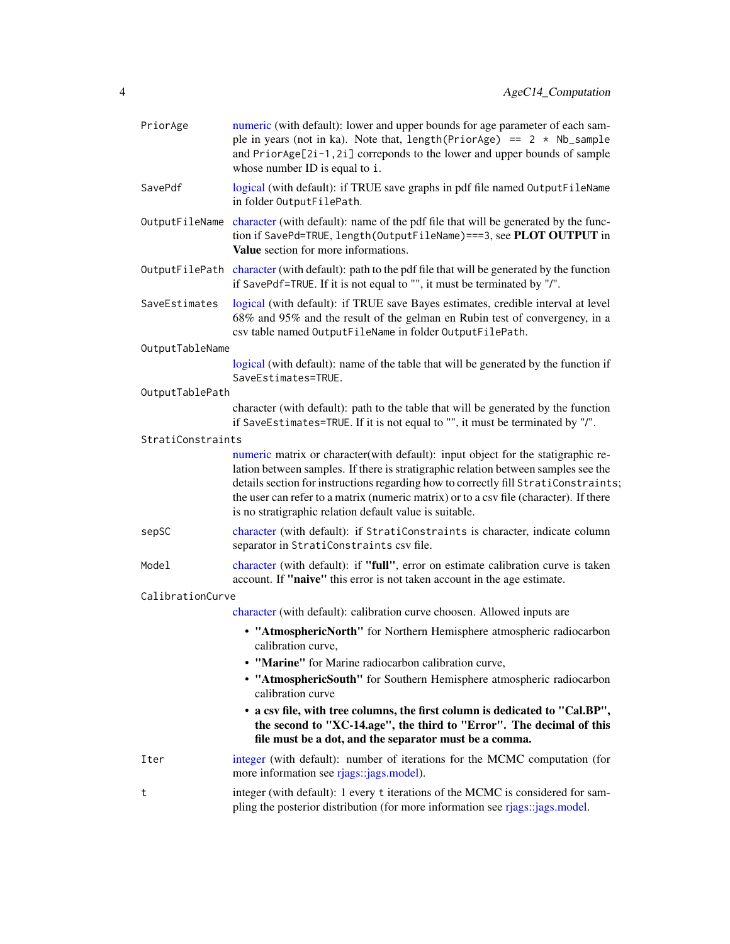<span id="page-3-0"></span>

| PriorAge          | numeric (with default): lower and upper bounds for age parameter of each sam-<br>ple in years (not in ka). Note that, $length(Priority \geq) == 2 * Nb\_sample$<br>and PriorAge[2i-1,2i] correponds to the lower and upper bounds of sample<br>whose number ID is equal to i.                                                                                                                                      |
|-------------------|--------------------------------------------------------------------------------------------------------------------------------------------------------------------------------------------------------------------------------------------------------------------------------------------------------------------------------------------------------------------------------------------------------------------|
| SavePdf           | logical (with default): if TRUE save graphs in pdf file named OutputFileName<br>in folder OutputFilePath.                                                                                                                                                                                                                                                                                                          |
|                   | OutputFileName character (with default): name of the pdf file that will be generated by the func-<br>tion if SavePd=TRUE, length(OutputFileName) === 3, see PLOT OUTPUT in<br>Value section for more informations.                                                                                                                                                                                                 |
|                   | OutputFilePath character (with default): path to the pdf file that will be generated by the function<br>if SavePdf=TRUE. If it is not equal to "", it must be terminated by "/".                                                                                                                                                                                                                                   |
| SaveEstimates     | logical (with default): if TRUE save Bayes estimates, credible interval at level<br>68% and 95% and the result of the gelman en Rubin test of convergency, in a<br>csv table named OutputFileName in folder OutputFilePath.                                                                                                                                                                                        |
| OutputTableName   |                                                                                                                                                                                                                                                                                                                                                                                                                    |
|                   | logical (with default): name of the table that will be generated by the function if<br>SaveEstimates=TRUE.                                                                                                                                                                                                                                                                                                         |
| OutputTablePath   |                                                                                                                                                                                                                                                                                                                                                                                                                    |
|                   | character (with default): path to the table that will be generated by the function<br>if SaveEstimates=TRUE. If it is not equal to "", it must be terminated by "/".                                                                                                                                                                                                                                               |
| StratiConstraints |                                                                                                                                                                                                                                                                                                                                                                                                                    |
|                   | numeric matrix or character(with default): input object for the statigraphic re-<br>lation between samples. If there is stratigraphic relation between samples see the<br>details section for instructions regarding how to correctly fill StratiConstraints;<br>the user can refer to a matrix (numeric matrix) or to a csv file (character). If there<br>is no stratigraphic relation default value is suitable. |
| sepSC             | character (with default): if StratiConstraints is character, indicate column<br>separator in StratiConstraints csv file.                                                                                                                                                                                                                                                                                           |
| Model             | character (with default): if "full", error on estimate calibration curve is taken<br>account. If "naive" this error is not taken account in the age estimate.                                                                                                                                                                                                                                                      |
| CalibrationCurve  |                                                                                                                                                                                                                                                                                                                                                                                                                    |
|                   | character (with default): calibration curve choosen. Allowed inputs are                                                                                                                                                                                                                                                                                                                                            |
|                   | • "AtmosphericNorth" for Northern Hemisphere atmospheric radiocarbon<br>calibration curve,                                                                                                                                                                                                                                                                                                                         |
|                   | • "Marine" for Marine radiocarbon calibration curve,                                                                                                                                                                                                                                                                                                                                                               |
|                   | • "AtmosphericSouth" for Southern Hemisphere atmospheric radiocarbon<br>calibration curve                                                                                                                                                                                                                                                                                                                          |
|                   | • a csv file, with tree columns, the first column is dedicated to "Cal.BP",<br>the second to "XC-14.age", the third to "Error". The decimal of this<br>file must be a dot, and the separator must be a comma.                                                                                                                                                                                                      |
| Iter              | integer (with default): number of iterations for the MCMC computation (for<br>more information see rjags::jags.model).                                                                                                                                                                                                                                                                                             |
| t                 | integer (with default): 1 every t iterations of the MCMC is considered for sam-<br>pling the posterior distribution (for more information see rjags::jags.model.                                                                                                                                                                                                                                                   |
|                   |                                                                                                                                                                                                                                                                                                                                                                                                                    |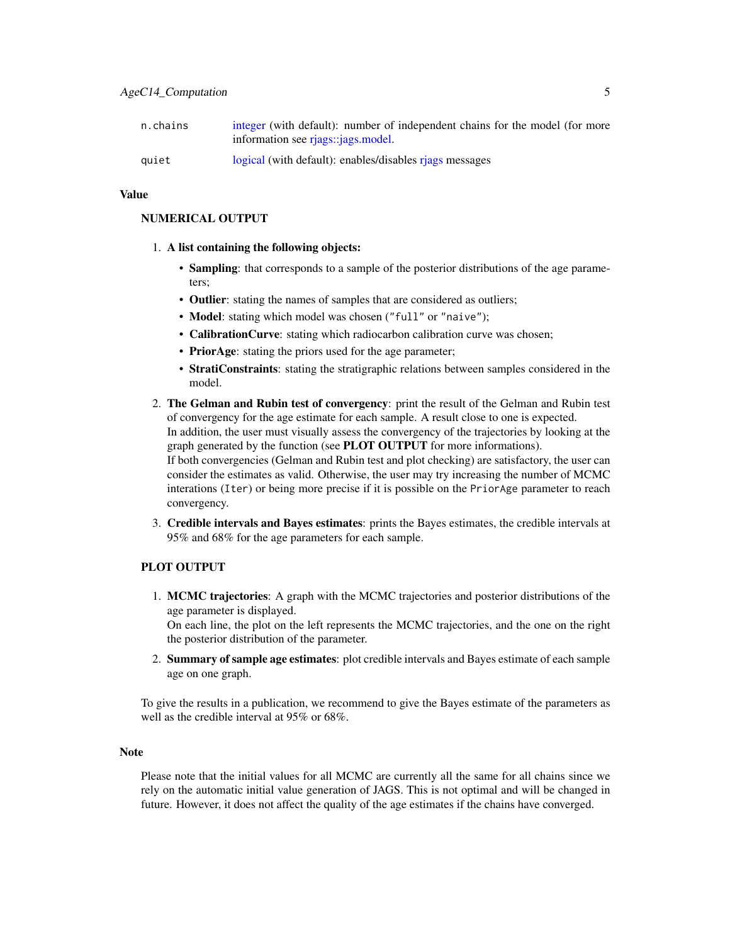<span id="page-4-0"></span>

| n.chains | integer (with default): number of independent chains for the model (for more<br>information see riags:: <i>iags.model.</i> |
|----------|----------------------------------------------------------------------------------------------------------------------------|
| quiet    | logical (with default): enables/disables riags messages                                                                    |

#### Value

#### NUMERICAL OUTPUT

- 1. A list containing the following objects:
	- Sampling: that corresponds to a sample of the posterior distributions of the age parameters;
	- Outlier: stating the names of samples that are considered as outliers;
	- Model: stating which model was chosen ("full" or "naive");
	- CalibrationCurve: stating which radiocarbon calibration curve was chosen;
	- PriorAge: stating the priors used for the age parameter;
	- StratiConstraints: stating the stratigraphic relations between samples considered in the model.
- 2. The Gelman and Rubin test of convergency: print the result of the Gelman and Rubin test of convergency for the age estimate for each sample. A result close to one is expected. In addition, the user must visually assess the convergency of the trajectories by looking at the graph generated by the function (see **PLOT OUTPUT** for more informations). If both convergencies (Gelman and Rubin test and plot checking) are satisfactory, the user can consider the estimates as valid. Otherwise, the user may try increasing the number of MCMC interations (Iter) or being more precise if it is possible on the PriorAge parameter to reach convergency.
- 3. Credible intervals and Bayes estimates: prints the Bayes estimates, the credible intervals at 95% and 68% for the age parameters for each sample.

## PLOT OUTPUT

1. MCMC trajectories: A graph with the MCMC trajectories and posterior distributions of the age parameter is displayed.

On each line, the plot on the left represents the MCMC trajectories, and the one on the right the posterior distribution of the parameter.

2. Summary of sample age estimates: plot credible intervals and Bayes estimate of each sample age on one graph.

To give the results in a publication, we recommend to give the Bayes estimate of the parameters as well as the credible interval at 95% or 68%.

#### Note

Please note that the initial values for all MCMC are currently all the same for all chains since we rely on the automatic initial value generation of JAGS. This is not optimal and will be changed in future. However, it does not affect the quality of the age estimates if the chains have converged.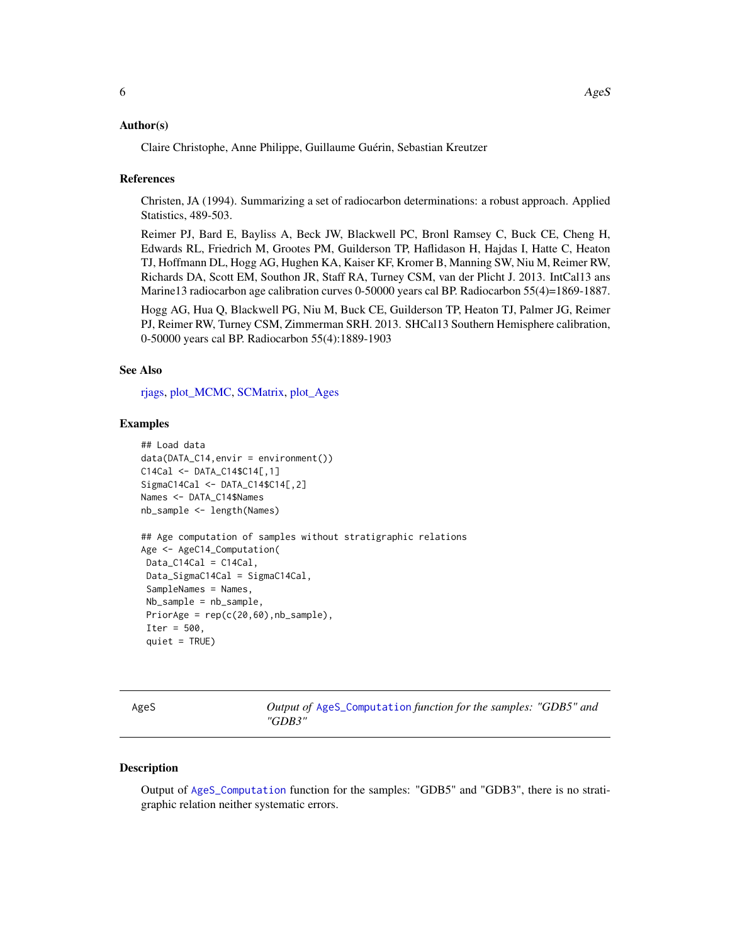#### <span id="page-5-0"></span>Author(s)

Claire Christophe, Anne Philippe, Guillaume Guérin, Sebastian Kreutzer

#### References

Christen, JA (1994). Summarizing a set of radiocarbon determinations: a robust approach. Applied Statistics, 489-503.

Reimer PJ, Bard E, Bayliss A, Beck JW, Blackwell PC, Bronl Ramsey C, Buck CE, Cheng H, Edwards RL, Friedrich M, Grootes PM, Guilderson TP, Haflidason H, Hajdas I, Hatte C, Heaton TJ, Hoffmann DL, Hogg AG, Hughen KA, Kaiser KF, Kromer B, Manning SW, Niu M, Reimer RW, Richards DA, Scott EM, Southon JR, Staff RA, Turney CSM, van der Plicht J. 2013. IntCal13 ans Marine13 radiocarbon age calibration curves 0-50000 years cal BP. Radiocarbon 55(4)=1869-1887.

Hogg AG, Hua Q, Blackwell PG, Niu M, Buck CE, Guilderson TP, Heaton TJ, Palmer JG, Reimer PJ, Reimer RW, Turney CSM, Zimmerman SRH. 2013. SHCal13 Southern Hemisphere calibration, 0-50000 years cal BP. Radiocarbon 55(4):1889-1903

#### See Also

[rjags,](#page-0-0) [plot\\_MCMC,](#page-52-1) [SCMatrix,](#page-56-1) [plot\\_Ages](#page-51-1)

#### Examples

```
## Load data
data(DATA_C14,envir = environment())
C14Cal <- DATA_C14$C14[,1]
SigmaC14Cal <- DATA_C14$C14[,2]
Names <- DATA_C14$Names
nb_sample <- length(Names)
## Age computation of samples without stratigraphic relations
Age <- AgeC14_Computation(
Data_C14Cal = C14Cal,Data_SigmaC14Cal = SigmaC14Cal,
 SampleNames = Names,
Nb_sample = nb_sample,
PriorAge = rep(c(20, 60), nb\_sample),
Iter = 500,
 quiet = TRUE)
```
AgeS *Output of* [AgeS\\_Computation](#page-6-1) *function for the samples: "GDB5" and "GDB3"*

## Description

Output of [AgeS\\_Computation](#page-6-1) function for the samples: "GDB5" and "GDB3", there is no stratigraphic relation neither systematic errors.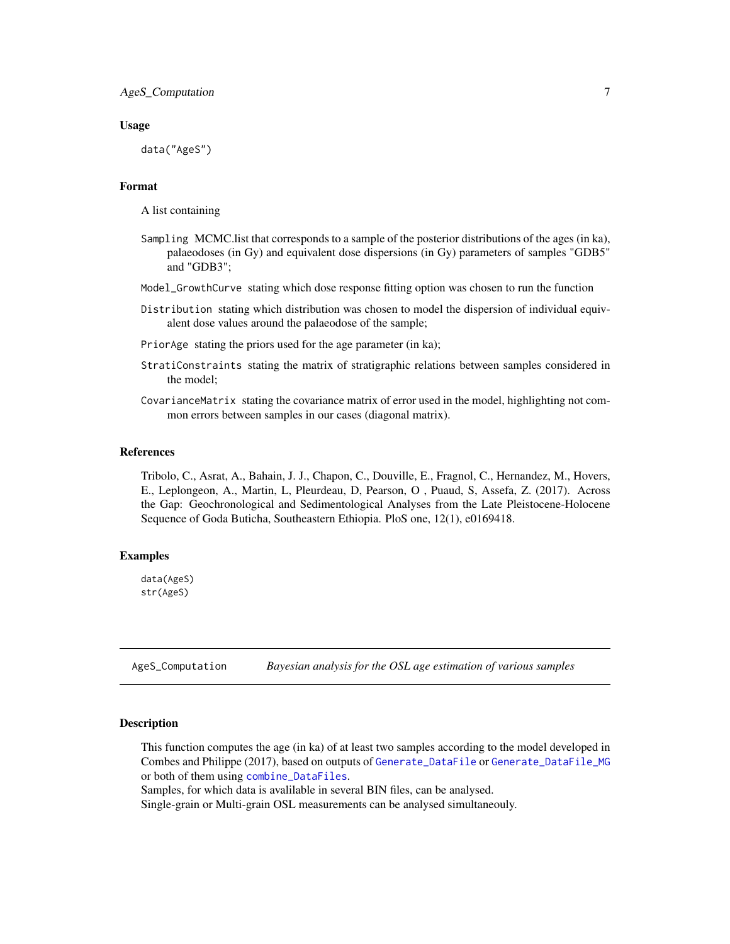#### <span id="page-6-0"></span>Usage

data("AgeS")

#### Format

A list containing

- Sampling MCMC.list that corresponds to a sample of the posterior distributions of the ages (in ka), palaeodoses (in Gy) and equivalent dose dispersions (in Gy) parameters of samples "GDB5" and "GDB3";
- Model\_GrowthCurve stating which dose response fitting option was chosen to run the function
- Distribution stating which distribution was chosen to model the dispersion of individual equivalent dose values around the palaeodose of the sample;
- PriorAge stating the priors used for the age parameter (in ka);
- StratiConstraints stating the matrix of stratigraphic relations between samples considered in the model;
- CovarianceMatrix stating the covariance matrix of error used in the model, highlighting not common errors between samples in our cases (diagonal matrix).

#### References

Tribolo, C., Asrat, A., Bahain, J. J., Chapon, C., Douville, E., Fragnol, C., Hernandez, M., Hovers, E., Leplongeon, A., Martin, L, Pleurdeau, D, Pearson, O , Puaud, S, Assefa, Z. (2017). Across the Gap: Geochronological and Sedimentological Analyses from the Late Pleistocene-Holocene Sequence of Goda Buticha, Southeastern Ethiopia. PloS one, 12(1), e0169418.

#### Examples

data(AgeS) str(AgeS)

<span id="page-6-1"></span>AgeS\_Computation *Bayesian analysis for the OSL age estimation of various samples*

#### **Description**

This function computes the age (in ka) of at least two samples according to the model developed in Combes and Philippe (2017), based on outputs of [Generate\\_DataFile](#page-29-1) or [Generate\\_DataFile\\_MG](#page-33-1) or both of them using [combine\\_DataFiles](#page-24-1).

Samples, for which data is avalilable in several BIN files, can be analysed.

Single-grain or Multi-grain OSL measurements can be analysed simultaneouly.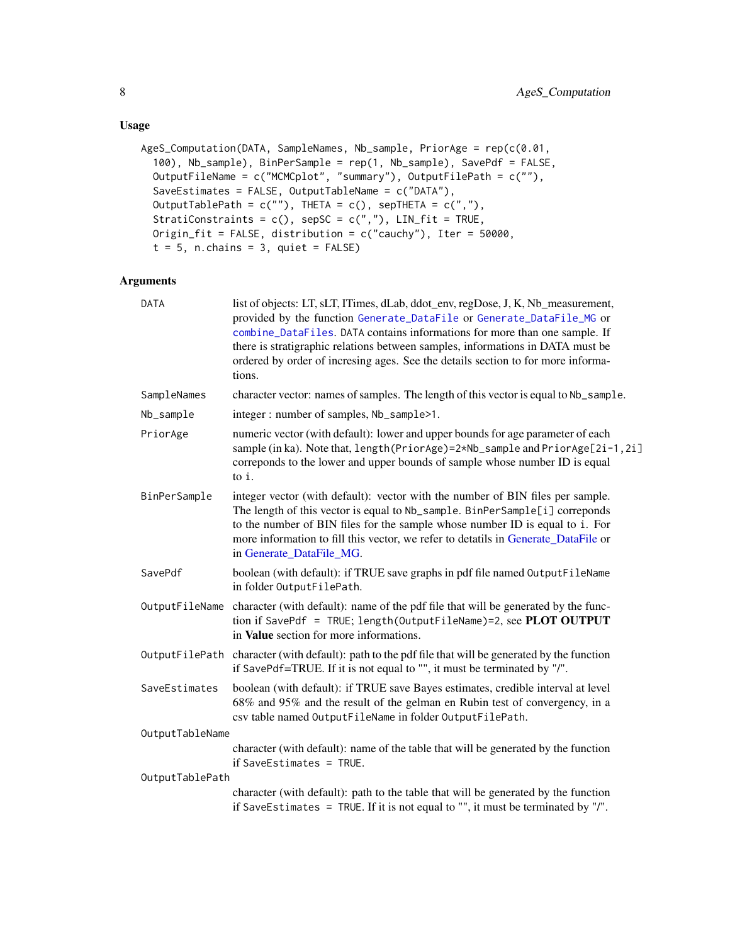## Usage

```
AgeS_Computation(DATA, SampleNames, Nb_sample, PriorAge = rep(c(0.01,
  100), Nb_sample), BinPerSample = rep(1, Nb_sample), SavePdf = FALSE,
 OutputFileName = c("MCMCplot", "summary"), OutputFilePath = c(""),
  SaveEstimates = FALSE, OutputTableName = c("DATA"),
 OutputTablePath = c(""), THETA = c(), sepTHETA = c(""),
 StratiConstraints = c(), sepSC = c(","'), LIN_fit = TRUE,
 Origin_fit = FALSE, distribution = c("cauchy"), Iter = 50000,
  t = 5, n.chains = 3, quiet = FALSE)
```
## Arguments

| character vector: names of samples. The length of this vector is equal to Nb_sample. |
|--------------------------------------------------------------------------------------|
|                                                                                      |
| sample (in ka). Note that, $length(PriorAge)=2*Nb$ _sample and $PriorAge[2i-1, 2i]$  |
|                                                                                      |
|                                                                                      |
|                                                                                      |
|                                                                                      |
|                                                                                      |
|                                                                                      |
|                                                                                      |
|                                                                                      |
|                                                                                      |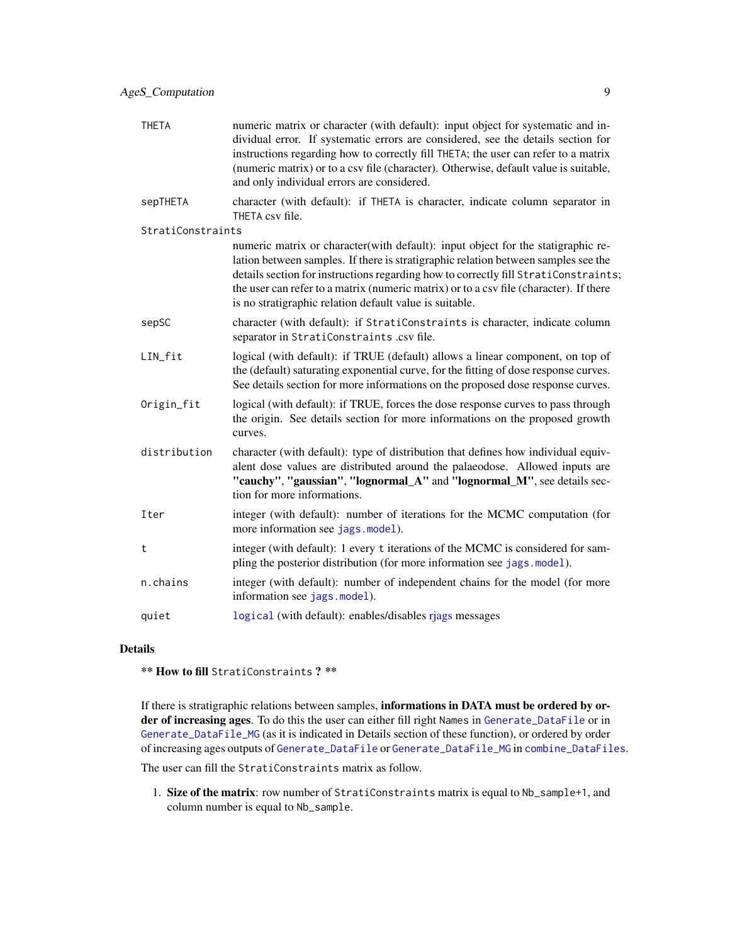<span id="page-8-0"></span>

| <b>THETA</b>      | numeric matrix or character (with default): input object for systematic and in-<br>dividual error. If systematic errors are considered, see the details section for<br>instructions regarding how to correctly fill THETA; the user can refer to a matrix<br>(numeric matrix) or to a csv file (character). Otherwise, default value is suitable,<br>and only individual errors are considered.                     |
|-------------------|---------------------------------------------------------------------------------------------------------------------------------------------------------------------------------------------------------------------------------------------------------------------------------------------------------------------------------------------------------------------------------------------------------------------|
| sepTHETA          | character (with default): if THETA is character, indicate column separator in<br>THETA csy file.                                                                                                                                                                                                                                                                                                                    |
| StratiConstraints |                                                                                                                                                                                                                                                                                                                                                                                                                     |
|                   | numeric matrix or character (with default): input object for the statigraphic re-<br>lation between samples. If there is stratigraphic relation between samples see the<br>details section for instructions regarding how to correctly fill StratiConstraints;<br>the user can refer to a matrix (numeric matrix) or to a csy file (character). If there<br>is no stratigraphic relation default value is suitable. |

- sepSC character (with default): if StratiConstraints is character, indicate column separator in StratiConstraints .csv file.
- LIN\_fit logical (with default): if TRUE (default) allows a linear component, on top of the (default) saturating exponential curve, for the fitting of dose response curves. See details section for more informations on the proposed dose response curves.
- Origin\_fit logical (with default): if TRUE, forces the dose response curves to pass through the origin. See details section for more informations on the proposed growth curves.
- distribution character (with default): type of distribution that defines how individual equivalent dose values are distributed around the palaeodose. Allowed inputs are "cauchy", "gaussian", "lognormal A" and "lognormal M", see details section for more informations.
- Iter integer (with default): number of iterations for the MCMC computation (for more information see [jags.model](#page-0-0)).
- t integer (with default): 1 every t iterations of the MCMC is considered for sampling the posterior distribution (for more information see [jags.model](#page-0-0)).
- n.chains integer (with default): number of independent chains for the model (for more information see [jags.model](#page-0-0)).
- quiet [logical](#page-0-0) (with default): enables/disables riags messages

## Details

\*\* How to fill StratiConstraints ? \*\*

If there is stratigraphic relations between samples, informations in DATA must be ordered by order of increasing ages. To do this the user can either fill right Names in [Generate\\_DataFile](#page-29-1) or in [Generate\\_DataFile\\_MG](#page-33-1) (as it is indicated in Details section of these function), or ordered by order of increasing ages outputs of [Generate\\_DataFile](#page-29-1) or [Generate\\_DataFile\\_MG](#page-33-1) in [combine\\_DataFiles](#page-24-1).

The user can fill the StratiConstraints matrix as follow.

1. Size of the matrix: row number of StratiConstraints matrix is equal to Nb\_sample+1, and column number is equal to Nb\_sample.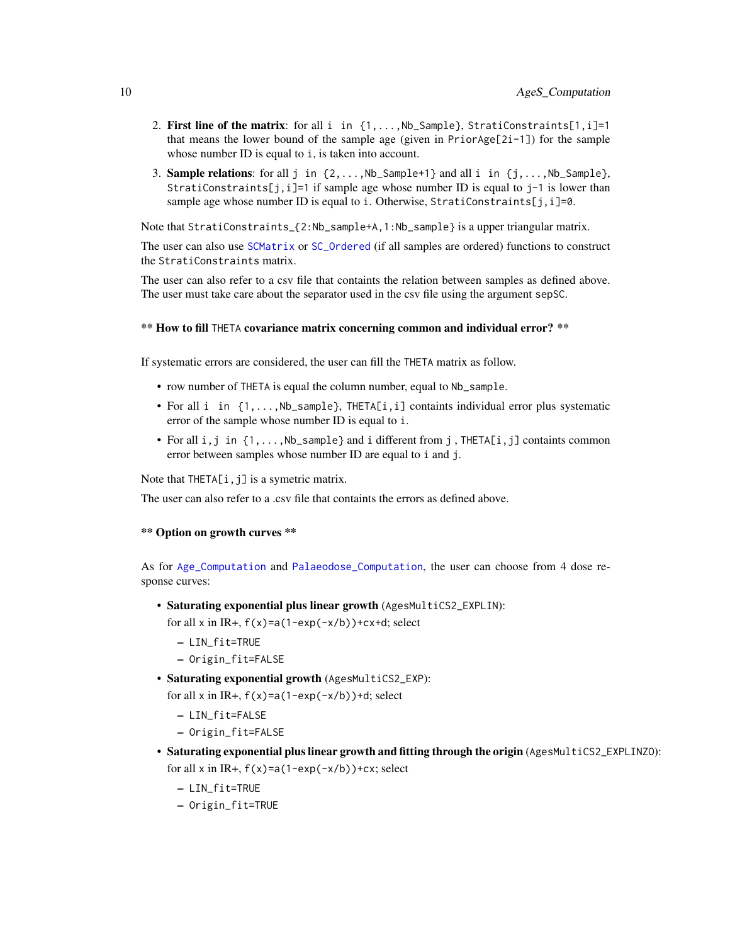- <span id="page-9-0"></span>2. First line of the matrix: for all i in  $\{1,\ldots,Nb\}$  Sample}, StratiConstraints[1,i]=1 that means the lower bound of the sample age (given in PriorAge[2i-1]) for the sample whose number ID is equal to *i*, is taken into account.
- 3. **Sample relations**: for all j in  $\{2, \ldots, \text{Nb\_Sample+1}\}\$  and all i in  $\{j, \ldots, \text{Nb\_Sample}\}\$ , StratiConstraints[j,i]=1 if sample age whose number ID is equal to j-1 is lower than sample age whose number ID is equal to i. Otherwise, StratiConstraints[j,i]=0.

Note that StratiConstraints\_{2:Nb\_sample+A,1:Nb\_sample} is a upper triangular matrix.

The user can also use [SCMatrix](#page-56-1) or [SC\\_Ordered](#page-57-1) (if all samples are ordered) functions to construct the StratiConstraints matrix.

The user can also refer to a csv file that containts the relation between samples as defined above. The user must take care about the separator used in the csv file using the argument sepSC.

## \*\* How to fill THETA covariance matrix concerning common and individual error? \*\*

If systematic errors are considered, the user can fill the THETA matrix as follow.

- row number of THETA is equal the column number, equal to Nb\_sample.
- For all i in {1,...,Nb\_sample}, THETA[i,i] containts individual error plus systematic error of the sample whose number ID is equal to i.
- For all  $i, j$  in  $\{1, \ldots, Nb$  sample } and i different from j, THETA $[i, j]$  containts common error between samples whose number ID are equal to i and j.

Note that  $THETA[i, j]$  is a symetric matrix.

The user can also refer to a .csv file that containts the errors as defined above.

#### \*\* Option on growth curves \*\*

As for [Age\\_Computation](#page-12-1) and [Palaeodose\\_Computation](#page-47-1), the user can choose from 4 dose response curves:

• Saturating exponential plus linear growth (AgesMultiCS2\_EXPLIN):

for all x in IR+,  $f(x)=a(1-exp(-x/b))+cx+d$ ; select

- LIN\_fit=TRUE
- Origin\_fit=FALSE
- Saturating exponential growth (AgesMultiCS2\_EXP):

for all x in IR+,  $f(x)=a(1-exp(-x/b))+d$ ; select

- LIN\_fit=FALSE
- Origin\_fit=FALSE
- Saturating exponential plus linear growth and fitting through the origin (AgesMultiCS2\_EXPLINZO): for all x in IR+,  $f(x)=a(1-exp(-x/b))+cx$ ; select
	- LIN\_fit=TRUE
	- Origin\_fit=TRUE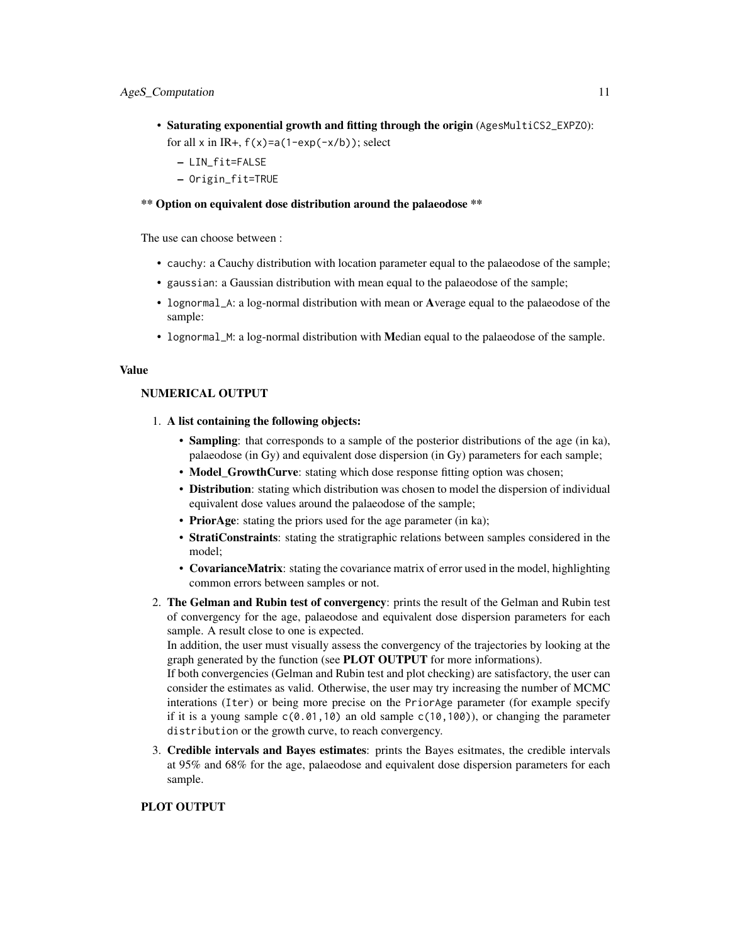- Saturating exponential growth and fitting through the origin (AgesMultiCS2\_EXPZO): for all x in IR+,  $f(x)=a(1-exp(-x/b))$ ; select
	- LIN\_fit=FALSE
	- Origin\_fit=TRUE

## \*\* Option on equivalent dose distribution around the palaeodose \*\*

The use can choose between :

- cauchy: a Cauchy distribution with location parameter equal to the palaeodose of the sample;
- gaussian: a Gaussian distribution with mean equal to the palaeodose of the sample;
- lognormal\_A: a log-normal distribution with mean or Average equal to the palaeodose of the sample:
- lognormal\_M: a log-normal distribution with Median equal to the palaeodose of the sample.

#### Value

## NUMERICAL OUTPUT

- 1. A list containing the following objects:
	- Sampling: that corresponds to a sample of the posterior distributions of the age (in ka), palaeodose (in Gy) and equivalent dose dispersion (in Gy) parameters for each sample;
	- Model\_GrowthCurve: stating which dose response fitting option was chosen;
	- Distribution: stating which distribution was chosen to model the dispersion of individual equivalent dose values around the palaeodose of the sample;
	- PriorAge: stating the priors used for the age parameter (in ka);
	- StratiConstraints: stating the stratigraphic relations between samples considered in the model;
	- CovarianceMatrix: stating the covariance matrix of error used in the model, highlighting common errors between samples or not.
- 2. The Gelman and Rubin test of convergency: prints the result of the Gelman and Rubin test of convergency for the age, palaeodose and equivalent dose dispersion parameters for each sample. A result close to one is expected.

In addition, the user must visually assess the convergency of the trajectories by looking at the graph generated by the function (see PLOT OUTPUT for more informations).

If both convergencies (Gelman and Rubin test and plot checking) are satisfactory, the user can consider the estimates as valid. Otherwise, the user may try increasing the number of MCMC interations (Iter) or being more precise on the PriorAge parameter (for example specify if it is a young sample  $c(0.01,10)$  an old sample  $c(10,100)$ , or changing the parameter distribution or the growth curve, to reach convergency.

3. Credible intervals and Bayes estimates: prints the Bayes esitmates, the credible intervals at 95% and 68% for the age, palaeodose and equivalent dose dispersion parameters for each sample.

## PLOT OUTPUT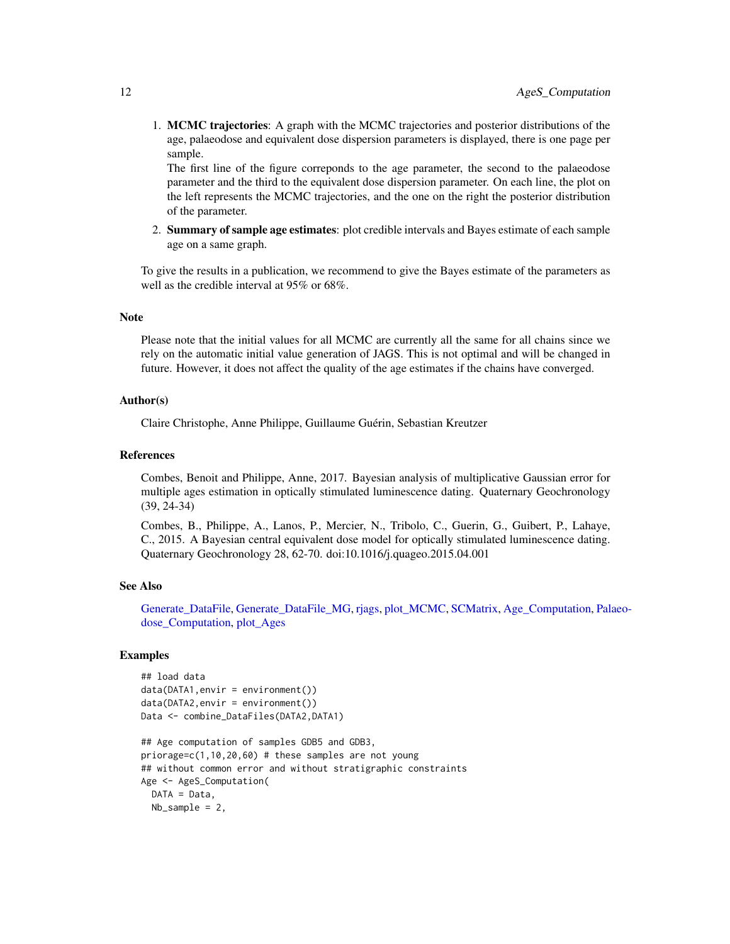<span id="page-11-0"></span>1. MCMC trajectories: A graph with the MCMC trajectories and posterior distributions of the age, palaeodose and equivalent dose dispersion parameters is displayed, there is one page per sample.

The first line of the figure correponds to the age parameter, the second to the palaeodose parameter and the third to the equivalent dose dispersion parameter. On each line, the plot on the left represents the MCMC trajectories, and the one on the right the posterior distribution of the parameter.

2. Summary of sample age estimates: plot credible intervals and Bayes estimate of each sample age on a same graph.

To give the results in a publication, we recommend to give the Bayes estimate of the parameters as well as the credible interval at 95% or 68%.

#### Note

Please note that the initial values for all MCMC are currently all the same for all chains since we rely on the automatic initial value generation of JAGS. This is not optimal and will be changed in future. However, it does not affect the quality of the age estimates if the chains have converged.

#### Author(s)

Claire Christophe, Anne Philippe, Guillaume Guérin, Sebastian Kreutzer

#### References

Combes, Benoit and Philippe, Anne, 2017. Bayesian analysis of multiplicative Gaussian error for multiple ages estimation in optically stimulated luminescence dating. Quaternary Geochronology (39, 24-34)

Combes, B., Philippe, A., Lanos, P., Mercier, N., Tribolo, C., Guerin, G., Guibert, P., Lahaye, C., 2015. A Bayesian central equivalent dose model for optically stimulated luminescence dating. Quaternary Geochronology 28, 62-70. doi:10.1016/j.quageo.2015.04.001

## See Also

[Generate\\_DataFile,](#page-29-1) [Generate\\_DataFile\\_MG,](#page-33-1) [rjags,](#page-0-0) [plot\\_MCMC,](#page-52-1) [SCMatrix,](#page-56-1) [Age\\_Computation,](#page-12-1) [Pal](#page-47-1)aeo[dose\\_Computation,](#page-47-1) [plot\\_Ages](#page-51-1)

## Examples

```
## load data
data(DATA1,envir = environment())
data(DATA2,envir = environment())
Data <- combine_DataFiles(DATA2,DATA1)
```

```
## Age computation of samples GDB5 and GDB3,
priorage=c(1,10,20,60) # these samples are not young
## without common error and without stratigraphic constraints
Age <- AgeS_Computation(
 DATA = Data,
 Nb_sample = 2,
```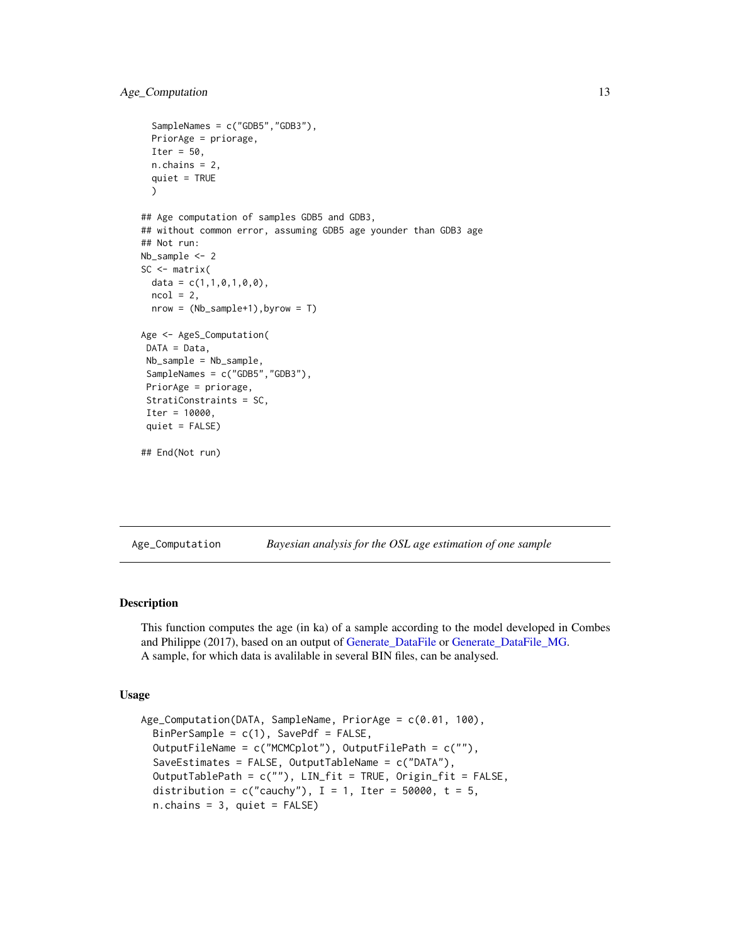```
SampleNames = c("GDB5","GDB3"),
 PriorAge = priorage,
 Iter = 50,
 n.chains = 2,
 quiet = TRUE
 )
## Age computation of samples GDB5 and GDB3,
## without common error, assuming GDB5 age younder than GDB3 age
## Not run:
Nb_sample <- 2
SC \leq matrix(
 data = c(1,1,0,1,0,0),
 ncol = 2,
 nrow = (Nb_sample+1),byrow = T)
Age <- AgeS_Computation(
DATA = Data,
Nb_sample = Nb_sample,
SampleNames = c("GDB5","GDB3"),
PriorAge = priorage,
StratiConstraints = SC,
Iter = 10000,
quiet = FALSE)
## End(Not run)
```
<span id="page-12-1"></span>Age\_Computation *Bayesian analysis for the OSL age estimation of one sample*

#### Description

This function computes the age (in ka) of a sample according to the model developed in Combes and Philippe (2017), based on an output of [Generate\\_DataFile](#page-29-1) or [Generate\\_DataFile\\_MG.](#page-33-1) A sample, for which data is avalilable in several BIN files, can be analysed.

#### Usage

```
Age_Computation(DATA, SampleName, PriorAge = c(0.01, 100),
 BinPerSample = c(1), SavePdf = FALSE,
 OutputFileName = c("MCMCplot"), OutputFilePath = c(""),
  SaveEstimates = FALSE, OutputTableName = c("DATA"),
 OutputTablePath = c(""), LIN_fit = TRUE, Origin_fit = FALSE,
  distribution = c("cauchy"), I = 1, Iter = 50000, t = 5,n.chains = 3, quiet = FALSE)
```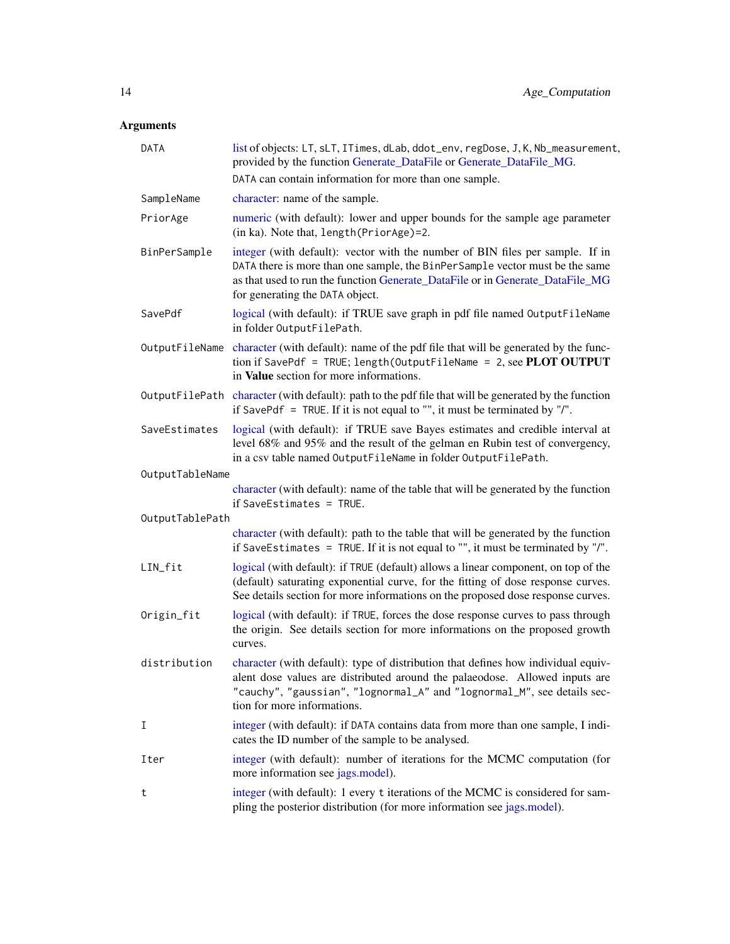## <span id="page-13-0"></span>Arguments

| <b>DATA</b>     | list of objects: LT, sLT, ITimes, dLab, ddot_env, regDose, J, K, Nb_measurement,<br>provided by the function Generate_DataFile or Generate_DataFile_MG.                                                                                                                           |  |  |  |  |  |
|-----------------|-----------------------------------------------------------------------------------------------------------------------------------------------------------------------------------------------------------------------------------------------------------------------------------|--|--|--|--|--|
|                 | DATA can contain information for more than one sample.                                                                                                                                                                                                                            |  |  |  |  |  |
| SampleName      | character: name of the sample.                                                                                                                                                                                                                                                    |  |  |  |  |  |
| PriorAge        | numeric (with default): lower and upper bounds for the sample age parameter<br>(in ka). Note that, length(PriorAge)=2.                                                                                                                                                            |  |  |  |  |  |
| BinPerSample    | integer (with default): vector with the number of BIN files per sample. If in<br>DATA there is more than one sample, the BinPerSample vector must be the same<br>as that used to run the function Generate_DataFile or in Generate_DataFile_MG<br>for generating the DATA object. |  |  |  |  |  |
| SavePdf         | logical (with default): if TRUE save graph in pdf file named OutputFileName<br>in folder OutputFilePath.                                                                                                                                                                          |  |  |  |  |  |
|                 | OutputFileName character (with default): name of the pdf file that will be generated by the func-<br>tion if SavePdf = TRUE; length(OutputFileName = $2$ , see PLOT OUTPUT<br>in Value section for more informations.                                                             |  |  |  |  |  |
|                 | OutputFilePath character (with default): path to the pdf file that will be generated by the function<br>if SavePdf = TRUE. If it is not equal to "", it must be terminated by "/".                                                                                                |  |  |  |  |  |
| SaveEstimates   | logical (with default): if TRUE save Bayes estimates and credible interval at<br>level 68% and 95% and the result of the gelman en Rubin test of convergency,<br>in a csv table named OutputFileName in folder OutputFilePath.                                                    |  |  |  |  |  |
| OutputTableName |                                                                                                                                                                                                                                                                                   |  |  |  |  |  |
|                 | character (with default): name of the table that will be generated by the function<br>if SaveEstimates = $TRUE$ .                                                                                                                                                                 |  |  |  |  |  |
| OutputTablePath |                                                                                                                                                                                                                                                                                   |  |  |  |  |  |
|                 | character (with default): path to the table that will be generated by the function<br>if SaveEstimates = TRUE. If it is not equal to "", it must be terminated by "/".                                                                                                            |  |  |  |  |  |
| LIN_fit         | logical (with default): if TRUE (default) allows a linear component, on top of the<br>(default) saturating exponential curve, for the fitting of dose response curves.<br>See details section for more informations on the proposed dose response curves.                         |  |  |  |  |  |
| Origin_fit      | logical (with default): if TRUE, forces the dose response curves to pass through<br>the origin. See details section for more informations on the proposed growth<br>curves.                                                                                                       |  |  |  |  |  |
| distribution    | character (with default): type of distribution that defines how individual equiv-<br>alent dose values are distributed around the palaeodose. Allowed inputs are<br>"cauchy", "gaussian", "lognormal_A" and "lognormal_M", see details sec-<br>tion for more informations.        |  |  |  |  |  |
| Ι               | integer (with default): if DATA contains data from more than one sample, I indi-<br>cates the ID number of the sample to be analysed.                                                                                                                                             |  |  |  |  |  |
| Iter            | integer (with default): number of iterations for the MCMC computation (for<br>more information see jags.model).                                                                                                                                                                   |  |  |  |  |  |
| t               | integer (with default): 1 every t iterations of the MCMC is considered for sam-<br>pling the posterior distribution (for more information see jags.model).                                                                                                                        |  |  |  |  |  |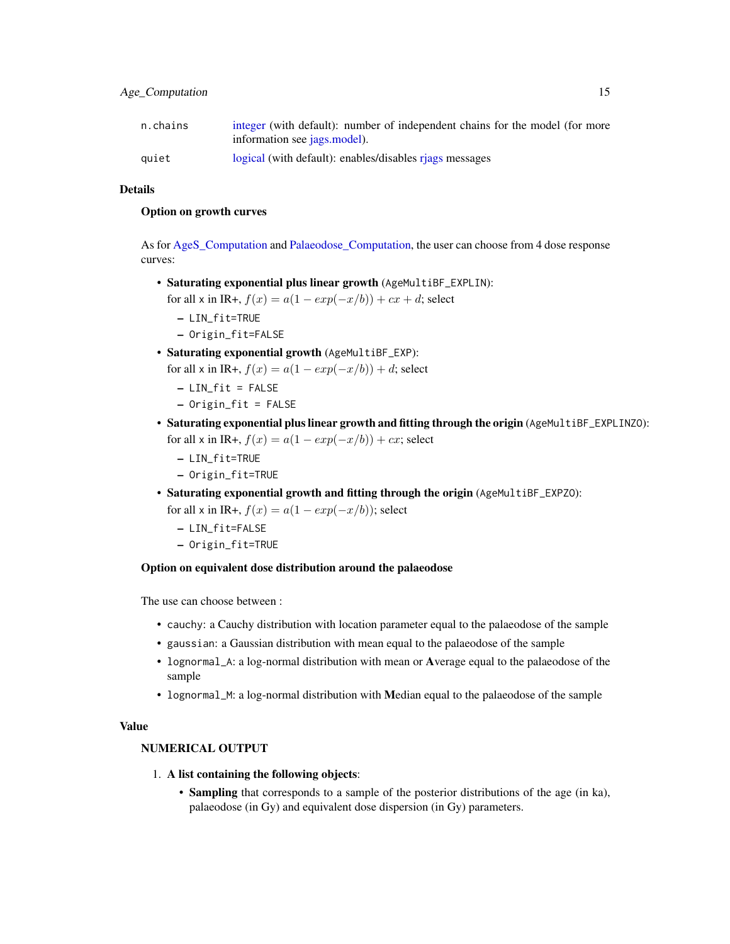<span id="page-14-0"></span>

| n.chains | integer (with default): number of independent chains for the model (for more<br>information see jags.model). |
|----------|--------------------------------------------------------------------------------------------------------------|
| quiet    | logical (with default): enables/disables riags messages                                                      |

## Details

### Option on growth curves

As for AgeS Computation and Palaeodose Computation, the user can choose from 4 dose response curves:

• Saturating exponential plus linear growth (AgeMultiBF\_EXPLIN):

for all x in IR+,  $f(x) = a(1 - exp(-x/b)) + cx + d$ ; select

- LIN\_fit=TRUE
- Origin\_fit=FALSE
- Saturating exponential growth (AgeMultiBF\_EXP):
	- for all x in IR+,  $f(x) = a(1 exp(-x/b)) + d$ ; select
		- $-$  LIN\_fit = FALSE
		- Origin\_fit = FALSE
- Saturating exponential plus linear growth and fitting through the origin (AgeMultiBF\_EXPLINZO): for all x in IR+,  $f(x) = a(1 - exp(-x/b)) + cx$ ; select
	- LIN\_fit=TRUE
	- Origin\_fit=TRUE
- Saturating exponential growth and fitting through the origin (AgeMultiBF\_EXPZO): for all x in IR+,  $f(x) = a(1 - exp(-x/b))$ ; select
	- LIN\_fit=FALSE
	- Origin\_fit=TRUE

#### Option on equivalent dose distribution around the palaeodose

The use can choose between :

- cauchy: a Cauchy distribution with location parameter equal to the palaeodose of the sample
- gaussian: a Gaussian distribution with mean equal to the palaeodose of the sample
- lognormal\_A: a log-normal distribution with mean or Average equal to the palaeodose of the sample
- lognormal\_M: a log-normal distribution with Median equal to the palaeodose of the sample

#### Value

#### NUMERICAL OUTPUT

- 1. A list containing the following objects:
	- Sampling that corresponds to a sample of the posterior distributions of the age (in ka), palaeodose (in Gy) and equivalent dose dispersion (in Gy) parameters.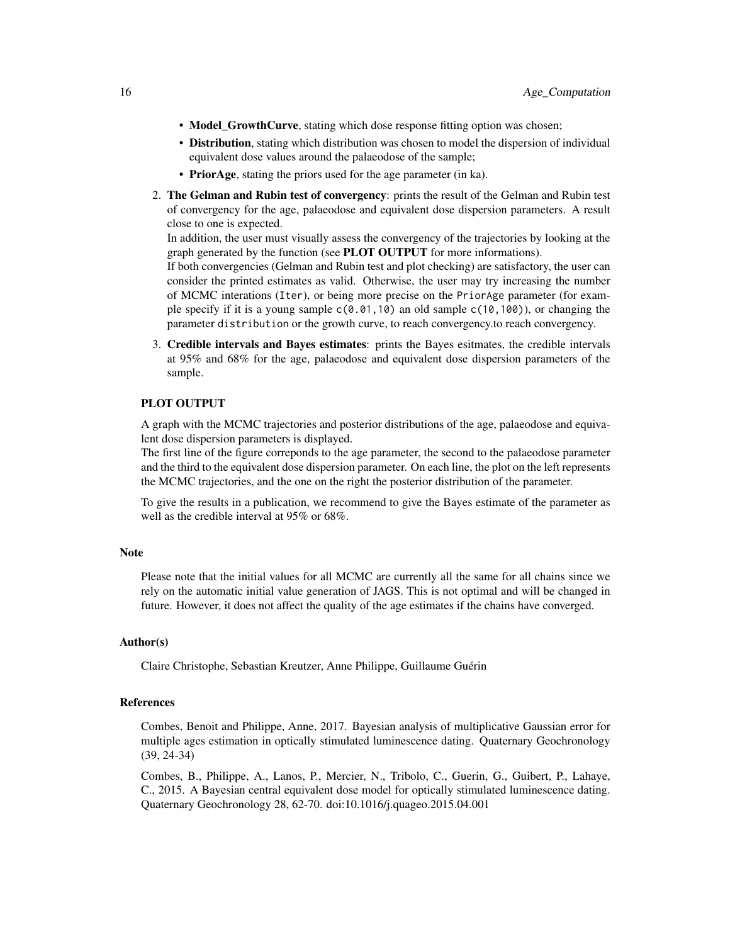- Model\_GrowthCurve, stating which dose response fitting option was chosen;
- Distribution, stating which distribution was chosen to model the dispersion of individual equivalent dose values around the palaeodose of the sample;
- PriorAge, stating the priors used for the age parameter (in ka).
- 2. The Gelman and Rubin test of convergency: prints the result of the Gelman and Rubin test of convergency for the age, palaeodose and equivalent dose dispersion parameters. A result close to one is expected.

In addition, the user must visually assess the convergency of the trajectories by looking at the graph generated by the function (see PLOT OUTPUT for more informations).

If both convergencies (Gelman and Rubin test and plot checking) are satisfactory, the user can consider the printed estimates as valid. Otherwise, the user may try increasing the number of MCMC interations (Iter), or being more precise on the PriorAge parameter (for example specify if it is a young sample  $c(0.01, 10)$  an old sample  $c(10, 100)$ , or changing the parameter distribution or the growth curve, to reach convergency.to reach convergency.

3. Credible intervals and Bayes estimates: prints the Bayes esitmates, the credible intervals at 95% and 68% for the age, palaeodose and equivalent dose dispersion parameters of the sample.

#### PLOT OUTPUT

A graph with the MCMC trajectories and posterior distributions of the age, palaeodose and equivalent dose dispersion parameters is displayed.

The first line of the figure correponds to the age parameter, the second to the palaeodose parameter and the third to the equivalent dose dispersion parameter. On each line, the plot on the left represents the MCMC trajectories, and the one on the right the posterior distribution of the parameter.

To give the results in a publication, we recommend to give the Bayes estimate of the parameter as well as the credible interval at 95% or 68%.

#### **Note**

Please note that the initial values for all MCMC are currently all the same for all chains since we rely on the automatic initial value generation of JAGS. This is not optimal and will be changed in future. However, it does not affect the quality of the age estimates if the chains have converged.

#### Author(s)

Claire Christophe, Sebastian Kreutzer, Anne Philippe, Guillaume Guérin

#### References

Combes, Benoit and Philippe, Anne, 2017. Bayesian analysis of multiplicative Gaussian error for multiple ages estimation in optically stimulated luminescence dating. Quaternary Geochronology (39, 24-34)

Combes, B., Philippe, A., Lanos, P., Mercier, N., Tribolo, C., Guerin, G., Guibert, P., Lahaye, C., 2015. A Bayesian central equivalent dose model for optically stimulated luminescence dating. Quaternary Geochronology 28, 62-70. doi:10.1016/j.quageo.2015.04.001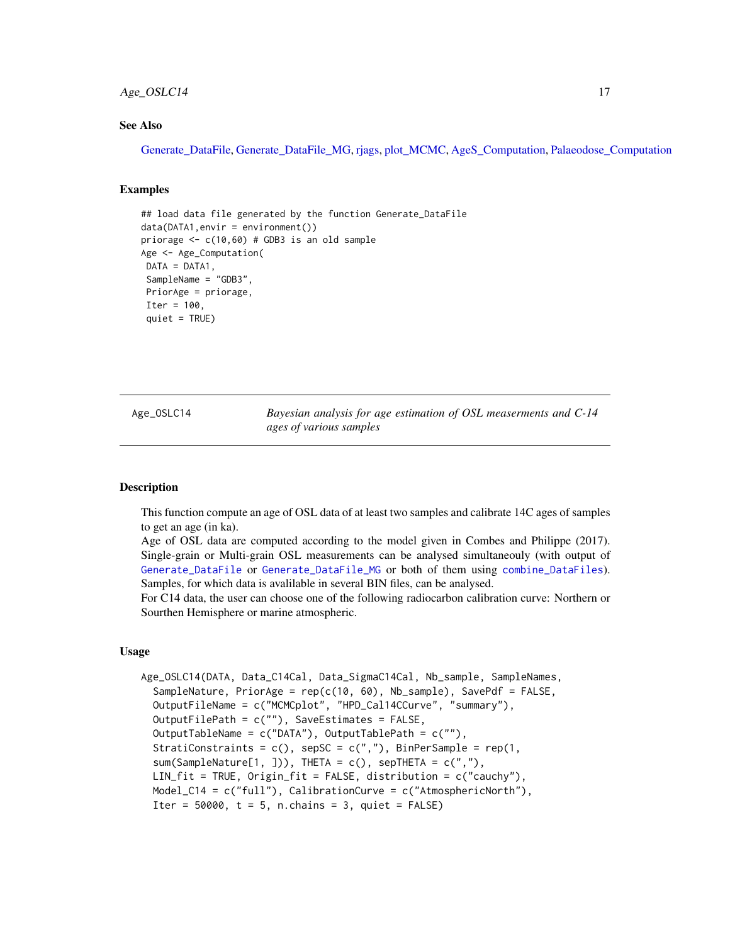## <span id="page-16-0"></span>Age\_OSLC14 17

## See Also

[Generate\\_DataFile,](#page-29-1) [Generate\\_DataFile\\_MG,](#page-33-1) [rjags,](#page-0-0) [plot\\_MCMC,](#page-52-1) [AgeS\\_Computation,](#page-6-1) [Palaeodose\\_Computation](#page-47-1)

#### Examples

```
## load data file generated by the function Generate_DataFile
data(DATA1, envir = environment())priorage \leq c(10,60) # GDB3 is an old sample
Age <- Age_Computation(
DATA = DATA1,
SampleName = "GDB3",
PriorAge = priorage,
Iter = 100,
 quiet = TRUE)
```
<span id="page-16-1"></span>Age\_OSLC14 *Bayesian analysis for age estimation of OSL measerments and C-14 ages of various samples*

#### Description

This function compute an age of OSL data of at least two samples and calibrate 14C ages of samples to get an age (in ka).

Age of OSL data are computed according to the model given in Combes and Philippe (2017). Single-grain or Multi-grain OSL measurements can be analysed simultaneouly (with output of [Generate\\_DataFile](#page-29-1) or [Generate\\_DataFile\\_MG](#page-33-1) or both of them using [combine\\_DataFiles](#page-24-1)). Samples, for which data is avalilable in several BIN files, can be analysed.

For C14 data, the user can choose one of the following radiocarbon calibration curve: Northern or Sourthen Hemisphere or marine atmospheric.

#### Usage

```
Age_OSLC14(DATA, Data_C14Cal, Data_SigmaC14Cal, Nb_sample, SampleNames,
  SampleNature, PriorAge = rep(c(10, 60), Nb_sample), SavePdf = FALSE,
  OutputFileName = c("MCMCplot", "HPD_Cal14CCurve", "summary"),
  OutputFilePath = c(""), SaveEstimates = FALSE,
  OutputTableName = c("DATA"), OutputTablePath = c(""),
  StratiConstraints = c(), sepSC = c(","), BinPerSample = rep(1,sum(SampleNature[1, ])), THETA = c(), sepTHETA = c(", "),
  LIN_fit = TRUE, Origin_fit = FALSE, distribution = c("cauchy"),
 Model_C14 = c("full"), CalibrationCurve = c("AtmosphericNorth"),
  Iter = 50000, t = 5, n.chains = 3, quiet = FALSE)
```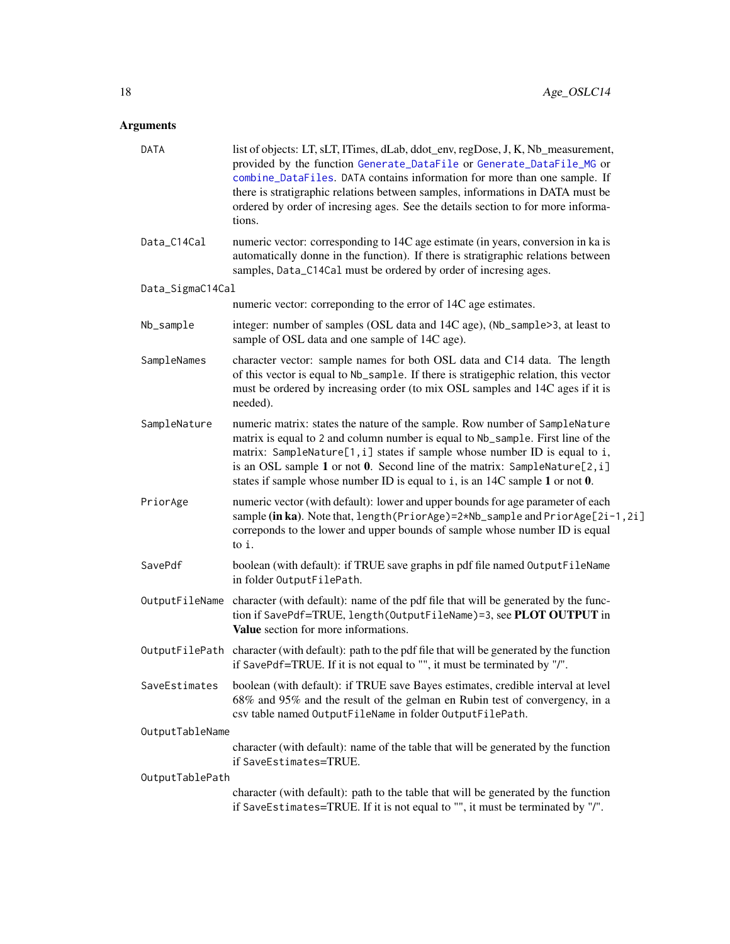## <span id="page-17-0"></span>Arguments

| DATA             | list of objects: LT, sLT, ITimes, dLab, ddot_env, regDose, J, K, Nb_measurement,<br>provided by the function Generate_DataFile or Generate_DataFile_MG or<br>combine_DataFiles. DATA contains information for more than one sample. If<br>there is stratigraphic relations between samples, informations in DATA must be<br>ordered by order of incresing ages. See the details section to for more informa-<br>tions. |
|------------------|------------------------------------------------------------------------------------------------------------------------------------------------------------------------------------------------------------------------------------------------------------------------------------------------------------------------------------------------------------------------------------------------------------------------|
| Data_C14Cal      | numeric vector: corresponding to 14C age estimate (in years, conversion in ka is<br>automatically donne in the function). If there is stratigraphic relations between<br>samples, Data_C14Cal must be ordered by order of incresing ages.                                                                                                                                                                              |
| Data_SigmaC14Cal |                                                                                                                                                                                                                                                                                                                                                                                                                        |
|                  | numeric vector: correponding to the error of 14C age estimates.                                                                                                                                                                                                                                                                                                                                                        |
| Nb_sample        | integer: number of samples (OSL data and 14C age), (Nb_sample>3, at least to<br>sample of OSL data and one sample of 14C age).                                                                                                                                                                                                                                                                                         |
| SampleNames      | character vector: sample names for both OSL data and C14 data. The length<br>of this vector is equal to Nb_sample. If there is stratigephic relation, this vector<br>must be ordered by increasing order (to mix OSL samples and 14C ages if it is<br>needed).                                                                                                                                                         |
| SampleNature     | numeric matrix: states the nature of the sample. Row number of SampleNature<br>matrix is equal to 2 and column number is equal to Nb_sample. First line of the<br>matrix: SampleNature[1, i] states if sample whose number ID is equal to i,<br>is an OSL sample 1 or not 0. Second line of the matrix: SampleNature $[2, i]$<br>states if sample whose number ID is equal to $i$ , is an 14C sample 1 or not 0.       |
| PriorAge         | numeric vector (with default): lower and upper bounds for age parameter of each<br>sample (in ka). Note that, length (PriorAge)=2*Nb_sample and PriorAge[2i-1,2i]<br>correponds to the lower and upper bounds of sample whose number ID is equal<br>to i.                                                                                                                                                              |
| SavePdf          | boolean (with default): if TRUE save graphs in pdf file named OutputFileName<br>in folder OutputFilePath.                                                                                                                                                                                                                                                                                                              |
| OutputFileName   | character (with default): name of the pdf file that will be generated by the func-<br>tion if SavePdf=TRUE, length(OutputFileName)=3, see PLOT OUTPUT in<br>Value section for more informations.                                                                                                                                                                                                                       |
| OutputFilePath   | character (with default): path to the pdf file that will be generated by the function<br>if SavePdf=TRUE. If it is not equal to "", it must be terminated by "/".                                                                                                                                                                                                                                                      |
| SaveEstimates    | boolean (with default): if TRUE save Bayes estimates, credible interval at level<br>68% and 95% and the result of the gelman en Rubin test of convergency, in a<br>csv table named OutputFileName in folder OutputFilePath.                                                                                                                                                                                            |
| OutputTableName  |                                                                                                                                                                                                                                                                                                                                                                                                                        |
|                  | character (with default): name of the table that will be generated by the function<br>if SaveEstimates=TRUE.                                                                                                                                                                                                                                                                                                           |
| OutputTablePath  |                                                                                                                                                                                                                                                                                                                                                                                                                        |
|                  | character (with default): path to the table that will be generated by the function<br>if SaveEstimates=TRUE. If it is not equal to "", it must be terminated by "/".                                                                                                                                                                                                                                                   |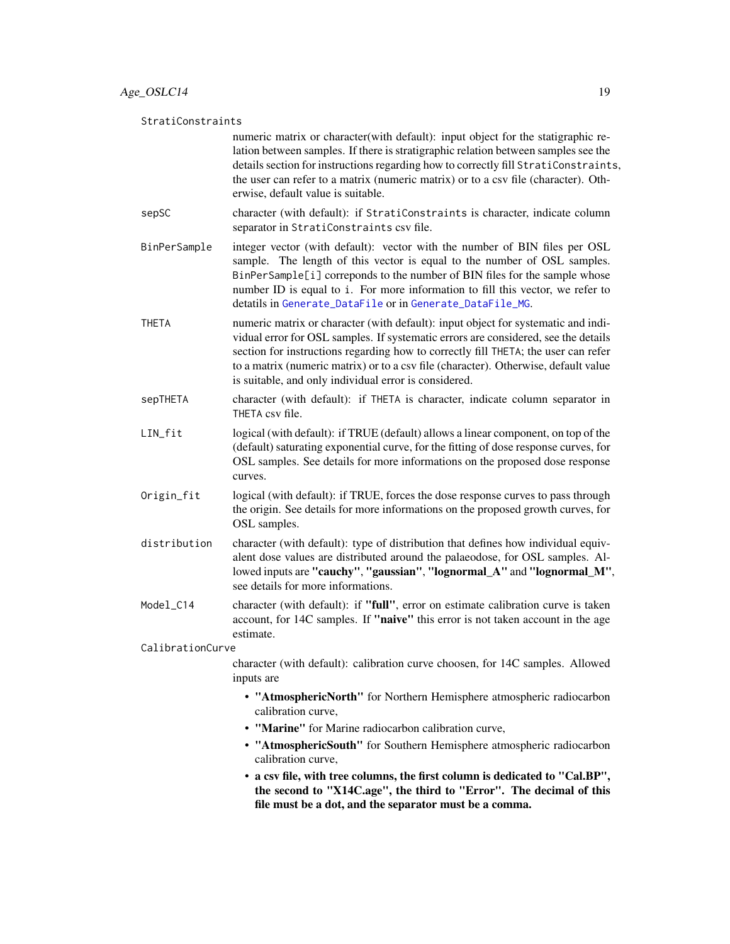#### <span id="page-18-0"></span>StratiConstraints

numeric matrix or character(with default): input object for the statigraphic relation between samples. If there is stratigraphic relation between samples see the details section for instructions regarding how to correctly fill StratiConstraints, the user can refer to a matrix (numeric matrix) or to a csv file (character). Otherwise, default value is suitable.

- sepSC character (with default): if StratiConstraints is character, indicate column separator in StratiConstraints csv file.
- BinPerSample integer vector (with default): vector with the number of BIN files per OSL sample. The length of this vector is equal to the number of OSL samples. BinPerSample[i] correponds to the number of BIN files for the sample whose number ID is equal to i. For more information to fill this vector, we refer to detatils in [Generate\\_DataFile](#page-29-1) or in [Generate\\_DataFile\\_MG](#page-33-1).
- THETA numeric matrix or character (with default): input object for systematic and individual error for OSL samples. If systematic errors are considered, see the details section for instructions regarding how to correctly fill THETA; the user can refer to a matrix (numeric matrix) or to a csv file (character). Otherwise, default value is suitable, and only individual error is considered.
- sepTHETA character (with default): if THETA is character, indicate column separator in THETA csv file.
- LIN\_fit logical (with default): if TRUE (default) allows a linear component, on top of the (default) saturating exponential curve, for the fitting of dose response curves, for OSL samples. See details for more informations on the proposed dose response curves.
- Origin\_fit logical (with default): if TRUE, forces the dose response curves to pass through the origin. See details for more informations on the proposed growth curves, for OSL samples.
- distribution character (with default): type of distribution that defines how individual equivalent dose values are distributed around the palaeodose, for OSL samples. Allowed inputs are "cauchy", "gaussian", "lognormal\_A" and "lognormal\_M", see details for more informations.
- Model\_C14 character (with default): if "**full**", error on estimate calibration curve is taken account, for 14C samples. If "naive" this error is not taken account in the age estimate.

CalibrationCurve

character (with default): calibration curve choosen, for 14C samples. Allowed inputs are

- "AtmosphericNorth" for Northern Hemisphere atmospheric radiocarbon calibration curve,
- "Marine" for Marine radiocarbon calibration curve,
- "AtmosphericSouth" for Southern Hemisphere atmospheric radiocarbon calibration curve,
- a csv file, with tree columns, the first column is dedicated to "Cal.BP", the second to "X14C.age", the third to "Error". The decimal of this file must be a dot, and the separator must be a comma.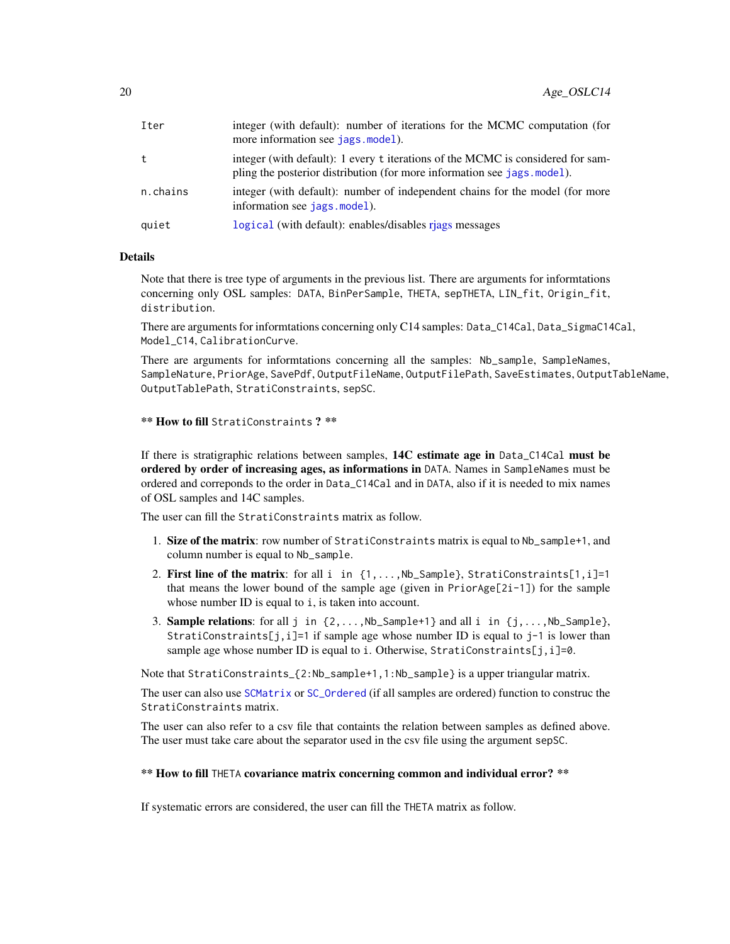<span id="page-19-0"></span>

| Iter     | integer (with default): number of iterations for the MCMC computation (for<br>more information see jags. model).                                            |
|----------|-------------------------------------------------------------------------------------------------------------------------------------------------------------|
| t.       | integer (with default): 1 every t iterations of the MCMC is considered for sam-<br>pling the posterior distribution (for more information see jags. model). |
| n.chains | integer (with default): number of independent chains for the model (for more<br>information see jags.model).                                                |
| quiet    | logical (with default): enables/disables riags messages                                                                                                     |

#### Details

Note that there is tree type of arguments in the previous list. There are arguments for informtations concerning only OSL samples: DATA, BinPerSample, THETA, sepTHETA, LIN\_fit, Origin\_fit, distribution.

There are arguments for informtations concerning only C14 samples: Data\_C14Cal, Data\_SigmaC14Cal, Model\_C14, CalibrationCurve.

There are arguments for informtations concerning all the samples: Nb\_sample, SampleNames, SampleNature, PriorAge, SavePdf, OutputFileName, OutputFilePath, SaveEstimates, OutputTableName, OutputTablePath, StratiConstraints, sepSC.

```
** How to fill StratiConstraints ? **
```
If there is stratigraphic relations between samples, 14C estimate age in Data\_C14Cal must be ordered by order of increasing ages, as informations in DATA. Names in SampleNames must be ordered and correponds to the order in Data\_C14Cal and in DATA, also if it is needed to mix names of OSL samples and 14C samples.

The user can fill the StratiConstraints matrix as follow.

- 1. Size of the matrix: row number of StratiConstraints matrix is equal to Nb\_sample+1, and column number is equal to Nb\_sample.
- 2. First line of the matrix: for all i in  $\{1,\ldots,Nb\}$  sample}, StratiConstraints[1,i]=1 that means the lower bound of the sample age (given in PriorAge[2i-1]) for the sample whose number ID is equal to *i*, is taken into account.
- 3. **Sample relations**: for all j in  $\{2, \ldots, \text{Nb\_Sample+1}\}\$  and all i in  $\{j, \ldots, \text{Nb\_Sample}\}\$ , StratiConstraints[j,i]=1 if sample age whose number ID is equal to j-1 is lower than sample age whose number ID is equal to i. Otherwise, StratiConstraints[j, i]=0.

Note that StratiConstraints\_{2:Nb\_sample+1,1:Nb\_sample} is a upper triangular matrix.

The user can also use [SCMatrix](#page-56-1) or [SC\\_Ordered](#page-57-1) (if all samples are ordered) function to construc the StratiConstraints matrix.

The user can also refer to a csv file that containts the relation between samples as defined above. The user must take care about the separator used in the csv file using the argument sepSC.

#### \*\* How to fill THETA covariance matrix concerning common and individual error? \*\*

If systematic errors are considered, the user can fill the THETA matrix as follow.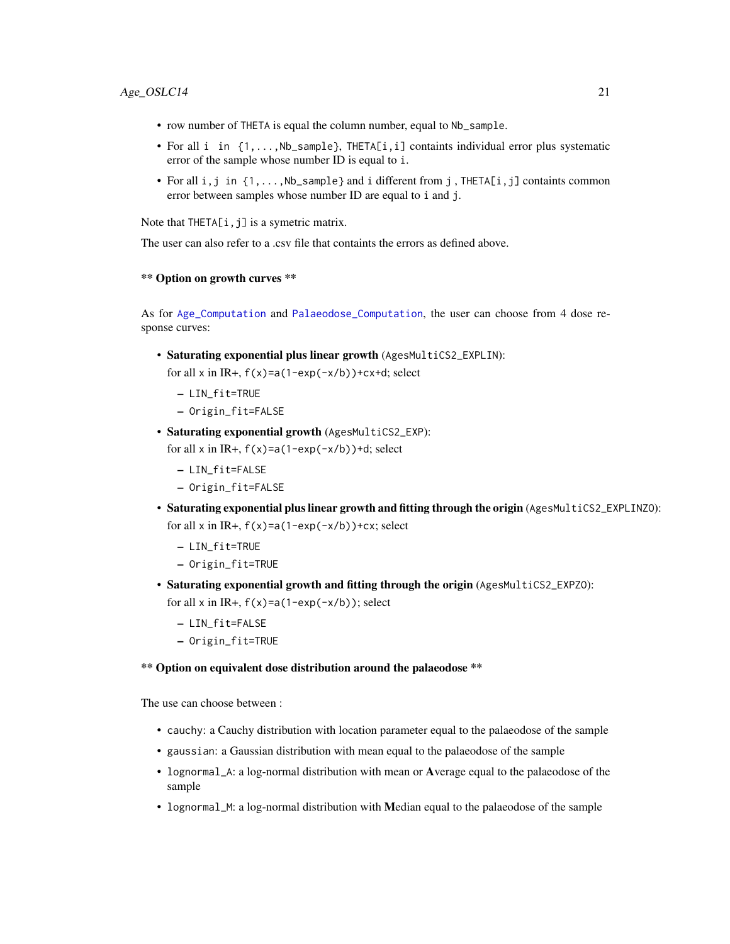- <span id="page-20-0"></span>• row number of THETA is equal the column number, equal to Nb\_sample.
- For all i in  $\{1,\ldots,Nb\$ sample}, THETA[i, i] containts individual error plus systematic error of the sample whose number ID is equal to i.
- For all  $i, j$  in  $\{1, \ldots, Nb$  sample } and i different from j, THETA $[i, j]$  containts common error between samples whose number ID are equal to i and j.

Note that THETA[i,j] is a symetric matrix.

The user can also refer to a .csv file that containts the errors as defined above.

#### \*\* Option on growth curves \*\*

As for [Age\\_Computation](#page-12-1) and [Palaeodose\\_Computation](#page-47-1), the user can choose from 4 dose response curves:

- Saturating exponential plus linear growth (AgesMultiCS2\_EXPLIN): for all x in IR+,  $f(x)=a(1-exp(-x/b))+cx+d$ ; select
	- LIN\_fit=TRUE
	- Origin\_fit=FALSE
- Saturating exponential growth (AgesMultiCS2\_EXP):

for all x in IR+,  $f(x)=a(1-exp(-x/b))+d$ ; select

- LIN\_fit=FALSE
- Origin\_fit=FALSE
- Saturating exponential plus linear growth and fitting through the origin (AgesMultiCS2\_EXPLINZO): for all x in IR+,  $f(x)=a(1-exp(-x/b))+cx$ ; select
	- LIN\_fit=TRUE
	- Origin\_fit=TRUE
- Saturating exponential growth and fitting through the origin (AgesMultiCS2\_EXPZO): for all x in IR+,  $f(x)=a(1-exp(-x/b))$ ; select
	- LIN\_fit=FALSE
	- Origin\_fit=TRUE

## \*\* Option on equivalent dose distribution around the palaeodose \*\*

The use can choose between :

- cauchy: a Cauchy distribution with location parameter equal to the palaeodose of the sample
- gaussian: a Gaussian distribution with mean equal to the palaeodose of the sample
- lognormal\_A: a log-normal distribution with mean or Average equal to the palaeodose of the sample
- lognormal\_M: a log-normal distribution with Median equal to the palaeodose of the sample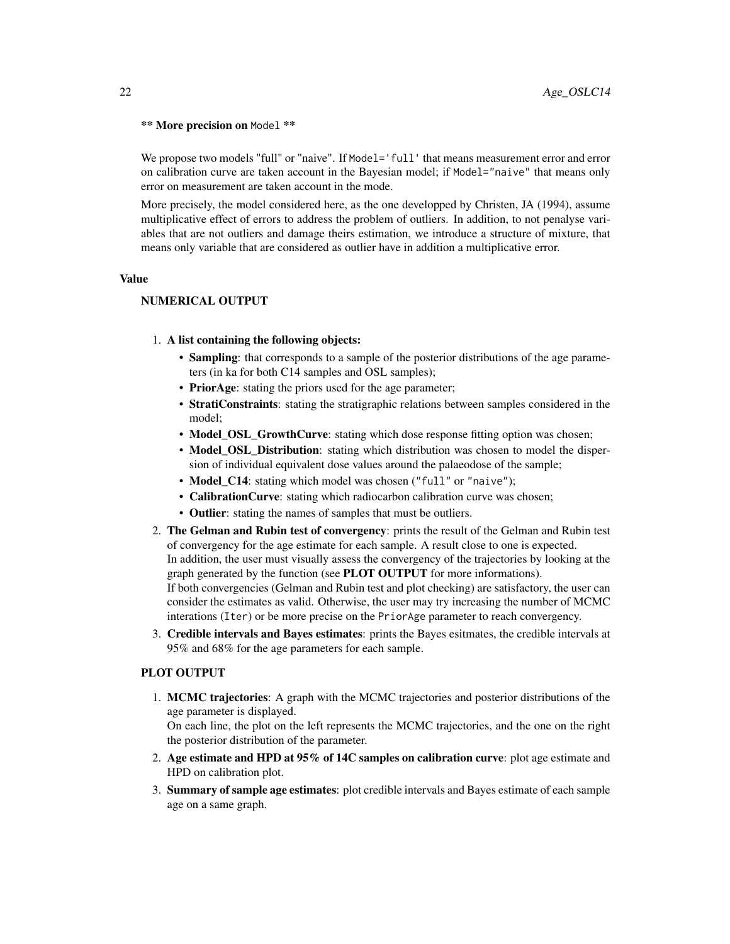#### \*\* More precision on Model \*\*

We propose two models "full" or "naive". If Model='full' that means measurement error and error on calibration curve are taken account in the Bayesian model; if Model="naive" that means only error on measurement are taken account in the mode.

More precisely, the model considered here, as the one developped by Christen, JA (1994), assume multiplicative effect of errors to address the problem of outliers. In addition, to not penalyse variables that are not outliers and damage theirs estimation, we introduce a structure of mixture, that means only variable that are considered as outlier have in addition a multiplicative error.

#### Value

## NUMERICAL OUTPUT

#### 1. A list containing the following objects:

- Sampling: that corresponds to a sample of the posterior distributions of the age parameters (in ka for both C14 samples and OSL samples);
- PriorAge: stating the priors used for the age parameter;
- StratiConstraints: stating the stratigraphic relations between samples considered in the model;
- Model OSL GrowthCurve: stating which dose response fitting option was chosen;
- Model OSL Distribution: stating which distribution was chosen to model the dispersion of individual equivalent dose values around the palaeodose of the sample;
- Model C14: stating which model was chosen ("full" or "naive");
- CalibrationCurve: stating which radiocarbon calibration curve was chosen;
- Outlier: stating the names of samples that must be outliers.
- 2. The Gelman and Rubin test of convergency: prints the result of the Gelman and Rubin test of convergency for the age estimate for each sample. A result close to one is expected. In addition, the user must visually assess the convergency of the trajectories by looking at the graph generated by the function (see PLOT OUTPUT for more informations). If both convergencies (Gelman and Rubin test and plot checking) are satisfactory, the user can consider the estimates as valid. Otherwise, the user may try increasing the number of MCMC interations (Iter) or be more precise on the PriorAge parameter to reach convergency.
- 3. Credible intervals and Bayes estimates: prints the Bayes esitmates, the credible intervals at 95% and 68% for the age parameters for each sample.

#### PLOT OUTPUT

1. MCMC trajectories: A graph with the MCMC trajectories and posterior distributions of the age parameter is displayed.

On each line, the plot on the left represents the MCMC trajectories, and the one on the right the posterior distribution of the parameter.

- 2. Age estimate and HPD at 95% of 14C samples on calibration curve: plot age estimate and HPD on calibration plot.
- 3. Summary of sample age estimates: plot credible intervals and Bayes estimate of each sample age on a same graph.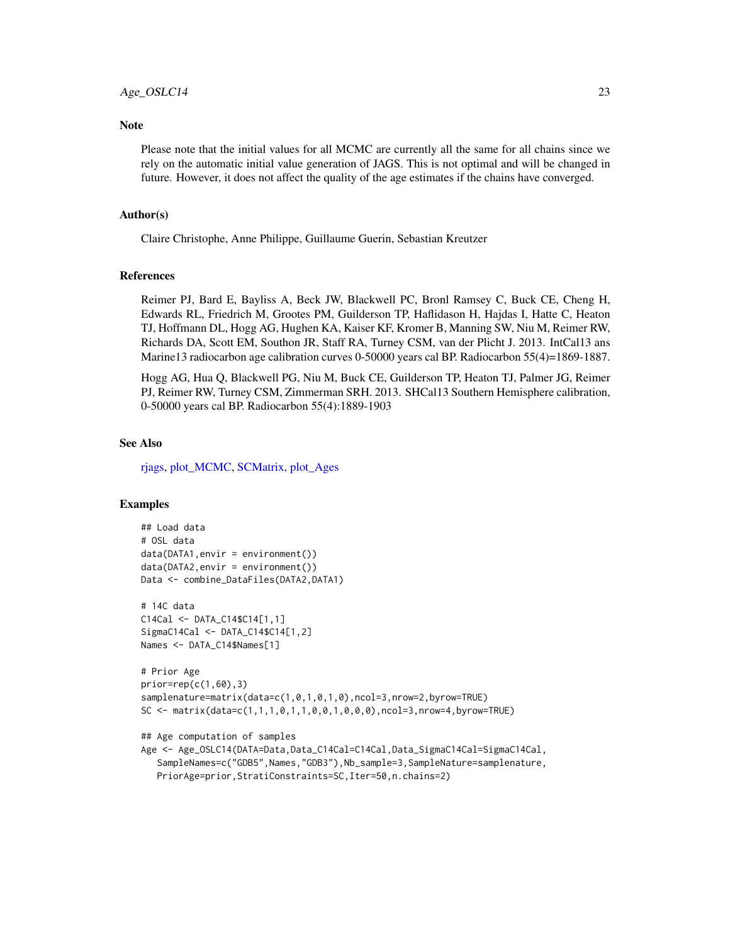#### <span id="page-22-0"></span>**Note**

Please note that the initial values for all MCMC are currently all the same for all chains since we rely on the automatic initial value generation of JAGS. This is not optimal and will be changed in future. However, it does not affect the quality of the age estimates if the chains have converged.

## Author(s)

Claire Christophe, Anne Philippe, Guillaume Guerin, Sebastian Kreutzer

#### References

Reimer PJ, Bard E, Bayliss A, Beck JW, Blackwell PC, Bronl Ramsey C, Buck CE, Cheng H, Edwards RL, Friedrich M, Grootes PM, Guilderson TP, Haflidason H, Hajdas I, Hatte C, Heaton TJ, Hoffmann DL, Hogg AG, Hughen KA, Kaiser KF, Kromer B, Manning SW, Niu M, Reimer RW, Richards DA, Scott EM, Southon JR, Staff RA, Turney CSM, van der Plicht J. 2013. IntCal13 ans Marine13 radiocarbon age calibration curves 0-50000 years cal BP. Radiocarbon 55(4)=1869-1887.

Hogg AG, Hua Q, Blackwell PG, Niu M, Buck CE, Guilderson TP, Heaton TJ, Palmer JG, Reimer PJ, Reimer RW, Turney CSM, Zimmerman SRH. 2013. SHCal13 Southern Hemisphere calibration, 0-50000 years cal BP. Radiocarbon 55(4):1889-1903

#### See Also

[rjags,](#page-0-0) [plot\\_MCMC,](#page-52-1) [SCMatrix,](#page-56-1) [plot\\_Ages](#page-51-1)

#### Examples

```
## Load data
# OSL data
data(DATA1,envir = environment())
data(DATA2,envir = environment())Data <- combine_DataFiles(DATA2,DATA1)
```

```
# 14C data
C14Cal <- DATA_C14$C14[1,1]
SigmaC14Cal <- DATA_C14$C14[1,2]
Names <- DATA_C14$Names[1]
```

```
# Prior Age
prior=rep(c(1,60),3)
samplenature=matrix(data=c(1,0,1,0,1,0),ncol=3,nrow=2,byrow=TRUE)
SC <- matrix(data=c(1,1,1,0,1,1,0,0,1,0,0,0),ncol=3,nrow=4,byrow=TRUE)
```

```
## Age computation of samples
```

```
Age <- Age_OSLC14(DATA=Data,Data_C14Cal=C14Cal,Data_SigmaC14Cal=SigmaC14Cal,
   SampleNames=c("GDB5",Names,"GDB3"),Nb_sample=3,SampleNature=samplenature,
  PriorAge=prior,StratiConstraints=SC,Iter=50,n.chains=2)
```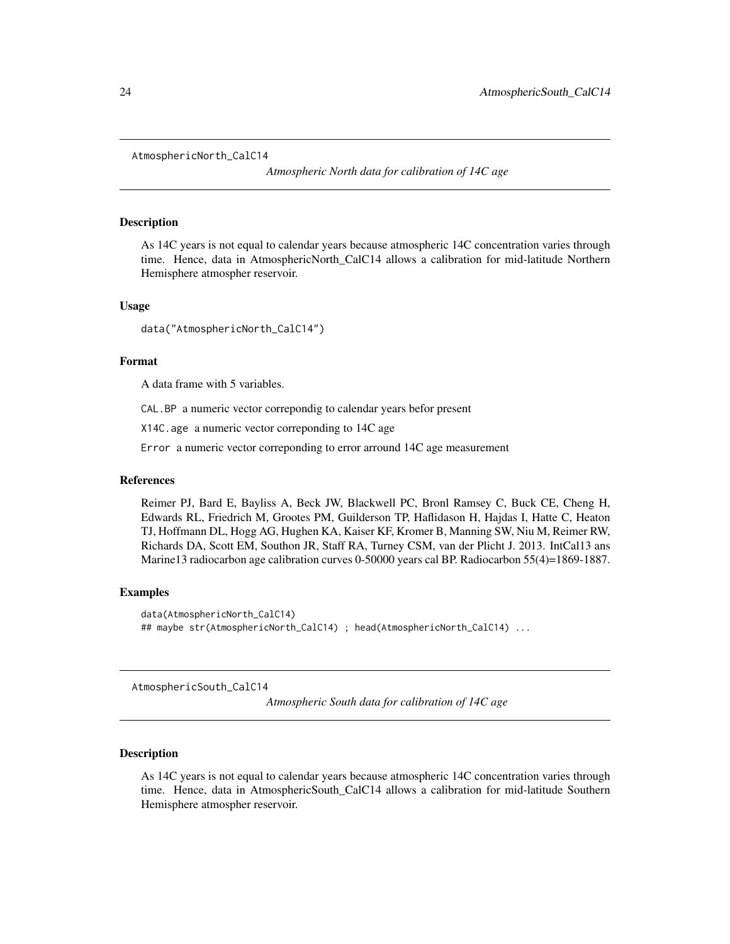<span id="page-23-0"></span>AtmosphericNorth\_CalC14

*Atmospheric North data for calibration of 14C age*

#### Description

As 14C years is not equal to calendar years because atmospheric 14C concentration varies through time. Hence, data in AtmosphericNorth\_CalC14 allows a calibration for mid-latitude Northern Hemisphere atmospher reservoir.

#### Usage

data("AtmosphericNorth\_CalC14")

#### Format

A data frame with 5 variables.

CAL.BP a numeric vector correpondig to calendar years befor present

X14C.age a numeric vector correponding to 14C age

Error a numeric vector correponding to error arround 14C age measurement

#### References

Reimer PJ, Bard E, Bayliss A, Beck JW, Blackwell PC, Bronl Ramsey C, Buck CE, Cheng H, Edwards RL, Friedrich M, Grootes PM, Guilderson TP, Haflidason H, Hajdas I, Hatte C, Heaton TJ, Hoffmann DL, Hogg AG, Hughen KA, Kaiser KF, Kromer B, Manning SW, Niu M, Reimer RW, Richards DA, Scott EM, Southon JR, Staff RA, Turney CSM, van der Plicht J. 2013. IntCal13 ans Marine13 radiocarbon age calibration curves 0-50000 years cal BP. Radiocarbon 55(4)=1869-1887.

#### Examples

```
data(AtmosphericNorth_CalC14)
## maybe str(AtmosphericNorth_CalC14) ; head(AtmosphericNorth_CalC14) ...
```
AtmosphericSouth\_CalC14

*Atmospheric South data for calibration of 14C age*

#### **Description**

As 14C years is not equal to calendar years because atmospheric 14C concentration varies through time. Hence, data in AtmosphericSouth\_CalC14 allows a calibration for mid-latitude Southern Hemisphere atmospher reservoir.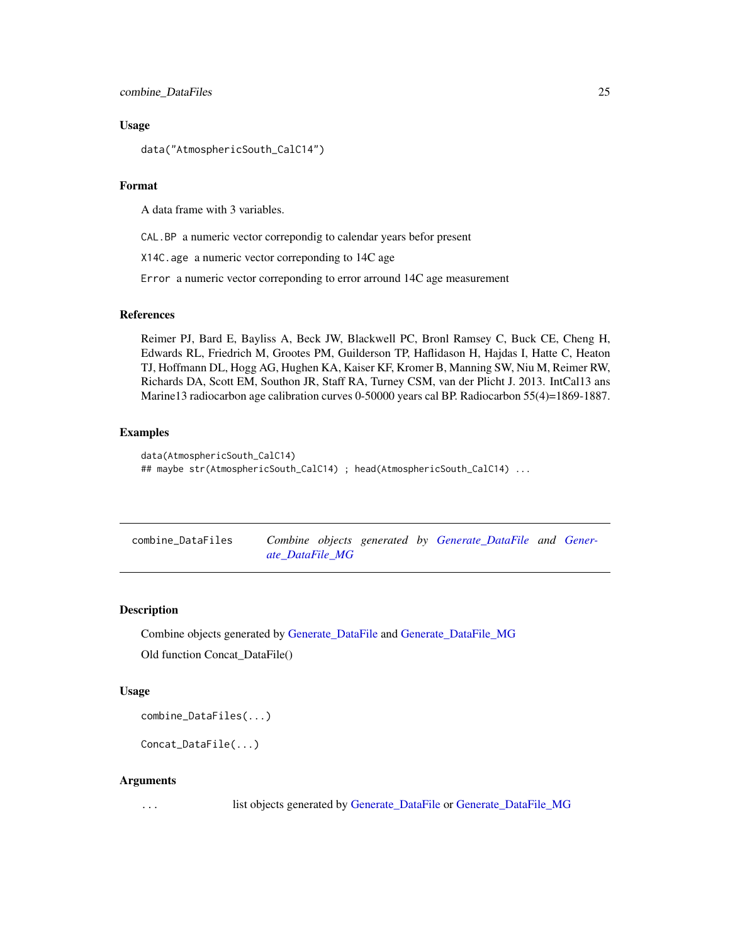#### <span id="page-24-0"></span>Usage

data("AtmosphericSouth\_CalC14")

#### Format

A data frame with 3 variables.

CAL.BP a numeric vector correpondig to calendar years befor present

X14C.age a numeric vector correponding to 14C age

Error a numeric vector correponding to error arround 14C age measurement

## References

Reimer PJ, Bard E, Bayliss A, Beck JW, Blackwell PC, Bronl Ramsey C, Buck CE, Cheng H, Edwards RL, Friedrich M, Grootes PM, Guilderson TP, Haflidason H, Hajdas I, Hatte C, Heaton TJ, Hoffmann DL, Hogg AG, Hughen KA, Kaiser KF, Kromer B, Manning SW, Niu M, Reimer RW, Richards DA, Scott EM, Southon JR, Staff RA, Turney CSM, van der Plicht J. 2013. IntCal13 ans Marine13 radiocarbon age calibration curves 0-50000 years cal BP. Radiocarbon 55(4)=1869-1887.

## Examples

```
data(AtmosphericSouth_CalC14)
## maybe str(AtmosphericSouth_CalC14) ; head(AtmosphericSouth_CalC14) ...
```
<span id="page-24-1"></span>

| combine_DataFiles |                 |  | Combine objects generated by Generate_DataFile and Gener- |  |
|-------------------|-----------------|--|-----------------------------------------------------------|--|
|                   | ate DataFile MG |  |                                                           |  |

## **Description**

Combine objects generated by [Generate\\_DataFile](#page-29-1) and [Generate\\_DataFile\\_MG](#page-33-1) Old function Concat\_DataFile()

#### Usage

combine\_DataFiles(...)

Concat\_DataFile(...)

#### Arguments

... list objects generated by [Generate\\_DataFile](#page-29-1) or [Generate\\_DataFile\\_MG](#page-33-1)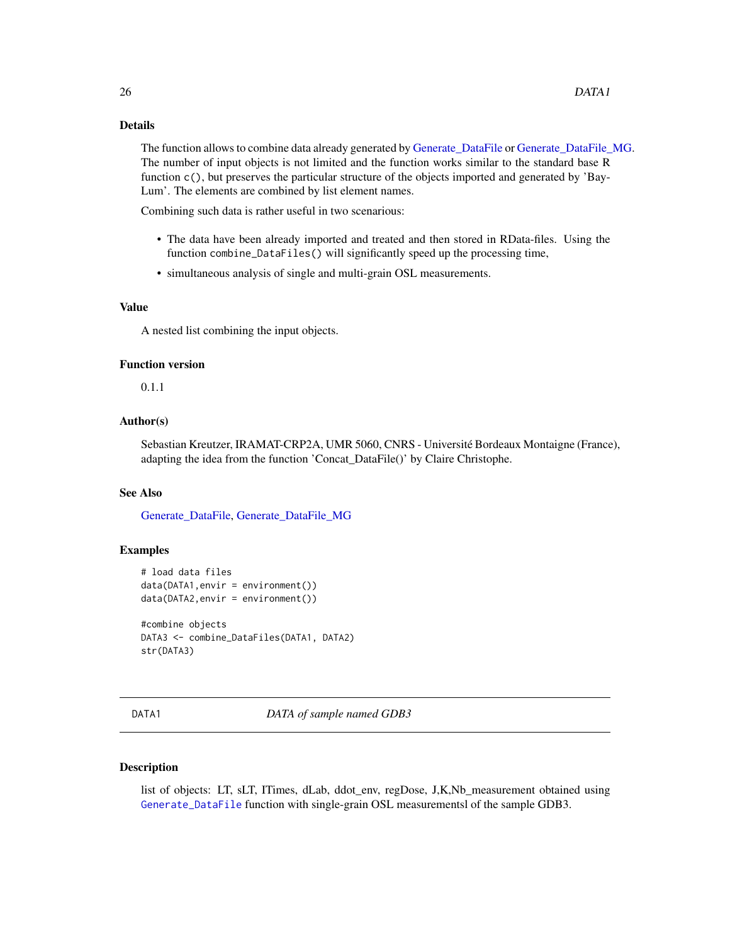#### <span id="page-25-0"></span>Details

The function allows to combine data already generated by [Generate\\_DataFile](#page-29-1) or [Generate\\_DataFile\\_MG.](#page-33-1) The number of input objects is not limited and the function works similar to the standard base R function c(), but preserves the particular structure of the objects imported and generated by 'Bay-Lum'. The elements are combined by list element names.

Combining such data is rather useful in two scenarious:

- The data have been already imported and treated and then stored in RData-files. Using the function combine\_DataFiles() will significantly speed up the processing time,
- simultaneous analysis of single and multi-grain OSL measurements.

#### Value

A nested list combining the input objects.

#### Function version

0.1.1

## Author(s)

Sebastian Kreutzer, IRAMAT-CRP2A, UMR 5060, CNRS - Université Bordeaux Montaigne (France), adapting the idea from the function 'Concat\_DataFile()' by Claire Christophe.

#### See Also

[Generate\\_DataFile,](#page-29-1) [Generate\\_DataFile\\_MG](#page-33-1)

#### Examples

```
# load data files
data(DATA1,envir = environment())
data(DATA2,envir = environment())
#combine objects
DATA3 <- combine_DataFiles(DATA1, DATA2)
str(DATA3)
```
DATA1 *DATA of sample named GDB3*

#### Description

list of objects: LT, sLT, ITimes, dLab, ddot\_env, regDose, J,K,Nb\_measurement obtained using [Generate\\_DataFile](#page-29-1) function with single-grain OSL measurementsl of the sample GDB3.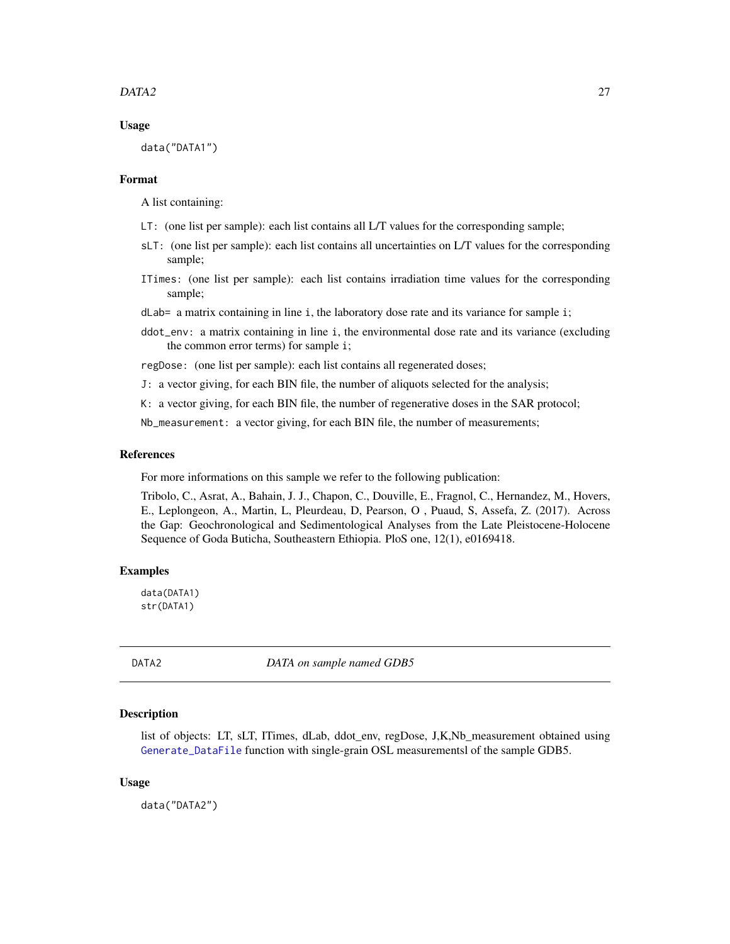#### <span id="page-26-0"></span> $DATA2$  27

#### Usage

data("DATA1")

### Format

A list containing:

- LT: (one list per sample): each list contains all L/T values for the corresponding sample;
- sLT: (one list per sample): each list contains all uncertainties on L/T values for the corresponding sample;
- ITimes: (one list per sample): each list contains irradiation time values for the corresponding sample;

dLab= a matrix containing in line i, the laboratory dose rate and its variance for sample i;

ddot\_env: a matrix containing in line i, the environmental dose rate and its variance (excluding the common error terms) for sample i;

regDose: (one list per sample): each list contains all regenerated doses;

J: a vector giving, for each BIN file, the number of aliquots selected for the analysis;

K: a vector giving, for each BIN file, the number of regenerative doses in the SAR protocol;

Nb\_measurement: a vector giving, for each BIN file, the number of measurements;

#### References

For more informations on this sample we refer to the following publication:

Tribolo, C., Asrat, A., Bahain, J. J., Chapon, C., Douville, E., Fragnol, C., Hernandez, M., Hovers, E., Leplongeon, A., Martin, L, Pleurdeau, D, Pearson, O , Puaud, S, Assefa, Z. (2017). Across the Gap: Geochronological and Sedimentological Analyses from the Late Pleistocene-Holocene Sequence of Goda Buticha, Southeastern Ethiopia. PloS one, 12(1), e0169418.

#### Examples

data(DATA1) str(DATA1)

DATA2 *DATA on sample named GDB5*

## Description

list of objects: LT, sLT, ITimes, dLab, ddot\_env, regDose, J,K,Nb\_measurement obtained using [Generate\\_DataFile](#page-29-1) function with single-grain OSL measurementsl of the sample GDB5.

#### Usage

data("DATA2")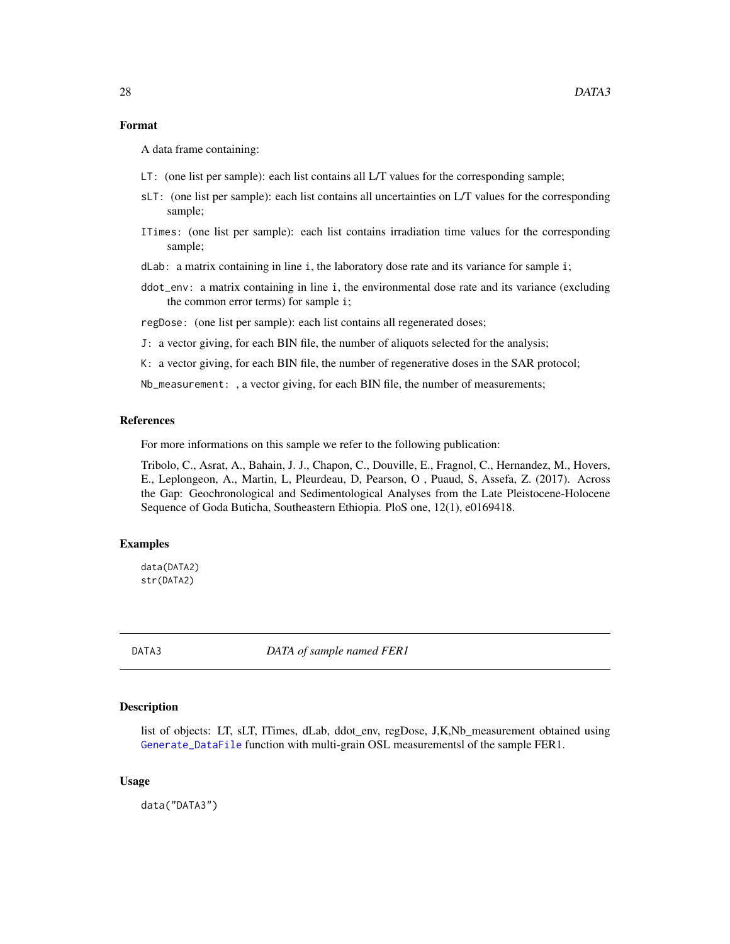#### <span id="page-27-0"></span>Format

A data frame containing:

- LT: (one list per sample): each list contains all L/T values for the corresponding sample;
- sLT: (one list per sample): each list contains all uncertainties on L/T values for the corresponding sample;
- ITimes: (one list per sample): each list contains irradiation time values for the corresponding sample;
- dLab: a matrix containing in line i, the laboratory dose rate and its variance for sample i;
- ddot\_env: a matrix containing in line i, the environmental dose rate and its variance (excluding the common error terms) for sample i;

regDose: (one list per sample): each list contains all regenerated doses;

- J: a vector giving, for each BIN file, the number of aliquots selected for the analysis;
- K: a vector giving, for each BIN file, the number of regenerative doses in the SAR protocol;

Nb\_measurement: , a vector giving, for each BIN file, the number of measurements;

#### References

For more informations on this sample we refer to the following publication:

Tribolo, C., Asrat, A., Bahain, J. J., Chapon, C., Douville, E., Fragnol, C., Hernandez, M., Hovers, E., Leplongeon, A., Martin, L, Pleurdeau, D, Pearson, O , Puaud, S, Assefa, Z. (2017). Across the Gap: Geochronological and Sedimentological Analyses from the Late Pleistocene-Holocene Sequence of Goda Buticha, Southeastern Ethiopia. PloS one, 12(1), e0169418.

### Examples

data(DATA2) str(DATA2)

DATA3 *DATA of sample named FER1*

### Description

list of objects: LT, sLT, ITimes, dLab, ddot\_env, regDose, J,K,Nb\_measurement obtained using [Generate\\_DataFile](#page-29-1) function with multi-grain OSL measurementsl of the sample FER1.

#### Usage

data("DATA3")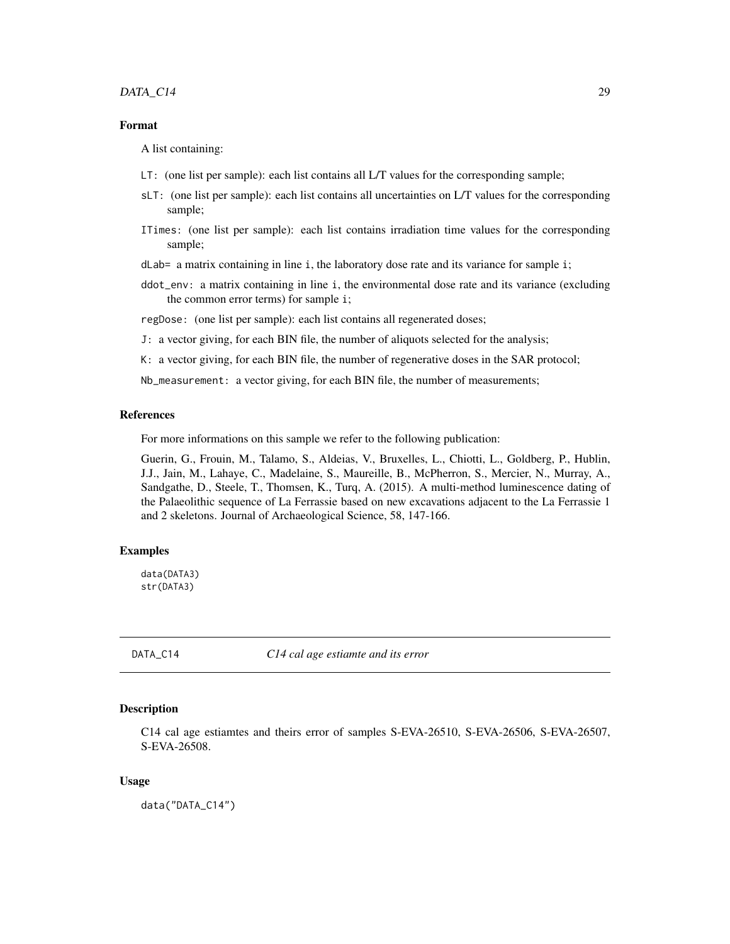## <span id="page-28-0"></span>DATA\_C14 29

## Format

A list containing:

- LT: (one list per sample): each list contains all L/T values for the corresponding sample;
- sLT: (one list per sample): each list contains all uncertainties on L/T values for the corresponding sample;
- ITimes: (one list per sample): each list contains irradiation time values for the corresponding sample;

 $d$ Lab= a matrix containing in line i, the laboratory dose rate and its variance for sample i;

ddot\_env: a matrix containing in line i, the environmental dose rate and its variance (excluding the common error terms) for sample i;

regDose: (one list per sample): each list contains all regenerated doses;

J: a vector giving, for each BIN file, the number of aliquots selected for the analysis;

K: a vector giving, for each BIN file, the number of regenerative doses in the SAR protocol;

Nb\_measurement: a vector giving, for each BIN file, the number of measurements;

#### References

For more informations on this sample we refer to the following publication:

Guerin, G., Frouin, M., Talamo, S., Aldeias, V., Bruxelles, L., Chiotti, L., Goldberg, P., Hublin, J.J., Jain, M., Lahaye, C., Madelaine, S., Maureille, B., McPherron, S., Mercier, N., Murray, A., Sandgathe, D., Steele, T., Thomsen, K., Turq, A. (2015). A multi-method luminescence dating of the Palaeolithic sequence of La Ferrassie based on new excavations adjacent to the La Ferrassie 1 and 2 skeletons. Journal of Archaeological Science, 58, 147-166.

## Examples

data(DATA3) str(DATA3)

DATA\_C14 *C14 cal age estiamte and its error*

## Description

C14 cal age estiamtes and theirs error of samples S-EVA-26510, S-EVA-26506, S-EVA-26507, S-EVA-26508.

#### Usage

data("DATA\_C14")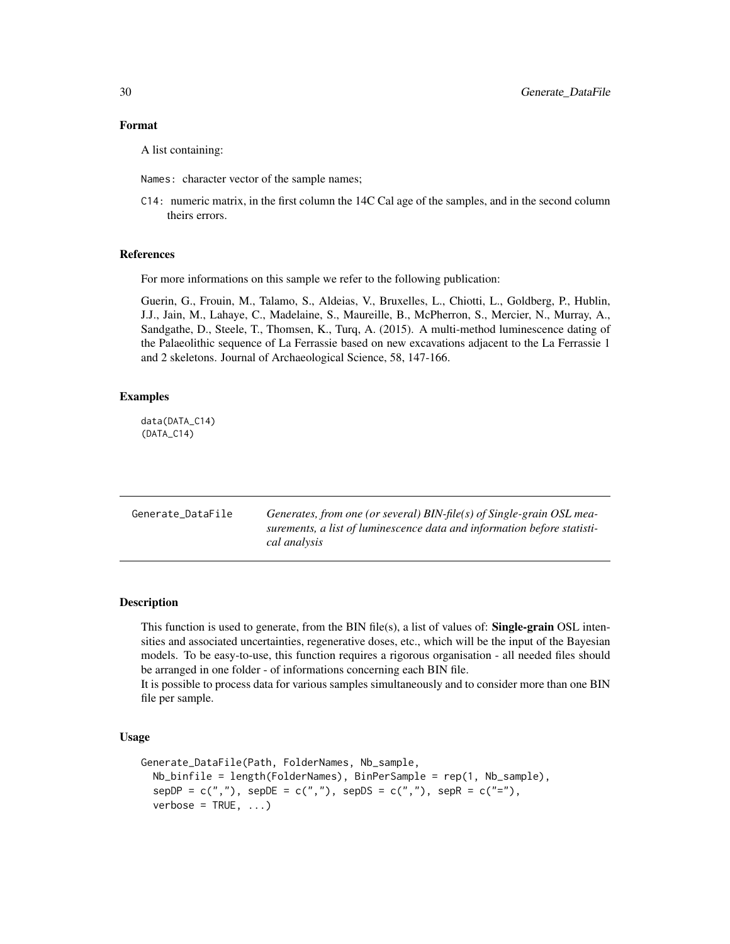#### <span id="page-29-0"></span>Format

A list containing:

Names: character vector of the sample names;

C14: numeric matrix, in the first column the 14C Cal age of the samples, and in the second column theirs errors.

#### References

For more informations on this sample we refer to the following publication:

Guerin, G., Frouin, M., Talamo, S., Aldeias, V., Bruxelles, L., Chiotti, L., Goldberg, P., Hublin, J.J., Jain, M., Lahaye, C., Madelaine, S., Maureille, B., McPherron, S., Mercier, N., Murray, A., Sandgathe, D., Steele, T., Thomsen, K., Turq, A. (2015). A multi-method luminescence dating of the Palaeolithic sequence of La Ferrassie based on new excavations adjacent to the La Ferrassie 1 and 2 skeletons. Journal of Archaeological Science, 58, 147-166.

## Examples

data(DATA\_C14) (DATA\_C14)

<span id="page-29-1"></span>

| Generate_DataFile | Generates, from one (or several) $BIN-file(s)$ of Single-grain OSL mea- |
|-------------------|-------------------------------------------------------------------------|
|                   | surements, a list of luminescence data and information before statisti- |
|                   | cal analysis                                                            |

## **Description**

This function is used to generate, from the BIN file(s), a list of values of: **Single-grain** OSL intensities and associated uncertainties, regenerative doses, etc., which will be the input of the Bayesian models. To be easy-to-use, this function requires a rigorous organisation - all needed files should be arranged in one folder - of informations concerning each BIN file.

It is possible to process data for various samples simultaneously and to consider more than one BIN file per sample.

#### Usage

```
Generate_DataFile(Path, FolderNames, Nb_sample,
  Nb_binfile = length(FolderNames), BinPerSample = rep(1, Nb_sample),
  sepDP = c(","'), sepDE = c(","'), sepDS = c(","'), sepR = c("=""),
  verbose = TRUE, ...)
```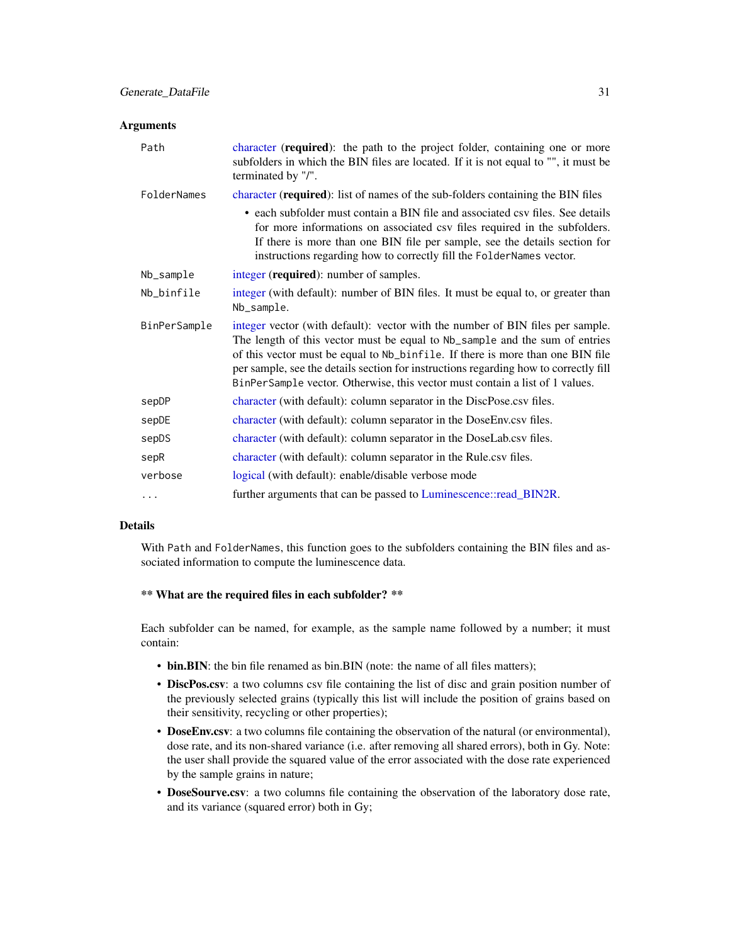#### <span id="page-30-0"></span>**Arguments**

| Path         | character (required): the path to the project folder, containing one or more<br>subfolders in which the BIN files are located. If it is not equal to "", it must be<br>terminated by "/".                                                                                                                                                                                                                               |  |
|--------------|-------------------------------------------------------------------------------------------------------------------------------------------------------------------------------------------------------------------------------------------------------------------------------------------------------------------------------------------------------------------------------------------------------------------------|--|
| FolderNames  | character (required): list of names of the sub-folders containing the BIN files                                                                                                                                                                                                                                                                                                                                         |  |
|              | • each subfolder must contain a BIN file and associated csv files. See details<br>for more informations on associated csv files required in the subfolders.<br>If there is more than one BIN file per sample, see the details section for<br>instructions regarding how to correctly fill the FolderNames vector.                                                                                                       |  |
| Nb_sample    | integer (required): number of samples.                                                                                                                                                                                                                                                                                                                                                                                  |  |
| Nb_binfile   | integer (with default): number of BIN files. It must be equal to, or greater than<br>Nb_sample.                                                                                                                                                                                                                                                                                                                         |  |
| BinPerSample | integer vector (with default): vector with the number of BIN files per sample.<br>The length of this vector must be equal to Nb_sample and the sum of entries<br>of this vector must be equal to Nb_binfile. If there is more than one BIN file<br>per sample, see the details section for instructions regarding how to correctly fill<br>BinPerSample vector. Otherwise, this vector must contain a list of 1 values. |  |
| sepDP        | character (with default): column separator in the DiscPose.csv files.                                                                                                                                                                                                                                                                                                                                                   |  |
| sepDE        | character (with default): column separator in the DoseEnv.csv files.                                                                                                                                                                                                                                                                                                                                                    |  |
| sepDS        | character (with default): column separator in the DoseLab.csv files.                                                                                                                                                                                                                                                                                                                                                    |  |
| sepR         | character (with default): column separator in the Rule.csv files.                                                                                                                                                                                                                                                                                                                                                       |  |
| verbose      | logical (with default): enable/disable verbose mode                                                                                                                                                                                                                                                                                                                                                                     |  |
| $\cdots$     | further arguments that can be passed to Luminescence::read_BIN2R.                                                                                                                                                                                                                                                                                                                                                       |  |

## Details

With Path and FolderNames, this function goes to the subfolders containing the BIN files and associated information to compute the luminescence data.

#### \*\* What are the required files in each subfolder? \*\*

Each subfolder can be named, for example, as the sample name followed by a number; it must contain:

- bin.BIN: the bin file renamed as bin.BIN (note: the name of all files matters);
- DiscPos.csv: a two columns csv file containing the list of disc and grain position number of the previously selected grains (typically this list will include the position of grains based on their sensitivity, recycling or other properties);
- DoseEnv.csv: a two columns file containing the observation of the natural (or environmental), dose rate, and its non-shared variance (i.e. after removing all shared errors), both in Gy. Note: the user shall provide the squared value of the error associated with the dose rate experienced by the sample grains in nature;
- DoseSourve.csv: a two columns file containing the observation of the laboratory dose rate, and its variance (squared error) both in Gy;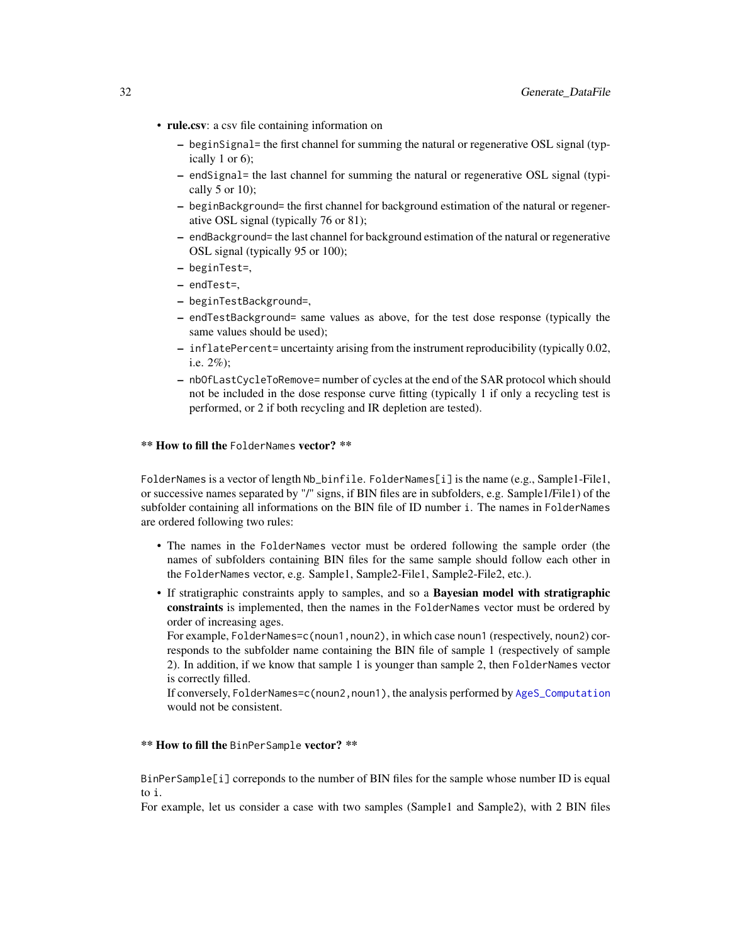- <span id="page-31-0"></span>• rule.csv: a csv file containing information on
	- beginSignal= the first channel for summing the natural or regenerative OSL signal (typically 1 or 6);
	- endSignal= the last channel for summing the natural or regenerative OSL signal (typically  $5$  or  $10$ );
	- beginBackground= the first channel for background estimation of the natural or regenerative OSL signal (typically 76 or 81);
	- endBackground= the last channel for background estimation of the natural or regenerative OSL signal (typically 95 or 100);
	- beginTest=,
	- endTest=,
	- beginTestBackground=,
	- endTestBackground= same values as above, for the test dose response (typically the same values should be used);
	- inflatePercent= uncertainty arising from the instrument reproducibility (typically 0.02, i.e. 2%);
	- nbOfLastCycleToRemove= number of cycles at the end of the SAR protocol which should not be included in the dose response curve fitting (typically 1 if only a recycling test is performed, or 2 if both recycling and IR depletion are tested).

#### \*\* How to fill the FolderNames vector? \*\*

FolderNames is a vector of length Nb\_binfile. FolderNames[i] is the name (e.g., Sample1-File1, or successive names separated by "/" signs, if BIN files are in subfolders, e.g. Sample1/File1) of the subfolder containing all informations on the BIN file of ID number i. The names in FolderNames are ordered following two rules:

- The names in the FolderNames vector must be ordered following the sample order (the names of subfolders containing BIN files for the same sample should follow each other in the FolderNames vector, e.g. Sample1, Sample2-File1, Sample2-File2, etc.).
- If stratigraphic constraints apply to samples, and so a Bayesian model with stratigraphic constraints is implemented, then the names in the FolderNames vector must be ordered by order of increasing ages.

For example, FolderNames=c(noun1,noun2), in which case noun1 (respectively, noun2) corresponds to the subfolder name containing the BIN file of sample 1 (respectively of sample 2). In addition, if we know that sample 1 is younger than sample 2, then FolderNames vector is correctly filled.

If conversely, FolderNames=c(noun2,noun1), the analysis performed by [AgeS\\_Computation](#page-6-1) would not be consistent.

#### \*\* How to fill the BinPerSample vector? \*\*

BinPerSample[i] correponds to the number of BIN files for the sample whose number ID is equal to i.

For example, let us consider a case with two samples (Sample1 and Sample2), with 2 BIN files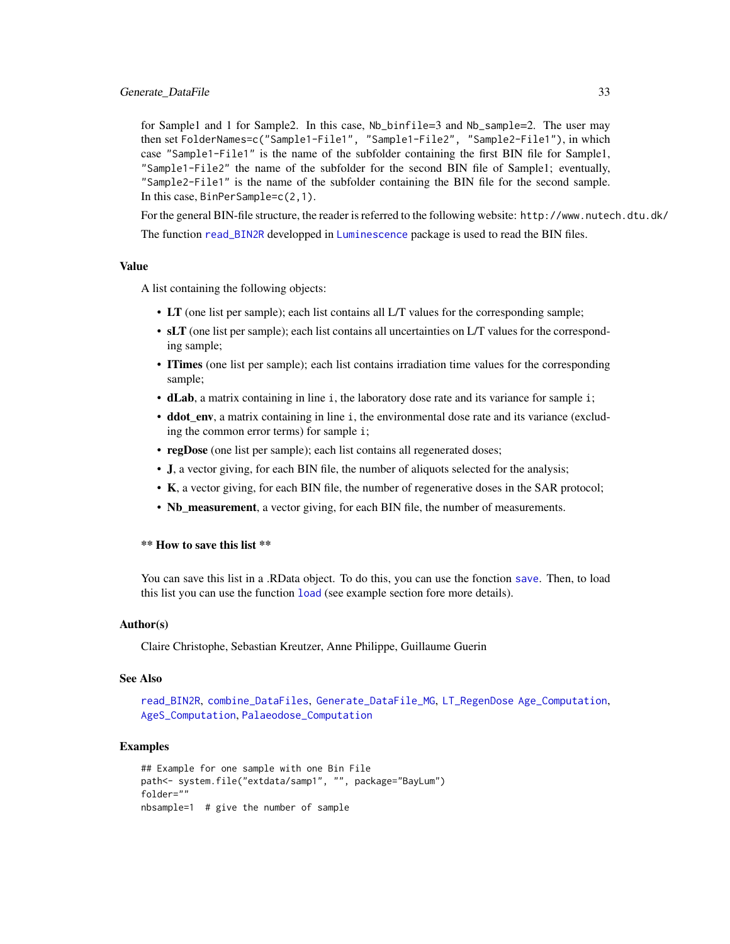<span id="page-32-0"></span>for Sample1 and 1 for Sample2. In this case, Nb\_binfile=3 and Nb\_sample=2. The user may then set FolderNames=c("Sample1-File1", "Sample1-File2", "Sample2-File1"), in which case "Sample1-File1" is the name of the subfolder containing the first BIN file for Sample1, "Sample1-File2" the name of the subfolder for the second BIN file of Sample1; eventually, "Sample2-File1" is the name of the subfolder containing the BIN file for the second sample. In this case, BinPerSample=c(2,1).

For the general BIN-file structure, the reader is referred to the following website: http://www.nutech.dtu.dk/

The function [read\\_BIN2R](#page-0-0) developped in [Luminescence](#page-0-0) package is used to read the BIN files.

#### Value

A list containing the following objects:

- LT (one list per sample); each list contains all L/T values for the corresponding sample;
- sLT (one list per sample); each list contains all uncertainties on L/T values for the corresponding sample;
- ITimes (one list per sample); each list contains irradiation time values for the corresponding sample;
- dLab, a matrix containing in line i, the laboratory dose rate and its variance for sample i;
- **ddot\_env**, a matrix containing in line i, the environmental dose rate and its variance (excluding the common error terms) for sample i;
- regDose (one list per sample); each list contains all regenerated doses;
- J, a vector giving, for each BIN file, the number of aliquots selected for the analysis;
- K, a vector giving, for each BIN file, the number of regenerative doses in the SAR protocol;
- Nb\_measurement, a vector giving, for each BIN file, the number of measurements.

#### \*\* How to save this list \*\*

You can save this list in a .RData object. To do this, you can use the fonction [save](#page-0-0). Then, to load this list you can use the function [load](#page-0-0) (see example section fore more details).

#### Author(s)

Claire Christophe, Sebastian Kreutzer, Anne Philippe, Guillaume Guerin

#### See Also

[read\\_BIN2R](#page-0-0), [combine\\_DataFiles](#page-24-1), [Generate\\_DataFile\\_MG](#page-33-1), [LT\\_RegenDose](#page-37-1) [Age\\_Computation](#page-12-1), [AgeS\\_Computation](#page-6-1), [Palaeodose\\_Computation](#page-47-1)

#### Examples

```
## Example for one sample with one Bin File
path<- system.file("extdata/samp1", "", package="BayLum")
folder=""
nbsample=1 # give the number of sample
```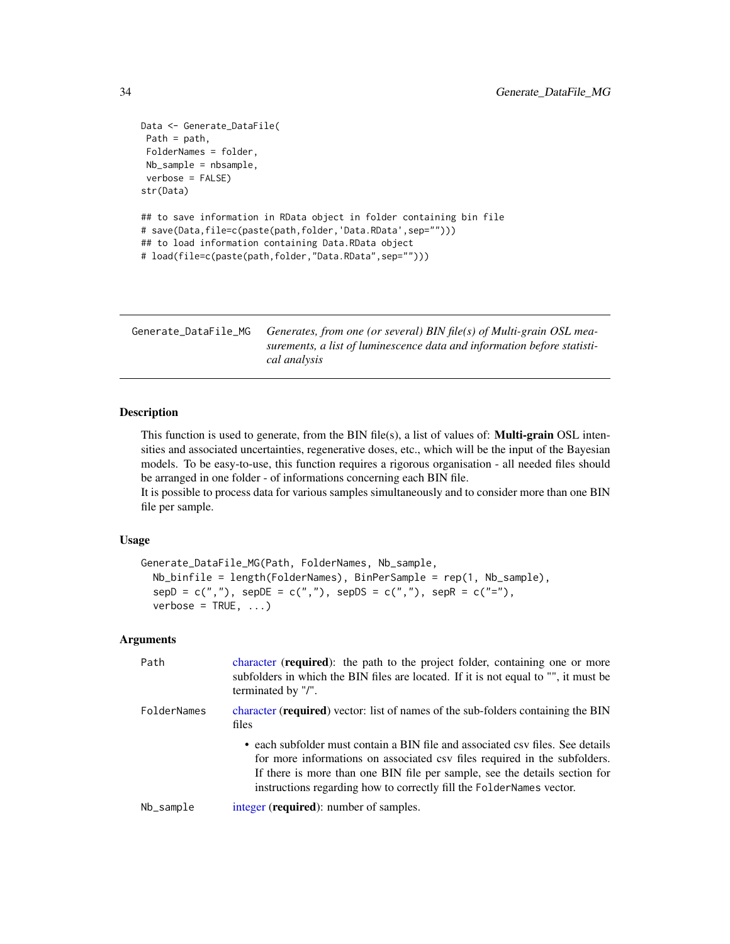```
Data <- Generate_DataFile(
Path = path,
FolderNames = folder,
Nb_sample = nbsample,
verbose = FALSE)
str(Data)
## to save information in RData object in folder containing bin file
# save(Data,file=c(paste(path,folder,'Data.RData',sep="")))
## to load information containing Data.RData object
# load(file=c(paste(path,folder,"Data.RData",sep="")))
```
<span id="page-33-1"></span>Generate\_DataFile\_MG *Generates, from one (or several) BIN file(s) of Multi-grain OSL measurements, a list of luminescence data and information before statistical analysis*

## Description

This function is used to generate, from the BIN file(s), a list of values of: **Multi-grain** OSL intensities and associated uncertainties, regenerative doses, etc., which will be the input of the Bayesian models. To be easy-to-use, this function requires a rigorous organisation - all needed files should be arranged in one folder - of informations concerning each BIN file.

It is possible to process data for various samples simultaneously and to consider more than one BIN file per sample.

#### Usage

```
Generate_DataFile_MG(Path, FolderNames, Nb_sample,
 Nb_binfile = length(FolderNames), BinPerSample = rep(1, Nb_sample),
  sepD = c(","'), sepDE = c(","'), sepDS = c(","'), sepR = c("="",verbose = TRUE, ...)
```
#### Arguments

| Path        | character ( <b>required</b> ): the path to the project folder, containing one or more<br>subfolders in which the BIN files are located. If it is not equal to "", it must be<br>terminated by "/".                                                                                                                |  |
|-------------|-------------------------------------------------------------------------------------------------------------------------------------------------------------------------------------------------------------------------------------------------------------------------------------------------------------------|--|
| FolderNames | character (required) vector: list of names of the sub-folders containing the BIN<br>files                                                                                                                                                                                                                         |  |
|             | • each subfolder must contain a BIN file and associated csy files. See details<br>for more informations on associated csy files required in the subfolders.<br>If there is more than one BIN file per sample, see the details section for<br>instructions regarding how to correctly fill the FolderNames vector. |  |
| Nb_sample   | integer ( <b>required</b> ): number of samples.                                                                                                                                                                                                                                                                   |  |

<span id="page-33-0"></span>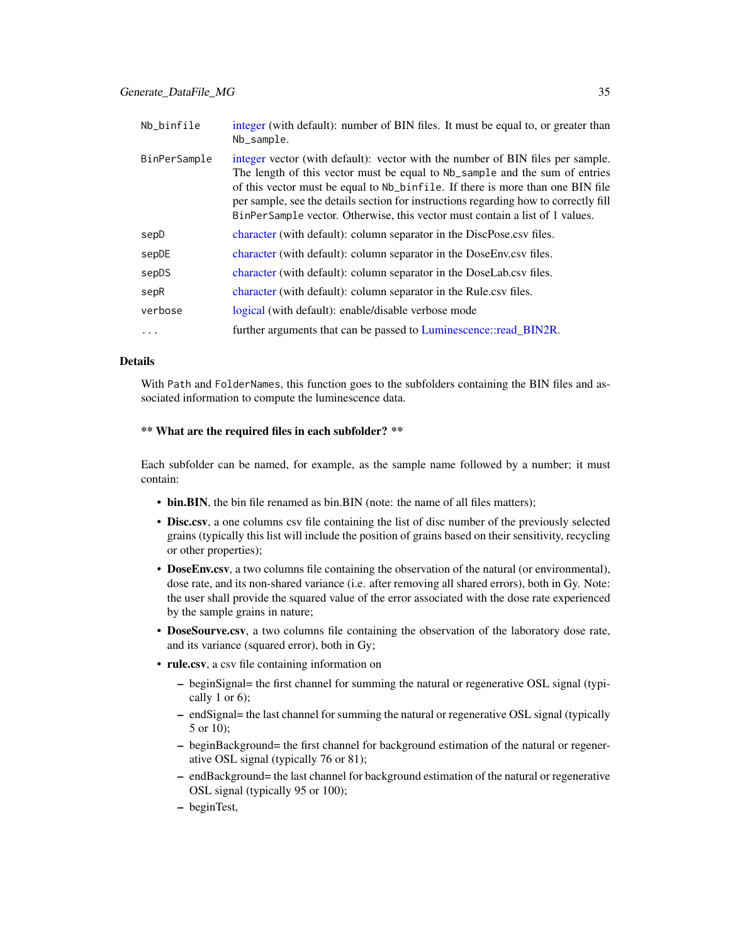<span id="page-34-0"></span>

| Nb_binfile   | integer (with default): number of BIN files. It must be equal to, or greater than<br>Nb_sample.                                                                                                                                                                                                                                                                                                                                      |  |
|--------------|--------------------------------------------------------------------------------------------------------------------------------------------------------------------------------------------------------------------------------------------------------------------------------------------------------------------------------------------------------------------------------------------------------------------------------------|--|
| BinPerSample | integer vector (with default): vector with the number of BIN files per sample.<br>The length of this vector must be equal to Nb <sub>-</sub> sample and the sum of entries<br>of this vector must be equal to Nb_binfile. If there is more than one BIN file<br>per sample, see the details section for instructions regarding how to correctly fill<br>BinPerSample vector. Otherwise, this vector must contain a list of 1 values. |  |
| sepD         | character (with default): column separator in the DiscPose.csv files.                                                                                                                                                                                                                                                                                                                                                                |  |
| sepDE        | character (with default): column separator in the DoseEnv.csv files.                                                                                                                                                                                                                                                                                                                                                                 |  |
| sepDS        | character (with default): column separator in the DoseLab.csv files.                                                                                                                                                                                                                                                                                                                                                                 |  |
| sepR         | character (with default): column separator in the Rule.csv files.                                                                                                                                                                                                                                                                                                                                                                    |  |
| verbose      | logical (with default): enable/disable verbose mode                                                                                                                                                                                                                                                                                                                                                                                  |  |
| .            | further arguments that can be passed to Luminescence::read_BIN2R.                                                                                                                                                                                                                                                                                                                                                                    |  |

## Details

With Path and FolderNames, this function goes to the subfolders containing the BIN files and associated information to compute the luminescence data.

#### \*\* What are the required files in each subfolder? \*\*

Each subfolder can be named, for example, as the sample name followed by a number; it must contain:

- bin.BIN, the bin file renamed as bin.BIN (note: the name of all files matters);
- Disc.csv, a one columns csv file containing the list of disc number of the previously selected grains (typically this list will include the position of grains based on their sensitivity, recycling or other properties);
- DoseEnv.csv, a two columns file containing the observation of the natural (or environmental), dose rate, and its non-shared variance (i.e. after removing all shared errors), both in Gy. Note: the user shall provide the squared value of the error associated with the dose rate experienced by the sample grains in nature;
- DoseSourve.csv, a two columns file containing the observation of the laboratory dose rate, and its variance (squared error), both in Gy;
- rule.csv, a csv file containing information on
	- beginSignal= the first channel for summing the natural or regenerative OSL signal (typically 1 or 6);
	- endSignal= the last channel for summing the natural or regenerative OSL signal (typically 5 or 10);
	- beginBackground= the first channel for background estimation of the natural or regenerative OSL signal (typically 76 or 81);
	- endBackground= the last channel for background estimation of the natural or regenerative OSL signal (typically 95 or 100);
	- beginTest,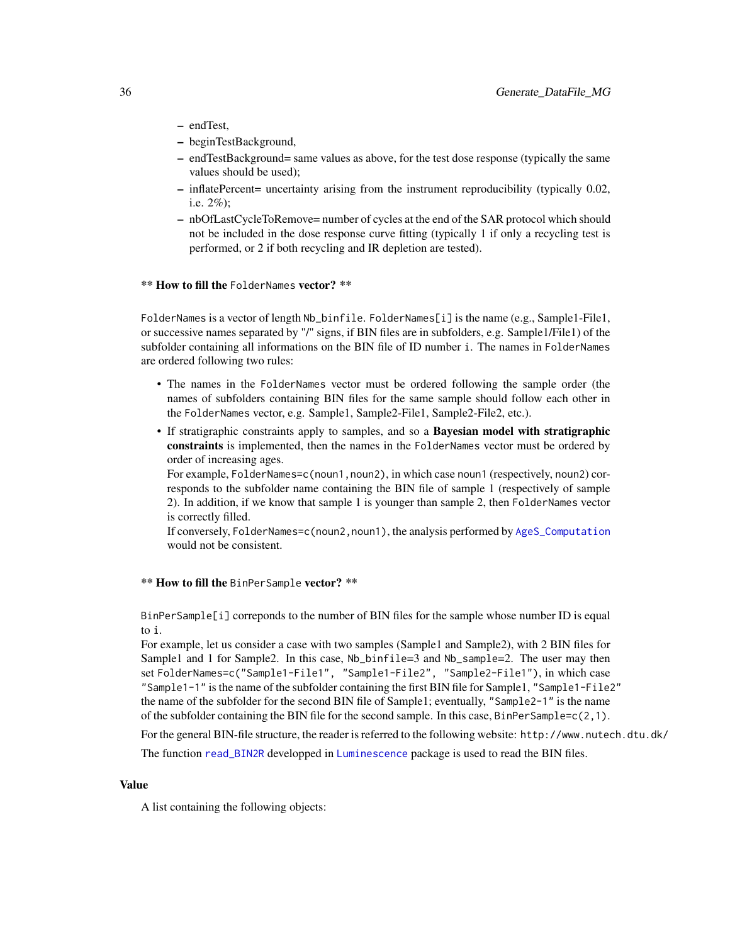- <span id="page-35-0"></span>– endTest,
- beginTestBackground,
- endTestBackground= same values as above, for the test dose response (typically the same values should be used);
- inflatePercent= uncertainty arising from the instrument reproducibility (typically 0.02, i.e. 2%);
- nbOfLastCycleToRemove= number of cycles at the end of the SAR protocol which should not be included in the dose response curve fitting (typically 1 if only a recycling test is performed, or 2 if both recycling and IR depletion are tested).

#### \*\* How to fill the FolderNames vector? \*\*

FolderNames is a vector of length Nb\_binfile. FolderNames[i] is the name (e.g., Sample1-File1, or successive names separated by "/" signs, if BIN files are in subfolders, e.g. Sample1/File1) of the subfolder containing all informations on the BIN file of ID number i. The names in FolderNames are ordered following two rules:

- The names in the FolderNames vector must be ordered following the sample order (the names of subfolders containing BIN files for the same sample should follow each other in the FolderNames vector, e.g. Sample1, Sample2-File1, Sample2-File2, etc.).
- If stratigraphic constraints apply to samples, and so a Bayesian model with stratigraphic constraints is implemented, then the names in the FolderNames vector must be ordered by order of increasing ages.

For example, FolderNames=c(noun1, noun2), in which case noun1 (respectively, noun2) corresponds to the subfolder name containing the BIN file of sample 1 (respectively of sample 2). In addition, if we know that sample 1 is younger than sample 2, then FolderNames vector is correctly filled.

If conversely, FolderNames=c(noun2,noun1), the analysis performed by [AgeS\\_Computation](#page-6-1) would not be consistent.

#### \*\* How to fill the BinPerSample vector? \*\*

BinPerSample[i] correponds to the number of BIN files for the sample whose number ID is equal to i.

For example, let us consider a case with two samples (Sample1 and Sample2), with 2 BIN files for Sample1 and 1 for Sample2. In this case, Nb\_binfile=3 and Nb\_sample=2. The user may then set FolderNames=c("Sample1-File1", "Sample1-File2", "Sample2-File1"), in which case "Sample1-1" is the name of the subfolder containing the first BIN file for Sample1, "Sample1-File2" the name of the subfolder for the second BIN file of Sample1; eventually, "Sample2-1" is the name of the subfolder containing the BIN file for the second sample. In this case, BinPerSample=c(2,1).

For the general BIN-file structure, the reader is referred to the following website: http://www.nutech.dtu.dk/

The function [read\\_BIN2R](#page-0-0) developped in [Luminescence](#page-0-0) package is used to read the BIN files.

#### Value

A list containing the following objects: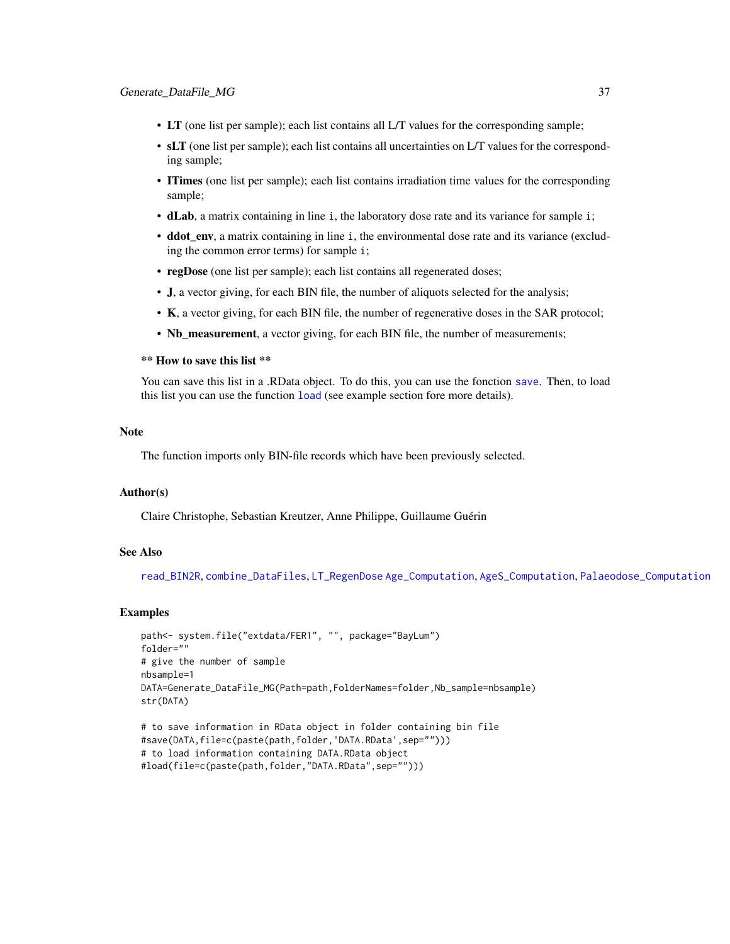- <span id="page-36-0"></span>• LT (one list per sample); each list contains all L/T values for the corresponding sample;
- sLT (one list per sample); each list contains all uncertainties on L/T values for the corresponding sample;
- ITimes (one list per sample); each list contains irradiation time values for the corresponding sample;
- dLab, a matrix containing in line i, the laboratory dose rate and its variance for sample i;
- ddot\_env, a matrix containing in line i, the environmental dose rate and its variance (excluding the common error terms) for sample i;
- regDose (one list per sample); each list contains all regenerated doses;
- J, a vector giving, for each BIN file, the number of aliquots selected for the analysis;
- K, a vector giving, for each BIN file, the number of regenerative doses in the SAR protocol;
- Nb\_measurement, a vector giving, for each BIN file, the number of measurements;

## \*\* How to save this list \*\*

You can save this list in a .RData object. To do this, you can use the fonction [save](#page-0-0). Then, to load this list you can use the function [load](#page-0-0) (see example section fore more details).

## **Note**

The function imports only BIN-file records which have been previously selected.

#### Author(s)

Claire Christophe, Sebastian Kreutzer, Anne Philippe, Guillaume Guérin

## See Also

[read\\_BIN2R](#page-0-0), [combine\\_DataFiles](#page-24-1), [LT\\_RegenDose](#page-37-1) [Age\\_Computation](#page-12-1), [AgeS\\_Computation](#page-6-1), [Palaeodose\\_Computation](#page-47-1)

#### Examples

```
path<- system.file("extdata/FER1", "", package="BayLum")
folder=""
# give the number of sample
nbsample=1
DATA=Generate_DataFile_MG(Path=path,FolderNames=folder,Nb_sample=nbsample)
str(DATA)
```

```
# to save information in RData object in folder containing bin file
#save(DATA,file=c(paste(path,folder,'DATA.RData',sep="")))
# to load information containing DATA.RData object
#load(file=c(paste(path,folder,"DATA.RData",sep="")))
```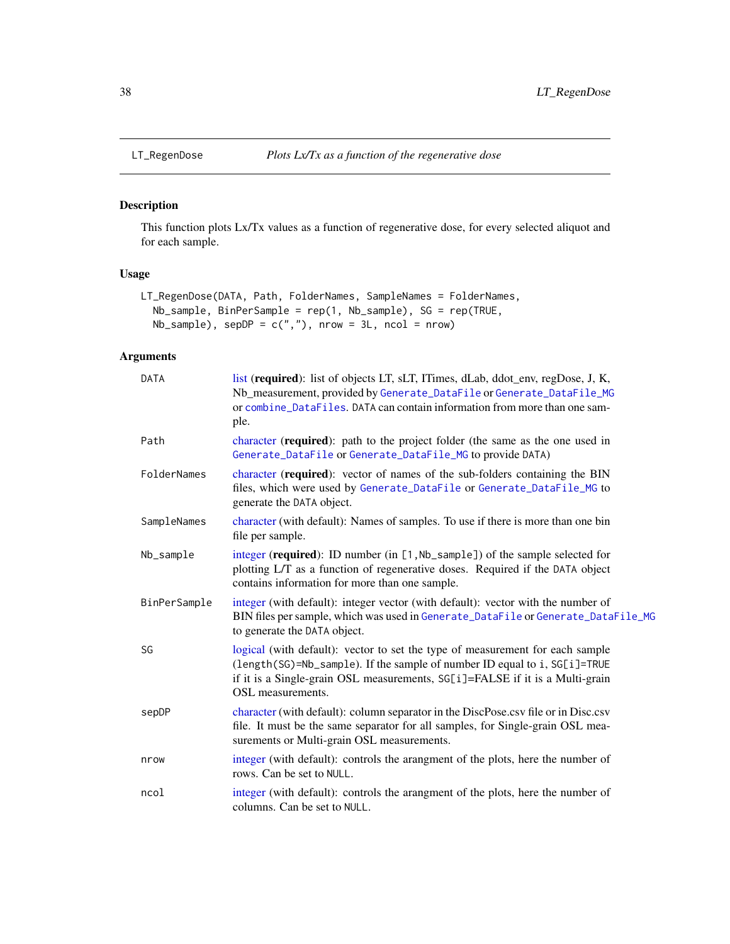<span id="page-37-1"></span><span id="page-37-0"></span>

## Description

This function plots Lx/Tx values as a function of regenerative dose, for every selected aliquot and for each sample.

## Usage

```
LT_RegenDose(DATA, Path, FolderNames, SampleNames = FolderNames,
 Nb_sample, BinPerSample = rep(1, Nb_sample), SG = rep(TRUE,
 Nb_sample), sepDP = c(","), nrow = 3L, ncol = nrow)
```
## Arguments

| <b>DATA</b>  | list (required): list of objects LT, sLT, ITimes, dLab, ddot_env, regDose, J, K,<br>Nb_measurement, provided by Generate_DataFile or Generate_DataFile_MG<br>or combine_DataFiles. DATA can contain information from more than one sam-<br>ple.                 |  |  |
|--------------|-----------------------------------------------------------------------------------------------------------------------------------------------------------------------------------------------------------------------------------------------------------------|--|--|
| Path         | character (required): path to the project folder (the same as the one used in<br>Generate_DataFile or Generate_DataFile_MG to provide DATA)                                                                                                                     |  |  |
| FolderNames  | character (required): vector of names of the sub-folders containing the BIN<br>files, which were used by Generate_DataFile or Generate_DataFile_MG to<br>generate the DATA object.                                                                              |  |  |
| SampleNames  | character (with default): Names of samples. To use if there is more than one bin<br>file per sample.                                                                                                                                                            |  |  |
| Nb_sample    | integer (required): ID number (in [1, Nb_sample]) of the sample selected for<br>plotting L/T as a function of regenerative doses. Required if the DATA object<br>contains information for more than one sample.                                                 |  |  |
| BinPerSample | integer (with default): integer vector (with default): vector with the number of<br>BIN files per sample, which was used in Generate_DataFile or Generate_DataFile_MG<br>to generate the DATA object.                                                           |  |  |
| SG           | logical (with default): vector to set the type of measurement for each sample<br>(length(SG)=Nb_sample). If the sample of number ID equal to i, SG[i]=TRUE<br>if it is a Single-grain OSL measurements, SG[i]=FALSE if it is a Multi-grain<br>OSL measurements. |  |  |
| sepDP        | character (with default): column separator in the DiscPose.csv file or in Disc.csv<br>file. It must be the same separator for all samples, for Single-grain OSL mea-<br>surements or Multi-grain OSL measurements.                                              |  |  |
| nrow         | integer (with default): controls the arangment of the plots, here the number of<br>rows. Can be set to NULL.                                                                                                                                                    |  |  |
| ncol         | integer (with default): controls the arangment of the plots, here the number of<br>columns. Can be set to NULL.                                                                                                                                                 |  |  |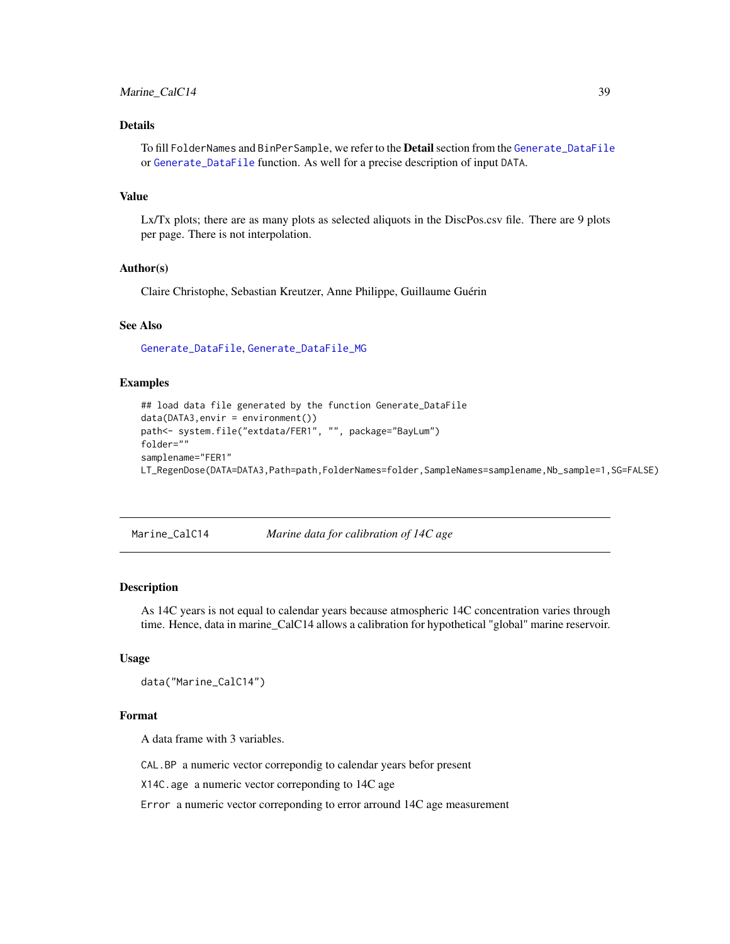## <span id="page-38-0"></span>Details

To fill FolderNames and BinPerSample, we refer to the **Detail** section from the [Generate\\_DataFile](#page-29-1) or [Generate\\_DataFile](#page-29-1) function. As well for a precise description of input DATA.

## Value

Lx/Tx plots; there are as many plots as selected aliquots in the DiscPos.csv file. There are 9 plots per page. There is not interpolation.

## Author(s)

Claire Christophe, Sebastian Kreutzer, Anne Philippe, Guillaume Guérin

#### See Also

[Generate\\_DataFile](#page-29-1), [Generate\\_DataFile\\_MG](#page-33-1)

### Examples

```
## load data file generated by the function Generate_DataFile
data(DATA3,envir = environment())
path<- system.file("extdata/FER1", "", package="BayLum")
folder=""
samplename="FER1"
LT_RegenDose(DATA=DATA3,Path=path,FolderNames=folder,SampleNames=samplename,Nb_sample=1,SG=FALSE)
```
Marine\_CalC14 *Marine data for calibration of 14C age*

### Description

As 14C years is not equal to calendar years because atmospheric 14C concentration varies through time. Hence, data in marine\_CalC14 allows a calibration for hypothetical "global" marine reservoir.

#### Usage

```
data("Marine_CalC14")
```
## Format

A data frame with 3 variables.

CAL.BP a numeric vector correpondig to calendar years befor present

X14C.age a numeric vector correponding to 14C age

Error a numeric vector correponding to error arround 14C age measurement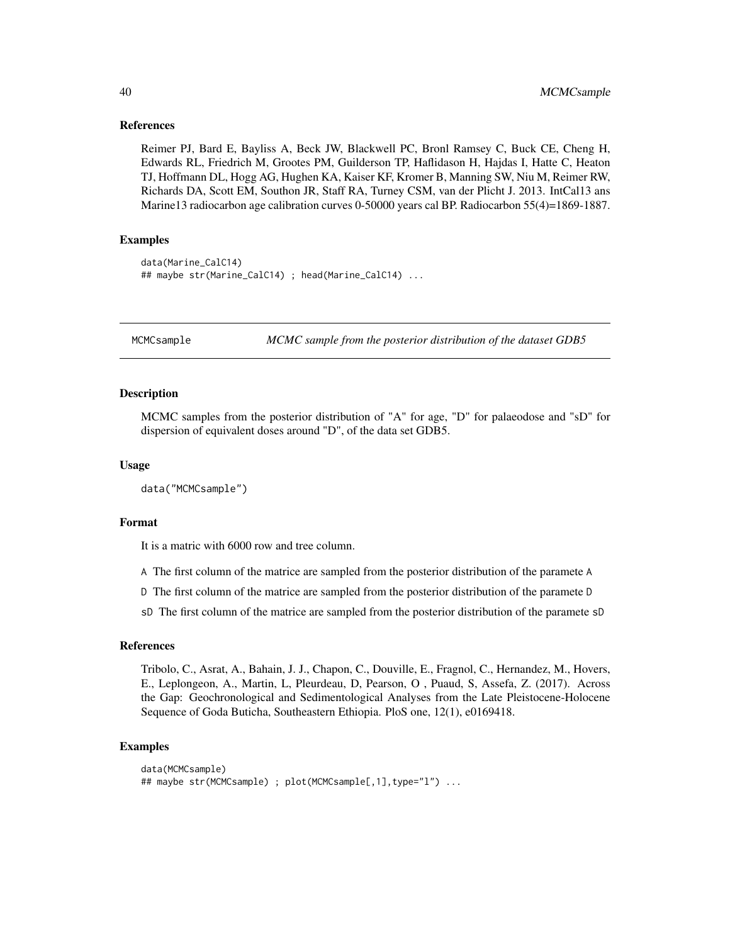#### References

Reimer PJ, Bard E, Bayliss A, Beck JW, Blackwell PC, Bronl Ramsey C, Buck CE, Cheng H, Edwards RL, Friedrich M, Grootes PM, Guilderson TP, Haflidason H, Hajdas I, Hatte C, Heaton TJ, Hoffmann DL, Hogg AG, Hughen KA, Kaiser KF, Kromer B, Manning SW, Niu M, Reimer RW, Richards DA, Scott EM, Southon JR, Staff RA, Turney CSM, van der Plicht J. 2013. IntCal13 ans Marine13 radiocarbon age calibration curves 0-50000 years cal BP. Radiocarbon 55(4)=1869-1887.

## Examples

```
data(Marine_CalC14)
## maybe str(Marine_CalC14) ; head(Marine_CalC14) ...
```
MCMCsample *MCMC sample from the posterior distribution of the dataset GDB5*

#### Description

MCMC samples from the posterior distribution of "A" for age, "D" for palaeodose and "sD" for dispersion of equivalent doses around "D", of the data set GDB5.

#### Usage

```
data("MCMCsample")
```
#### Format

It is a matric with 6000 row and tree column.

A The first column of the matrice are sampled from the posterior distribution of the paramete A

D The first column of the matrice are sampled from the posterior distribution of the paramete D

sD The first column of the matrice are sampled from the posterior distribution of the paramete sD

## References

Tribolo, C., Asrat, A., Bahain, J. J., Chapon, C., Douville, E., Fragnol, C., Hernandez, M., Hovers, E., Leplongeon, A., Martin, L, Pleurdeau, D, Pearson, O , Puaud, S, Assefa, Z. (2017). Across the Gap: Geochronological and Sedimentological Analyses from the Late Pleistocene-Holocene Sequence of Goda Buticha, Southeastern Ethiopia. PloS one, 12(1), e0169418.

#### Examples

```
data(MCMCsample)
## maybe str(MCMCsample) ; plot(MCMCsample[,1],type="l") ...
```
<span id="page-39-0"></span>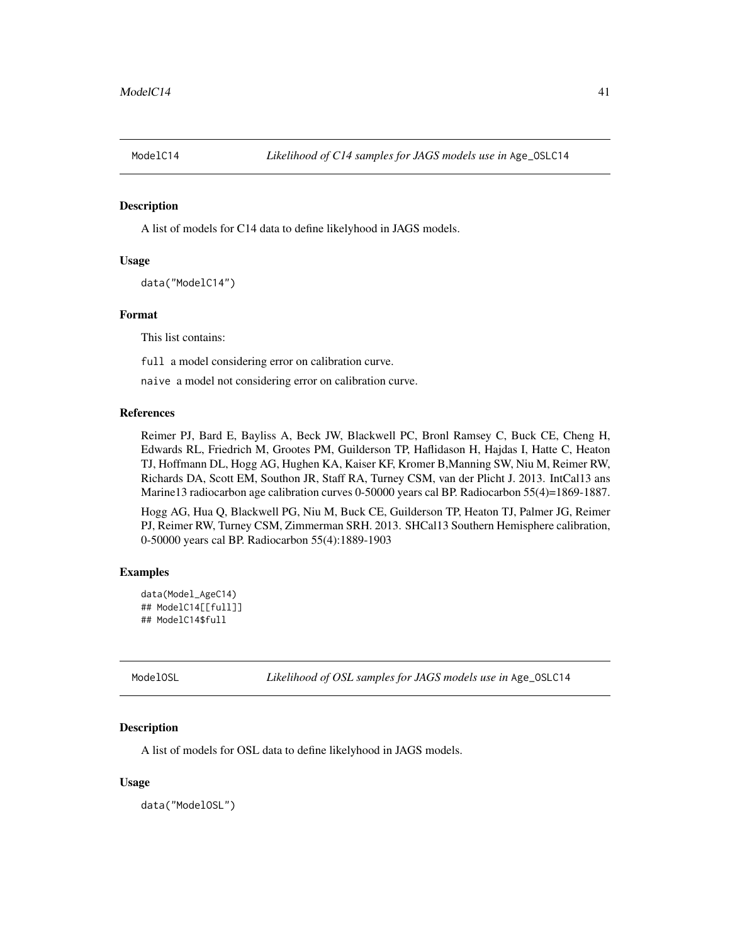<span id="page-40-0"></span>

## Description

A list of models for C14 data to define likelyhood in JAGS models.

#### Usage

```
data("ModelC14")
```
## Format

This list contains:

full a model considering error on calibration curve.

naive a model not considering error on calibration curve.

## References

Reimer PJ, Bard E, Bayliss A, Beck JW, Blackwell PC, Bronl Ramsey C, Buck CE, Cheng H, Edwards RL, Friedrich M, Grootes PM, Guilderson TP, Haflidason H, Hajdas I, Hatte C, Heaton TJ, Hoffmann DL, Hogg AG, Hughen KA, Kaiser KF, Kromer B,Manning SW, Niu M, Reimer RW, Richards DA, Scott EM, Southon JR, Staff RA, Turney CSM, van der Plicht J. 2013. IntCal13 ans Marine13 radiocarbon age calibration curves 0-50000 years cal BP. Radiocarbon 55(4)=1869-1887.

Hogg AG, Hua Q, Blackwell PG, Niu M, Buck CE, Guilderson TP, Heaton TJ, Palmer JG, Reimer PJ, Reimer RW, Turney CSM, Zimmerman SRH. 2013. SHCal13 Southern Hemisphere calibration, 0-50000 years cal BP. Radiocarbon 55(4):1889-1903

#### Examples

```
data(Model_AgeC14)
## ModelC14[[full]]
## ModelC14$full
```
ModelOSL *Likelihood of OSL samples for JAGS models use in* Age\_OSLC14

#### Description

A list of models for OSL data to define likelyhood in JAGS models.

#### Usage

data("ModelOSL")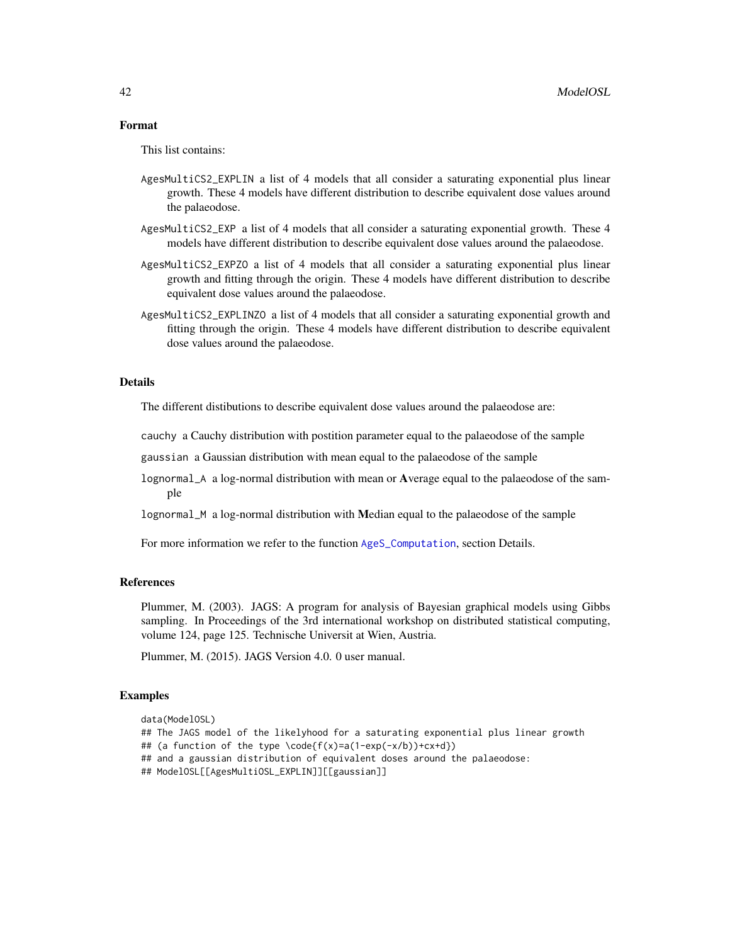## <span id="page-41-0"></span>Format

This list contains:

- AgesMultiCS2\_EXPLIN a list of 4 models that all consider a saturating exponential plus linear growth. These 4 models have different distribution to describe equivalent dose values around the palaeodose.
- AgesMultiCS2\_EXP a list of 4 models that all consider a saturating exponential growth. These 4 models have different distribution to describe equivalent dose values around the palaeodose.
- AgesMultiCS2\_EXPZO a list of 4 models that all consider a saturating exponential plus linear growth and fitting through the origin. These 4 models have different distribution to describe equivalent dose values around the palaeodose.
- AgesMultiCS2\_EXPLINZO a list of 4 models that all consider a saturating exponential growth and fitting through the origin. These 4 models have different distribution to describe equivalent dose values around the palaeodose.

## Details

The different distibutions to describe equivalent dose values around the palaeodose are:

cauchy a Cauchy distribution with postition parameter equal to the palaeodose of the sample

gaussian a Gaussian distribution with mean equal to the palaeodose of the sample

- lognormal\_A a log-normal distribution with mean or Average equal to the palaeodose of the sample
- lognormal\_M a log-normal distribution with Median equal to the palaeodose of the sample

For more information we refer to the function [AgeS\\_Computation](#page-6-1), section Details.

#### References

Plummer, M. (2003). JAGS: A program for analysis of Bayesian graphical models using Gibbs sampling. In Proceedings of the 3rd international workshop on distributed statistical computing, volume 124, page 125. Technische Universit at Wien, Austria.

Plummer, M. (2015). JAGS Version 4.0. 0 user manual.

#### Examples

```
data(ModelOSL)
## The JAGS model of the likelyhood for a saturating exponential plus linear growth
## (a function of the type \code{f(x)=a(1-exp(-x/b))+cx+d})
## and a gaussian distribution of equivalent doses around the palaeodose:
## ModelOSL[[AgesMultiOSL_EXPLIN]][[gaussian]]
```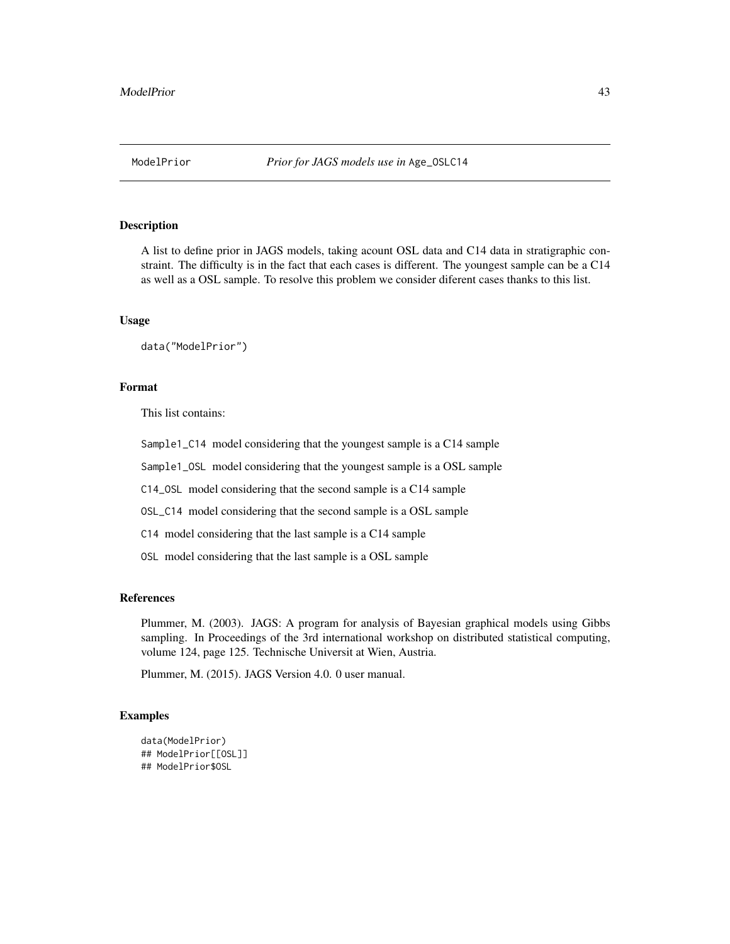#### <span id="page-42-0"></span>Description

A list to define prior in JAGS models, taking acount OSL data and C14 data in stratigraphic constraint. The difficulty is in the fact that each cases is different. The youngest sample can be a C14 as well as a OSL sample. To resolve this problem we consider diferent cases thanks to this list.

#### Usage

data("ModelPrior")

## Format

This list contains:

Sample1\_C14 model considering that the youngest sample is a C14 sample

Sample1\_OSL model considering that the youngest sample is a OSL sample

C14\_OSL model considering that the second sample is a C14 sample

OSL\_C14 model considering that the second sample is a OSL sample

C14 model considering that the last sample is a C14 sample

OSL model considering that the last sample is a OSL sample

#### References

Plummer, M. (2003). JAGS: A program for analysis of Bayesian graphical models using Gibbs sampling. In Proceedings of the 3rd international workshop on distributed statistical computing, volume 124, page 125. Technische Universit at Wien, Austria.

Plummer, M. (2015). JAGS Version 4.0. 0 user manual.

## **Examples**

```
data(ModelPrior)
## ModelPrior[[OSL]]
## ModelPrior$OSL
```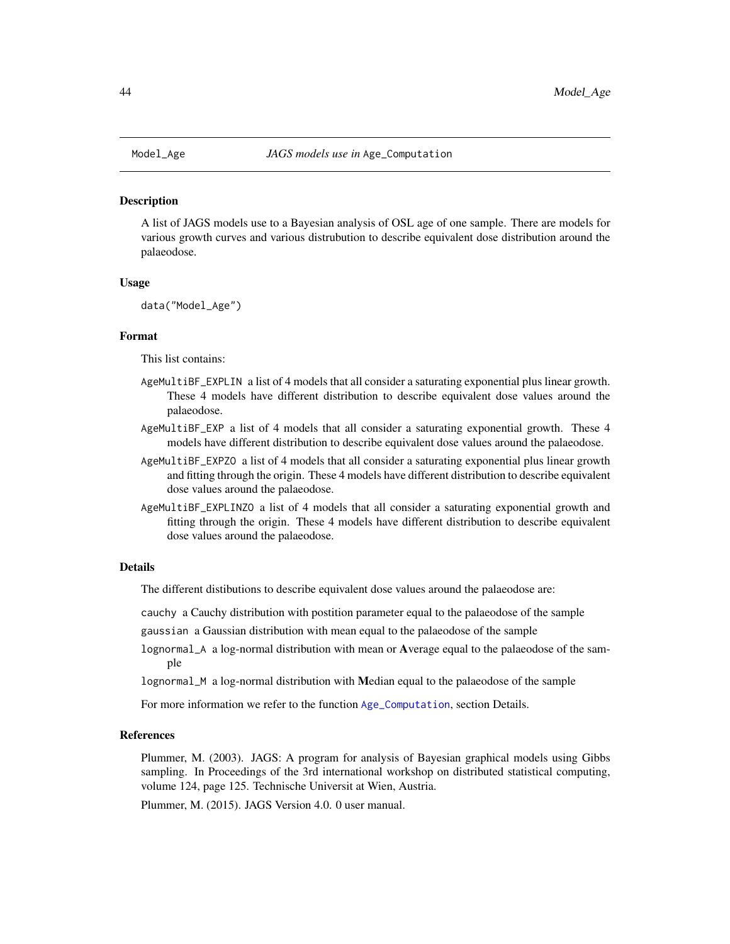#### <span id="page-43-0"></span>**Description**

A list of JAGS models use to a Bayesian analysis of OSL age of one sample. There are models for various growth curves and various distrubution to describe equivalent dose distribution around the palaeodose.

#### Usage

data("Model\_Age")

#### Format

This list contains:

- AgeMultiBF\_EXPLIN a list of 4 models that all consider a saturating exponential plus linear growth. These 4 models have different distribution to describe equivalent dose values around the palaeodose.
- AgeMultiBF\_EXP a list of 4 models that all consider a saturating exponential growth. These 4 models have different distribution to describe equivalent dose values around the palaeodose.
- AgeMultiBF\_EXPZO a list of 4 models that all consider a saturating exponential plus linear growth and fitting through the origin. These 4 models have different distribution to describe equivalent dose values around the palaeodose.
- AgeMultiBF\_EXPLINZO a list of 4 models that all consider a saturating exponential growth and fitting through the origin. These 4 models have different distribution to describe equivalent dose values around the palaeodose.

#### Details

The different distibutions to describe equivalent dose values around the palaeodose are:

- cauchy a Cauchy distribution with postition parameter equal to the palaeodose of the sample
- gaussian a Gaussian distribution with mean equal to the palaeodose of the sample
- lognormal\_A a log-normal distribution with mean or Average equal to the palaeodose of the sample
- lognormal\_M a log-normal distribution with Median equal to the palaeodose of the sample

For more information we refer to the function [Age\\_Computation](#page-12-1), section Details.

#### References

Plummer, M. (2003). JAGS: A program for analysis of Bayesian graphical models using Gibbs sampling. In Proceedings of the 3rd international workshop on distributed statistical computing, volume 124, page 125. Technische Universit at Wien, Austria.

Plummer, M. (2015). JAGS Version 4.0. 0 user manual.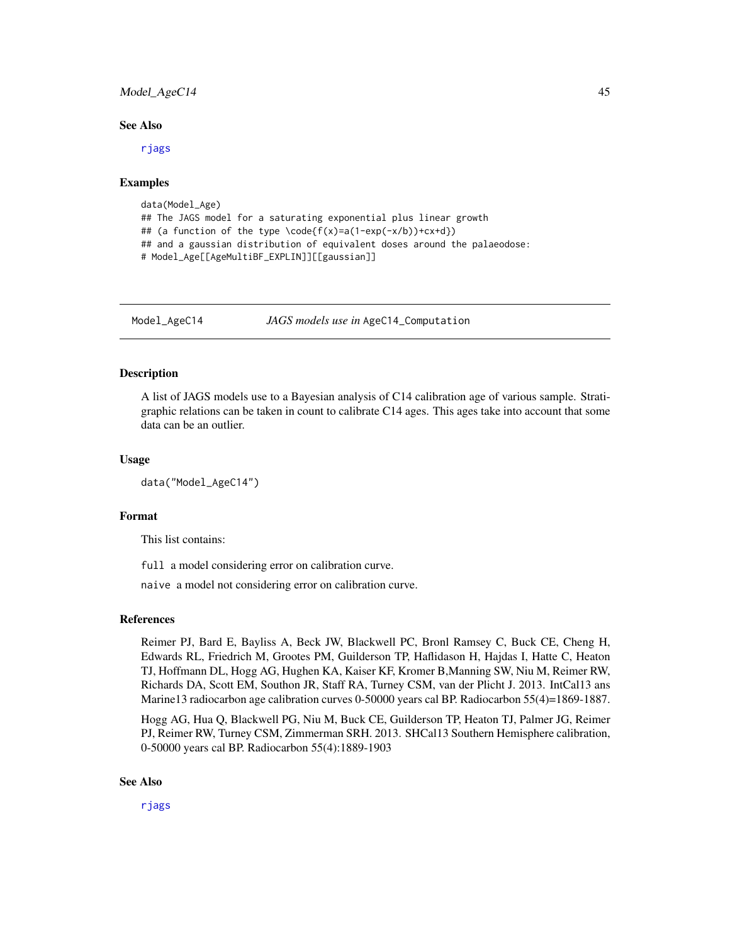## <span id="page-44-0"></span>Model\_AgeC14 45

#### See Also

[rjags](#page-0-0)

#### Examples

```
data(Model_Age)
## The JAGS model for a saturating exponential plus linear growth
## (a function of the type \code{f(x)=a(1-exp(-x/b))+cx+d})
## and a gaussian distribution of equivalent doses around the palaeodose:
# Model_Age[[AgeMultiBF_EXPLIN]][[gaussian]]
```
Model\_AgeC14 *JAGS models use in* AgeC14\_Computation

### Description

A list of JAGS models use to a Bayesian analysis of C14 calibration age of various sample. Stratigraphic relations can be taken in count to calibrate C14 ages. This ages take into account that some data can be an outlier.

#### Usage

data("Model\_AgeC14")

## Format

This list contains:

full a model considering error on calibration curve.

naive a model not considering error on calibration curve.

#### References

Reimer PJ, Bard E, Bayliss A, Beck JW, Blackwell PC, Bronl Ramsey C, Buck CE, Cheng H, Edwards RL, Friedrich M, Grootes PM, Guilderson TP, Haflidason H, Hajdas I, Hatte C, Heaton TJ, Hoffmann DL, Hogg AG, Hughen KA, Kaiser KF, Kromer B,Manning SW, Niu M, Reimer RW, Richards DA, Scott EM, Southon JR, Staff RA, Turney CSM, van der Plicht J. 2013. IntCal13 ans Marine13 radiocarbon age calibration curves 0-50000 years cal BP. Radiocarbon 55(4)=1869-1887.

Hogg AG, Hua Q, Blackwell PG, Niu M, Buck CE, Guilderson TP, Heaton TJ, Palmer JG, Reimer PJ, Reimer RW, Turney CSM, Zimmerman SRH. 2013. SHCal13 Southern Hemisphere calibration, 0-50000 years cal BP. Radiocarbon 55(4):1889-1903

#### See Also

[rjags](#page-0-0)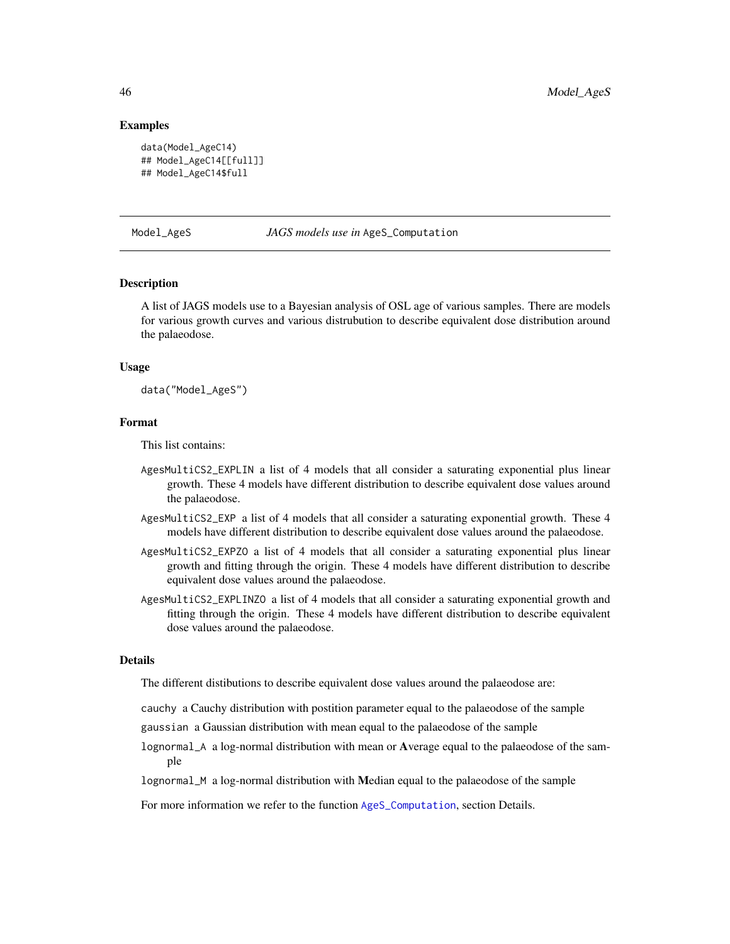#### Examples

```
data(Model_AgeC14)
## Model_AgeC14[[full]]
## Model_AgeC14$full
```
Model\_AgeS *JAGS models use in* AgeS\_Computation

#### **Description**

A list of JAGS models use to a Bayesian analysis of OSL age of various samples. There are models for various growth curves and various distrubution to describe equivalent dose distribution around the palaeodose.

#### Usage

data("Model\_AgeS")

#### Format

This list contains:

- AgesMultiCS2\_EXPLIN a list of 4 models that all consider a saturating exponential plus linear growth. These 4 models have different distribution to describe equivalent dose values around the palaeodose.
- AgesMultiCS2\_EXP a list of 4 models that all consider a saturating exponential growth. These 4 models have different distribution to describe equivalent dose values around the palaeodose.
- AgesMultiCS2\_EXPZO a list of 4 models that all consider a saturating exponential plus linear growth and fitting through the origin. These 4 models have different distribution to describe equivalent dose values around the palaeodose.
- AgesMultiCS2\_EXPLINZO a list of 4 models that all consider a saturating exponential growth and fitting through the origin. These 4 models have different distribution to describe equivalent dose values around the palaeodose.

#### Details

The different distibutions to describe equivalent dose values around the palaeodose are:

- cauchy a Cauchy distribution with postition parameter equal to the palaeodose of the sample
- gaussian a Gaussian distribution with mean equal to the palaeodose of the sample
- lognormal\_A a log-normal distribution with mean or Average equal to the palaeodose of the sample
- lognormal\_M a log-normal distribution with Median equal to the palaeodose of the sample

For more information we refer to the function [AgeS\\_Computation](#page-6-1), section Details.

<span id="page-45-0"></span>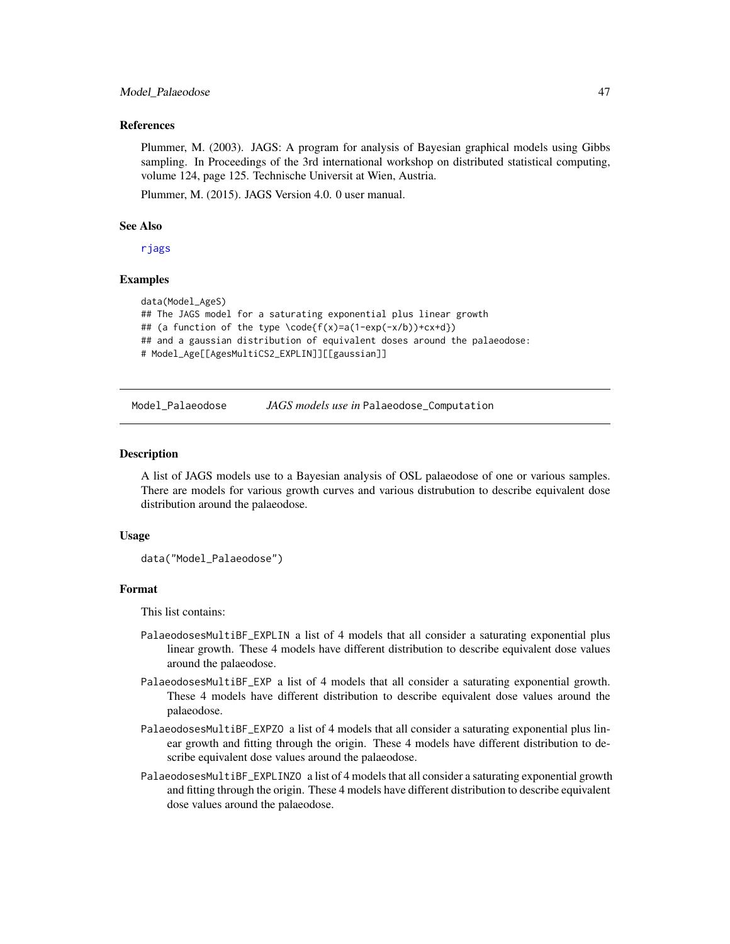#### <span id="page-46-0"></span>Model\_Palaeodose 47

#### References

Plummer, M. (2003). JAGS: A program for analysis of Bayesian graphical models using Gibbs sampling. In Proceedings of the 3rd international workshop on distributed statistical computing, volume 124, page 125. Technische Universit at Wien, Austria.

Plummer, M. (2015). JAGS Version 4.0. 0 user manual.

#### See Also

[rjags](#page-0-0)

#### Examples

```
data(Model_AgeS)
## The JAGS model for a saturating exponential plus linear growth
## (a function of the type \code{f(x)=a(1-exp(-x/b))+cx+d})
## and a gaussian distribution of equivalent doses around the palaeodose:
# Model_Age[[AgesMultiCS2_EXPLIN]][[gaussian]]
```
Model\_Palaeodose *JAGS models use in* Palaeodose\_Computation

#### **Description**

A list of JAGS models use to a Bayesian analysis of OSL palaeodose of one or various samples. There are models for various growth curves and various distrubution to describe equivalent dose distribution around the palaeodose.

#### Usage

data("Model\_Palaeodose")

### Format

This list contains:

- PalaeodosesMultiBF\_EXPLIN a list of 4 models that all consider a saturating exponential plus linear growth. These 4 models have different distribution to describe equivalent dose values around the palaeodose.
- PalaeodosesMultiBF\_EXP a list of 4 models that all consider a saturating exponential growth. These 4 models have different distribution to describe equivalent dose values around the palaeodose.
- PalaeodosesMultiBF\_EXPZO a list of 4 models that all consider a saturating exponential plus linear growth and fitting through the origin. These 4 models have different distribution to describe equivalent dose values around the palaeodose.
- PalaeodosesMultiBF\_EXPLINZO a list of 4 models that all consider a saturating exponential growth and fitting through the origin. These 4 models have different distribution to describe equivalent dose values around the palaeodose.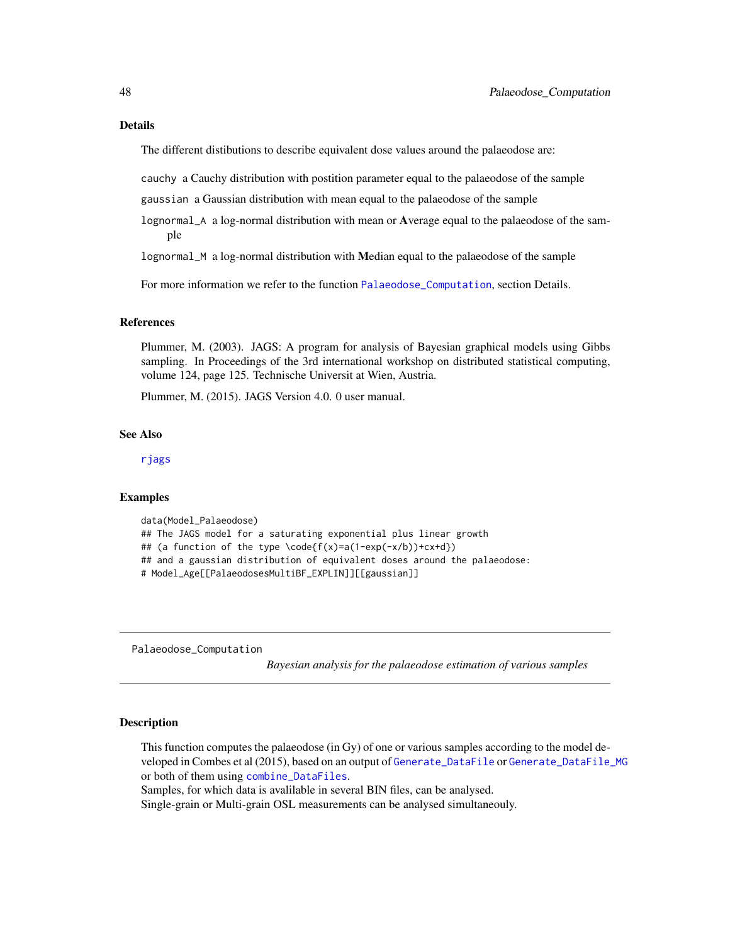#### <span id="page-47-0"></span>Details

The different distibutions to describe equivalent dose values around the palaeodose are:

cauchy a Cauchy distribution with postition parameter equal to the palaeodose of the sample

gaussian a Gaussian distribution with mean equal to the palaeodose of the sample

lognormal\_A a log-normal distribution with mean or Average equal to the palaeodose of the sample

lognormal\_M a log-normal distribution with Median equal to the palaeodose of the sample

For more information we refer to the function [Palaeodose\\_Computation](#page-47-1), section Details.

## References

Plummer, M. (2003). JAGS: A program for analysis of Bayesian graphical models using Gibbs sampling. In Proceedings of the 3rd international workshop on distributed statistical computing, volume 124, page 125. Technische Universit at Wien, Austria.

Plummer, M. (2015). JAGS Version 4.0. 0 user manual.

## See Also

[rjags](#page-0-0)

#### Examples

```
data(Model_Palaeodose)
## The JAGS model for a saturating exponential plus linear growth
## (a function of the type \code{f(x)=a(1-exp(-x/b))+cx+d})
## and a gaussian distribution of equivalent doses around the palaeodose:
# Model_Age[[PalaeodosesMultiBF_EXPLIN]][[gaussian]]
```
<span id="page-47-1"></span>Palaeodose\_Computation

*Bayesian analysis for the palaeodose estimation of various samples*

#### **Description**

This function computes the palaeodose (in Gy) of one or various samples according to the model developed in Combes et al (2015), based on an output of [Generate\\_DataFile](#page-29-1) or [Generate\\_DataFile\\_MG](#page-33-1) or both of them using [combine\\_DataFiles](#page-24-1).

Samples, for which data is avalilable in several BIN files, can be analysed.

Single-grain or Multi-grain OSL measurements can be analysed simultaneouly.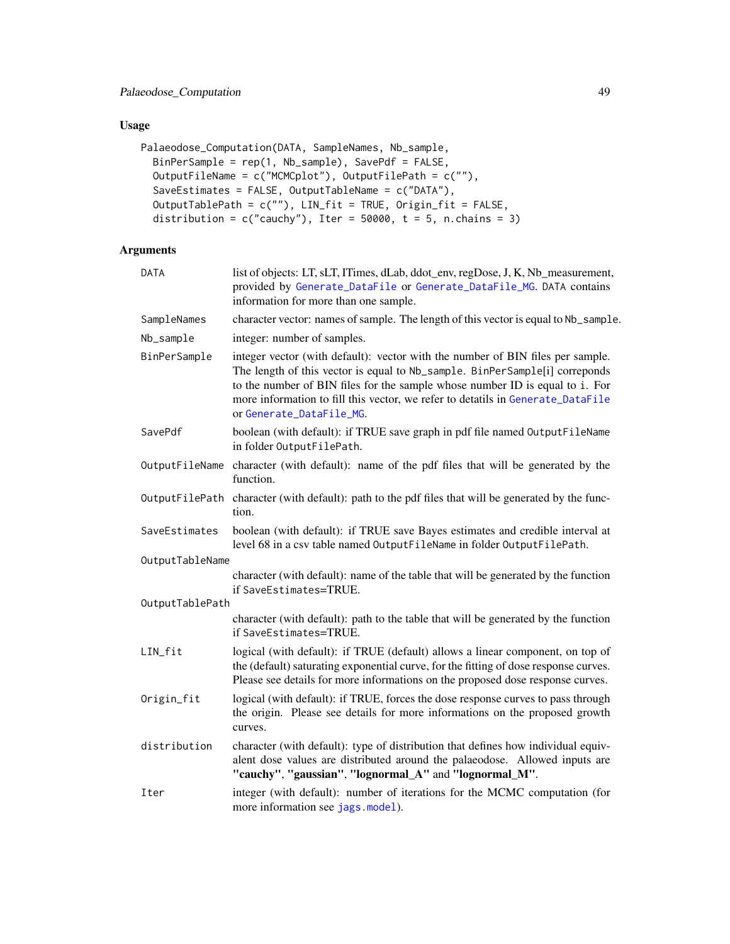## <span id="page-48-0"></span>Usage

```
Palaeodose_Computation(DATA, SampleNames, Nb_sample,
 BinPerSample = rep(1, Nb_sample), SavePdf = FALSE,
 OutputFileName = c("MCMCplot"), OutputFilePath = c(""),
  SaveEstimates = FALSE, OutputTableName = c("DATA"),
 OutputTablePath = c(""), LIN_fit = TRUE, Origin_fit = FALSE,
 distribution = c("cauchy"), Iter = 50000, t = 5, n.chains = 3)
```
## Arguments

| DATA            | list of objects: LT, sLT, ITimes, dLab, ddot_env, regDose, J, K, Nb_measurement,<br>provided by Generate_DataFile or Generate_DataFile_MG. DATA contains<br>information for more than one sample.                                                                                                                                                            |  |  |
|-----------------|--------------------------------------------------------------------------------------------------------------------------------------------------------------------------------------------------------------------------------------------------------------------------------------------------------------------------------------------------------------|--|--|
| SampleNames     | character vector: names of sample. The length of this vector is equal to Nb_sample.                                                                                                                                                                                                                                                                          |  |  |
| Nb_sample       | integer: number of samples.                                                                                                                                                                                                                                                                                                                                  |  |  |
| BinPerSample    | integer vector (with default): vector with the number of BIN files per sample.<br>The length of this vector is equal to Nb_sample. BinPerSample[i] correponds<br>to the number of BIN files for the sample whose number ID is equal to i. For<br>more information to fill this vector, we refer to detatils in Generate_DataFile<br>or Generate_DataFile_MG. |  |  |
| SavePdf         | boolean (with default): if TRUE save graph in pdf file named OutputFileName<br>in folder OutputFilePath.                                                                                                                                                                                                                                                     |  |  |
|                 | Output FileName character (with default): name of the pdf files that will be generated by the<br>function.                                                                                                                                                                                                                                                   |  |  |
|                 | Output FilePath character (with default): path to the pdf files that will be generated by the func-<br>tion.                                                                                                                                                                                                                                                 |  |  |
| SaveEstimates   | boolean (with default): if TRUE save Bayes estimates and credible interval at<br>level 68 in a csv table named OutputFileName in folder OutputFilePath.                                                                                                                                                                                                      |  |  |
| OutputTableName |                                                                                                                                                                                                                                                                                                                                                              |  |  |
|                 | character (with default): name of the table that will be generated by the function<br>if SaveEstimates=TRUE.                                                                                                                                                                                                                                                 |  |  |
| OutputTablePath |                                                                                                                                                                                                                                                                                                                                                              |  |  |
|                 | character (with default): path to the table that will be generated by the function<br>if SaveEstimates=TRUE.                                                                                                                                                                                                                                                 |  |  |
| LIN_fit         | logical (with default): if TRUE (default) allows a linear component, on top of<br>the (default) saturating exponential curve, for the fitting of dose response curves.<br>Please see details for more informations on the proposed dose response curves.                                                                                                     |  |  |
| Origin_fit      | logical (with default): if TRUE, forces the dose response curves to pass through<br>the origin. Please see details for more informations on the proposed growth<br>curves.                                                                                                                                                                                   |  |  |
| distribution    | character (with default): type of distribution that defines how individual equiv-<br>alent dose values are distributed around the palaeodose. Allowed inputs are<br>"cauchy", "gaussian", "lognormal_A" and "lognormal_M".                                                                                                                                   |  |  |
| Iter            | integer (with default): number of iterations for the MCMC computation (for<br>more information see jags.model).                                                                                                                                                                                                                                              |  |  |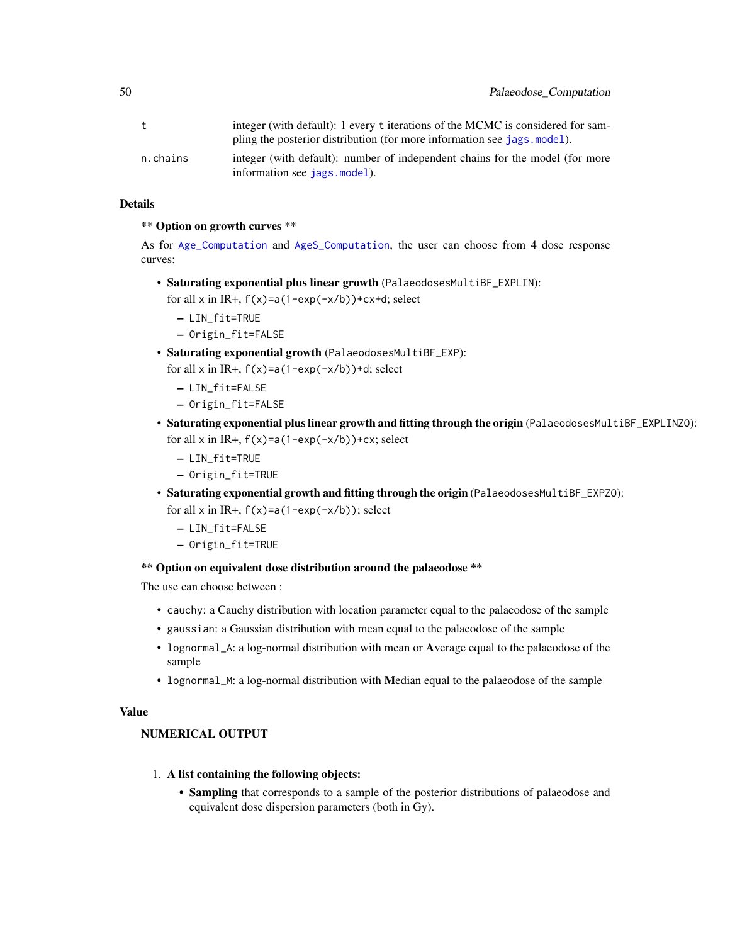<span id="page-49-0"></span>

|          | integer (with default): 1 every t iterations of the MCMC is considered for sam-                              |
|----------|--------------------------------------------------------------------------------------------------------------|
|          | pling the posterior distribution (for more information see jags. model).                                     |
| n.chains | integer (with default): number of independent chains for the model (for more<br>information see jags.model). |

## Details

## \*\* Option on growth curves \*\*

As for [Age\\_Computation](#page-12-1) and [AgeS\\_Computation](#page-6-1), the user can choose from 4 dose response curves:

• Saturating exponential plus linear growth (PalaeodosesMultiBF\_EXPLIN):

for all x in IR+,  $f(x)=a(1-exp(-x/b))+cx+d$ ; select

- LIN\_fit=TRUE
- Origin\_fit=FALSE
- Saturating exponential growth (PalaeodosesMultiBF\_EXP):
	- for all x in IR+,  $f(x)=a(1-exp(-x/b))+d$ ; select
		- LIN\_fit=FALSE
		- Origin\_fit=FALSE
- Saturating exponential plus linear growth and fitting through the origin (PalaeodosesMultiBF\_EXPLINZO): for all x in IR+,  $f(x)=a(1-exp(-x/b))+cx$ ; select
	- LIN\_fit=TRUE
	- Origin\_fit=TRUE
- Saturating exponential growth and fitting through the origin (PalaeodosesMultiBF\_EXPZO): for all  $x$  in IR+,  $f(x)=a(1-exp(-x/b))$ ; select
	- LIN\_fit=FALSE
	- Origin\_fit=TRUE

#### \*\* Option on equivalent dose distribution around the palaeodose \*\*

The use can choose between :

- cauchy: a Cauchy distribution with location parameter equal to the palaeodose of the sample
- gaussian: a Gaussian distribution with mean equal to the palaeodose of the sample
- lognormal\_A: a log-normal distribution with mean or Average equal to the palaeodose of the sample
- lognormal\_M: a log-normal distribution with Median equal to the palaeodose of the sample

## Value

## NUMERICAL OUTPUT

- 1. A list containing the following objects:
	- Sampling that corresponds to a sample of the posterior distributions of palaeodose and equivalent dose dispersion parameters (both in Gy).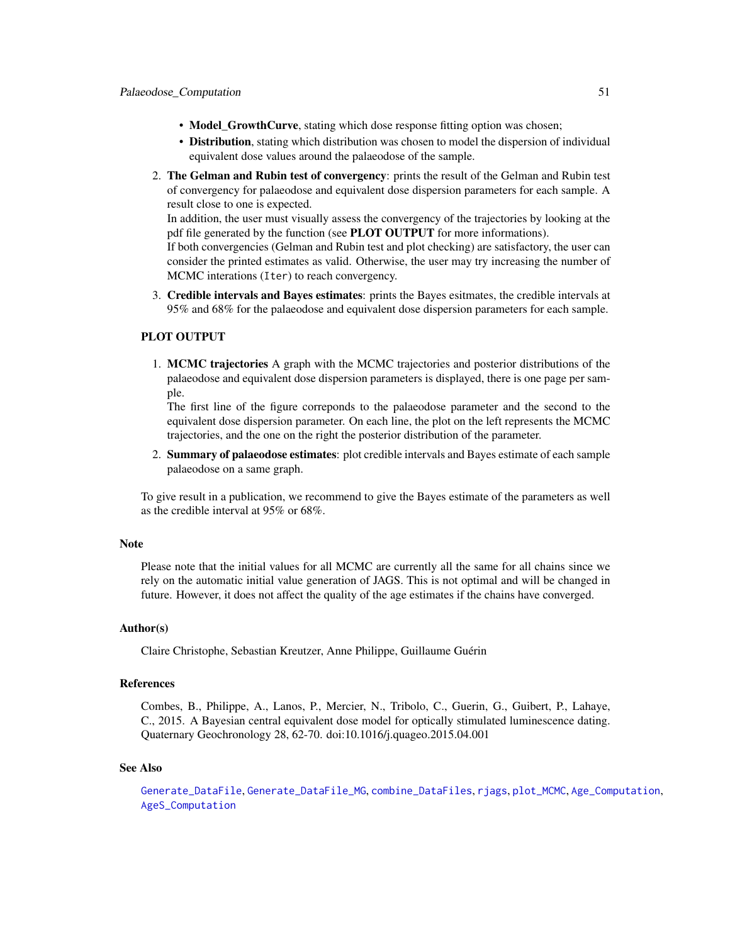- <span id="page-50-0"></span>• Model\_GrowthCurve, stating which dose response fitting option was chosen;
- Distribution, stating which distribution was chosen to model the dispersion of individual equivalent dose values around the palaeodose of the sample.
- 2. The Gelman and Rubin test of convergency: prints the result of the Gelman and Rubin test of convergency for palaeodose and equivalent dose dispersion parameters for each sample. A result close to one is expected.

In addition, the user must visually assess the convergency of the trajectories by looking at the pdf file generated by the function (see **PLOT OUTPUT** for more informations).

If both convergencies (Gelman and Rubin test and plot checking) are satisfactory, the user can consider the printed estimates as valid. Otherwise, the user may try increasing the number of MCMC interations (Iter) to reach convergency.

3. Credible intervals and Bayes estimates: prints the Bayes esitmates, the credible intervals at 95% and 68% for the palaeodose and equivalent dose dispersion parameters for each sample.

#### PLOT OUTPUT

1. MCMC trajectories A graph with the MCMC trajectories and posterior distributions of the palaeodose and equivalent dose dispersion parameters is displayed, there is one page per sample.

The first line of the figure correponds to the palaeodose parameter and the second to the equivalent dose dispersion parameter. On each line, the plot on the left represents the MCMC trajectories, and the one on the right the posterior distribution of the parameter.

2. Summary of palaeodose estimates: plot credible intervals and Bayes estimate of each sample palaeodose on a same graph.

To give result in a publication, we recommend to give the Bayes estimate of the parameters as well as the credible interval at 95% or 68%.

#### Note

Please note that the initial values for all MCMC are currently all the same for all chains since we rely on the automatic initial value generation of JAGS. This is not optimal and will be changed in future. However, it does not affect the quality of the age estimates if the chains have converged.

#### Author(s)

Claire Christophe, Sebastian Kreutzer, Anne Philippe, Guillaume Guérin

#### References

Combes, B., Philippe, A., Lanos, P., Mercier, N., Tribolo, C., Guerin, G., Guibert, P., Lahaye, C., 2015. A Bayesian central equivalent dose model for optically stimulated luminescence dating. Quaternary Geochronology 28, 62-70. doi:10.1016/j.quageo.2015.04.001

#### See Also

[Generate\\_DataFile](#page-29-1), [Generate\\_DataFile\\_MG](#page-33-1), [combine\\_DataFiles](#page-24-1), [rjags](#page-0-0), [plot\\_MCMC](#page-52-1), [Age\\_Computation](#page-12-1), [AgeS\\_Computation](#page-6-1)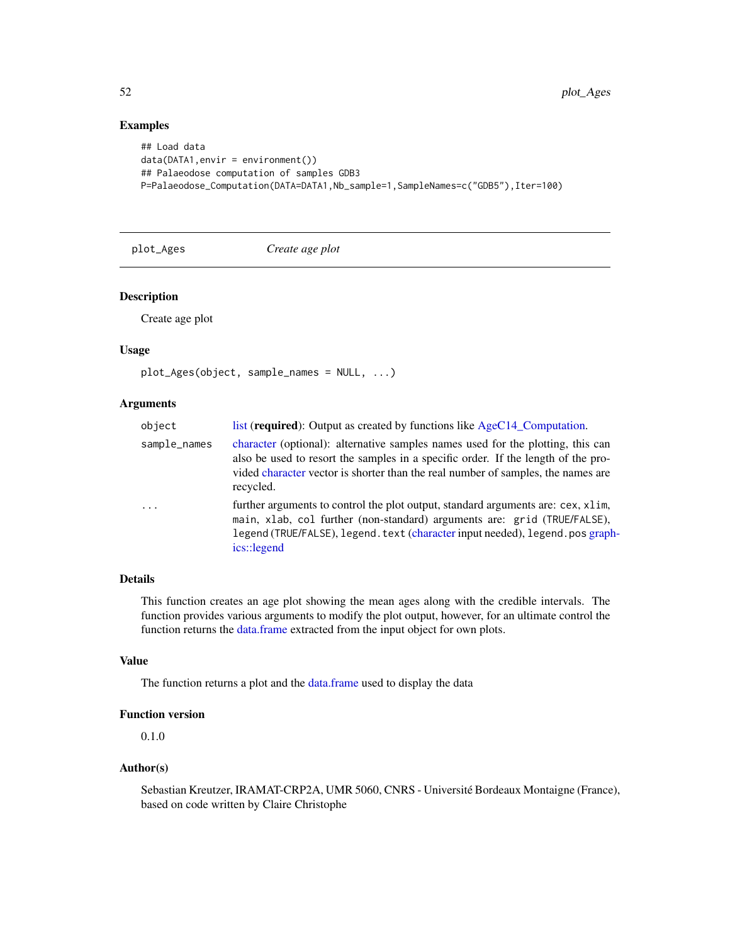## Examples

```
## Load data
data(DATA1, envir = environment())## Palaeodose computation of samples GDB3
P=Palaeodose_Computation(DATA=DATA1,Nb_sample=1,SampleNames=c("GDB5"),Iter=100)
```
<span id="page-51-1"></span>plot\_Ages *Create age plot*

## Description

Create age plot

#### Usage

```
plot_Ages(object, sample_names = NULL, ...)
```
#### Arguments

| object       | list (required): Output as created by functions like AgeC14_Computation.                                                                                                                                                                                              |  |  |
|--------------|-----------------------------------------------------------------------------------------------------------------------------------------------------------------------------------------------------------------------------------------------------------------------|--|--|
| sample_names | character (optional): alternative samples names used for the plotting, this can<br>also be used to resort the samples in a specific order. If the length of the pro-<br>vided character vector is shorter than the real number of samples, the names are<br>recycled. |  |  |
| $\ddots$ .   | further arguments to control the plot output, standard arguments are: cex, x1im,<br>main, xlab, col further (non-standard) arguments are: grid (TRUE/FALSE),<br>legend (TRUE/FALSE), legend. text (character input needed), legend. pos graph-<br>ics::legend         |  |  |

## Details

This function creates an age plot showing the mean ages along with the credible intervals. The function provides various arguments to modify the plot output, however, for an ultimate control the function returns the [data.frame](#page-0-0) extracted from the input object for own plots.

## Value

The function returns a plot and the [data.frame](#page-0-0) used to display the data

## Function version

0.1.0

## Author(s)

Sebastian Kreutzer, IRAMAT-CRP2A, UMR 5060, CNRS - Université Bordeaux Montaigne (France), based on code written by Claire Christophe

<span id="page-51-0"></span>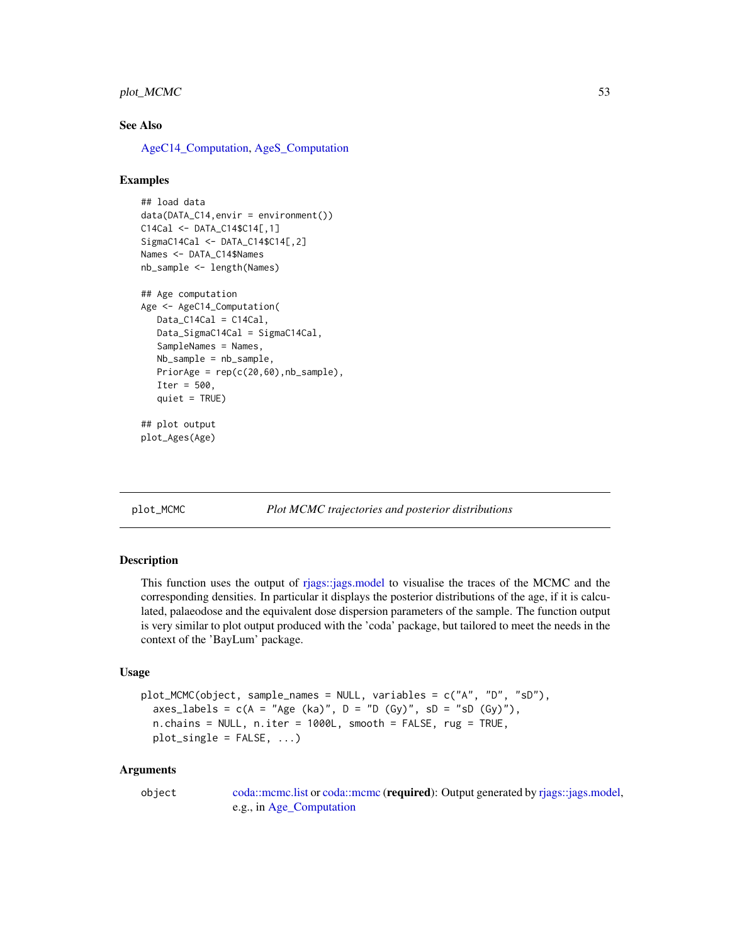## <span id="page-52-0"></span>plot\_MCMC 53

#### See Also

[AgeC14\\_Computation,](#page-2-1) [AgeS\\_Computation](#page-6-1)

#### Examples

```
## load data
data(DATA_C14,envir = environment())
C14Cal <- DATA_C14$C14[,1]
SigmaC14Cal <- DATA_C14$C14[,2]
Names <- DATA_C14$Names
nb_sample <- length(Names)
## Age computation
Age <- AgeC14_Computation(
   Data_C14Cal = C14Cal,Data_SigmaC14Cal = SigmaC14Cal,
   SampleNames = Names,
   Nb_sample = nb_sample,
   PriorAge = rep(c(20, 60), nb\_sample),
   Iter = 500,
   quiet = TRUE)
## plot output
plot_Ages(Age)
```
<span id="page-52-1"></span>plot\_MCMC *Plot MCMC trajectories and posterior distributions*

#### Description

This function uses the output of [rjags::jags.model](#page-0-0) to visualise the traces of the MCMC and the corresponding densities. In particular it displays the posterior distributions of the age, if it is calculated, palaeodose and the equivalent dose dispersion parameters of the sample. The function output is very similar to plot output produced with the 'coda' package, but tailored to meet the needs in the context of the 'BayLum' package.

#### Usage

```
plot_MCMC(object, sample_names = NULL, variables = c("A", "D", "sD"),
 axes_labels = c(A = "Age (ka)", D = "D (Gy)", SD = "sD (Gy)"),n.chains = NULL, n.iter = 1000L, smooth = FALSE, rug = TRUE,
 plot\_single = FALSE, ...)
```
## **Arguments**

| object | coda::mcmc.list or coda::mcmc (required): Output generated by rjags::jags.model, |
|--------|----------------------------------------------------------------------------------|
|        | e.g., in Age_Computation                                                         |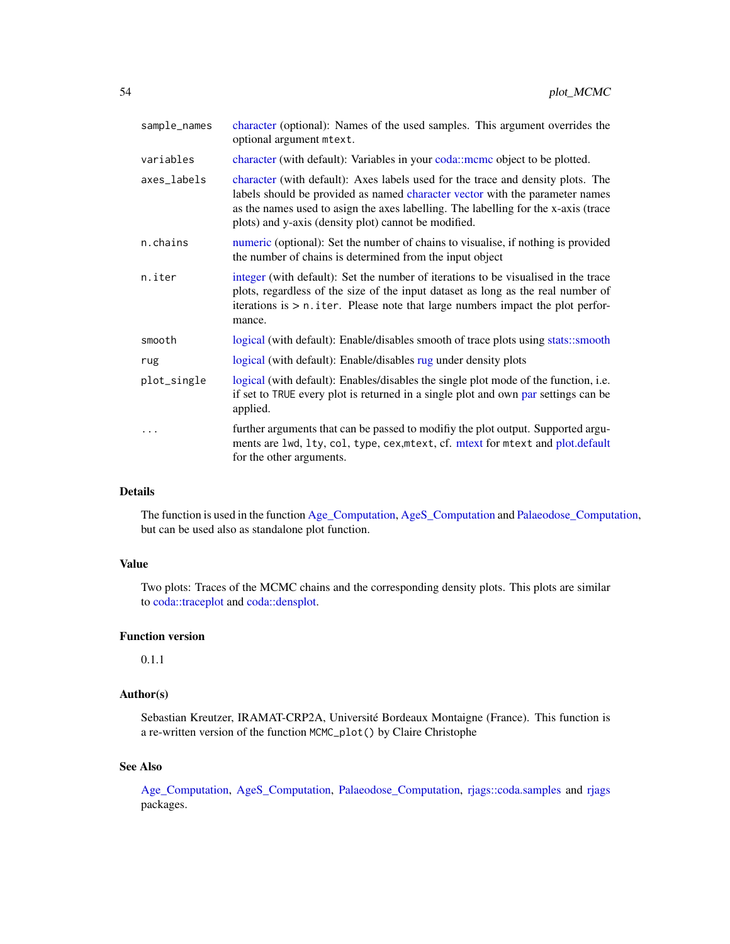<span id="page-53-0"></span>

| sample_names | character (optional): Names of the used samples. This argument overrides the<br>optional argument mtext.                                                                                                                                                                                                      |  |
|--------------|---------------------------------------------------------------------------------------------------------------------------------------------------------------------------------------------------------------------------------------------------------------------------------------------------------------|--|
| variables    | character (with default): Variables in your coda: mcmc object to be plotted.                                                                                                                                                                                                                                  |  |
| axes_labels  | character (with default): Axes labels used for the trace and density plots. The<br>labels should be provided as named character vector with the parameter names<br>as the names used to asign the axes labelling. The labelling for the x-axis (trace<br>plots) and y-axis (density plot) cannot be modified. |  |
| n.chains     | numeric (optional): Set the number of chains to visualise, if nothing is provided<br>the number of chains is determined from the input object                                                                                                                                                                 |  |
| n.iter       | integer (with default): Set the number of iterations to be visualised in the trace<br>plots, regardless of the size of the input dataset as long as the real number of<br>iterations is $> n$ . iter. Please note that large numbers impact the plot perfor-<br>mance.                                        |  |
| smooth       | logical (with default): Enable/disables smooth of trace plots using stats::smooth                                                                                                                                                                                                                             |  |
| rug          | logical (with default): Enable/disables rug under density plots                                                                                                                                                                                                                                               |  |
| plot_single  | logical (with default): Enables/disables the single plot mode of the function, <i>i.e.</i><br>if set to TRUE every plot is returned in a single plot and own par settings can be<br>applied.                                                                                                                  |  |
|              | further arguments that can be passed to modify the plot output. Supported argu-<br>ments are lwd, lty, col, type, cex, mtext, cf. mtext for mtext and plot.default<br>for the other arguments.                                                                                                                |  |

## Details

The function is used in the function [Age\\_Computation,](#page-12-1) [AgeS\\_Computation](#page-6-1) and [Palaeodose\\_Computation,](#page-47-1) but can be used also as standalone plot function.

## Value

Two plots: Traces of the MCMC chains and the corresponding density plots. This plots are similar to [coda::traceplot](#page-0-0) and [coda::densplot.](#page-0-0)

## Function version

0.1.1

## Author(s)

Sebastian Kreutzer, IRAMAT-CRP2A, Université Bordeaux Montaigne (France). This function is a re-written version of the function MCMC\_plot() by Claire Christophe

## See Also

[Age\\_Computation,](#page-12-1) [AgeS\\_Computation,](#page-6-1) [Palaeodose\\_Computation,](#page-47-1) [rjags::coda.samples](#page-0-0) and [rjags](#page-0-0) packages.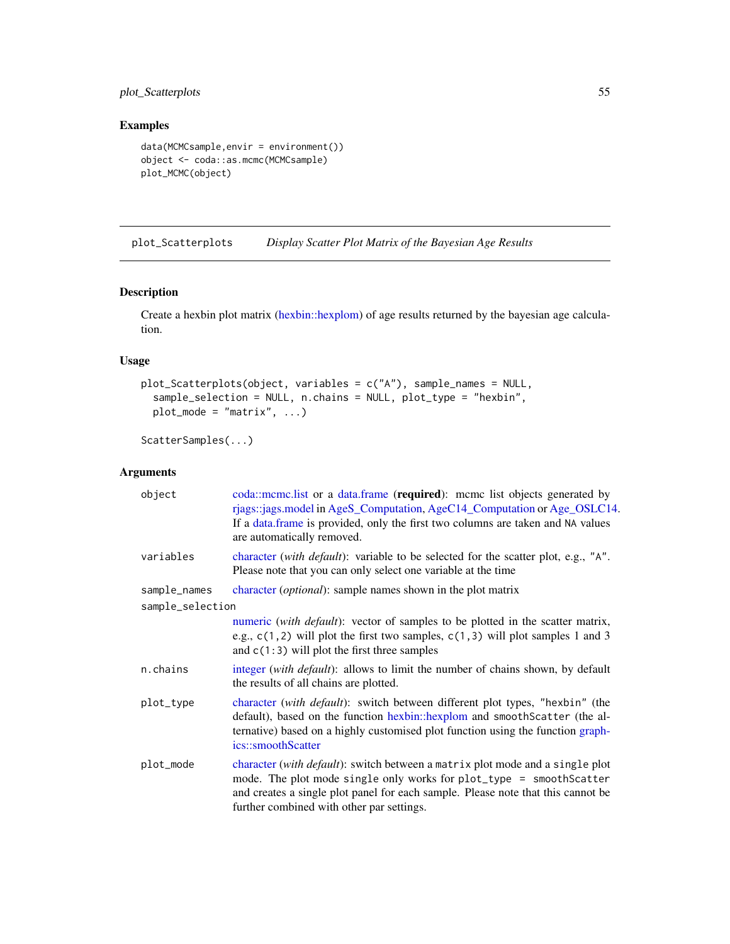## <span id="page-54-0"></span>plot\_Scatterplots 55

## Examples

```
data(MCMCsample,envir = environment())
object <- coda::as.mcmc(MCMCsample)
plot_MCMC(object)
```
plot\_Scatterplots *Display Scatter Plot Matrix of the Bayesian Age Results*

## Description

Create a hexbin plot matrix [\(hexbin::hexplom\)](#page-0-0) of age results returned by the bayesian age calculation.

## Usage

```
plot_Scatterplots(object, variables = c("A"), sample_names = NULL,
  sample_selection = NULL, n.chains = NULL, plot_type = "hexbin",
 plot_model = "matrix", ...)
```
ScatterSamples(...)

## Arguments

| object           | coda::mcmc.list or a data.frame (required): mcmc list objects generated by<br>rjags::jags.model in AgeS_Computation, AgeC14_Computation or Age_OSLC14.<br>If a data frame is provided, only the first two columns are taken and NA values<br>are automatically removed.               |  |
|------------------|---------------------------------------------------------------------------------------------------------------------------------------------------------------------------------------------------------------------------------------------------------------------------------------|--|
| variables        | character (with default): variable to be selected for the scatter plot, e.g., "A".<br>Please note that you can only select one variable at the time                                                                                                                                   |  |
| sample_names     | character ( <i>optional</i> ): sample names shown in the plot matrix                                                                                                                                                                                                                  |  |
| sample_selection |                                                                                                                                                                                                                                                                                       |  |
|                  | numeric (with <i>default</i> ): vector of samples to be plotted in the scatter matrix,<br>e.g., $c(1, 2)$ will plot the first two samples, $c(1, 3)$ will plot samples 1 and 3<br>and $c(1:3)$ will plot the first three samples                                                      |  |
| n.chains         | integer (with default): allows to limit the number of chains shown, by default<br>the results of all chains are plotted.                                                                                                                                                              |  |
| plot_type        | character (with default): switch between different plot types, "hexbin" (the<br>default), based on the function hexbin: hexplom and smoothScatter (the al-<br>ternative) based on a highly customised plot function using the function graph-<br>ics::smoothScatter                   |  |
| plot_mode        | character (with default): switch between a matrix plot mode and a single plot<br>mode. The plot mode single only works for plot_type = smoothScatter<br>and creates a single plot panel for each sample. Please note that this cannot be<br>further combined with other par settings. |  |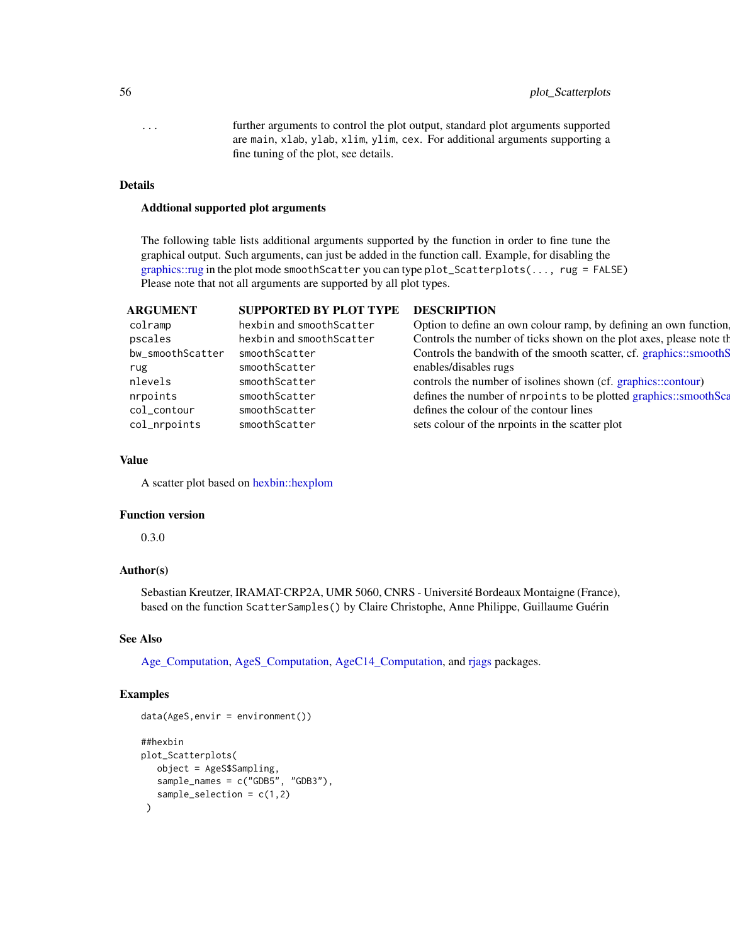## <span id="page-55-0"></span>56 plot\_Scatterplots

... further arguments to control the plot output, standard plot arguments supported are main, xlab, ylab, xlim, ylim, cex. For additional arguments supporting a fine tuning of the plot, see details.

## Details

#### Addtional supported plot arguments

The following table lists additional arguments supported by the function in order to fine tune the graphical output. Such arguments, can just be added in the function call. Example, for disabling the [graphics::rug](#page-0-0) in the plot mode smoothScatter you can type plot\_Scatterplots(..., rug = FALSE) Please note that not all arguments are supported by all plot types.

## ARGUMENT SUPPORTED BY PLOT TYPE DESCRIPTION

| colramp          | hexbin and smoothScatter | Option to define an own colour ramp, by defining an own function.    |
|------------------|--------------------------|----------------------------------------------------------------------|
| pscales          | hexbin and smoothScatter | Controls the number of ticks shown on the plot axes, please note the |
| bw_smoothScatter | smoothScatter            | Controls the bandwith of the smooth scatter, cf. graphics::smoothS   |
| rug              | smoothScatter            | enables/disables rugs                                                |
| nlevels          | smoothScatter            | controls the number of isolines shown (cf. graphics::contour)        |
| nrpoints         | smoothScatter            | defines the number of nrpoints to be plotted graphics::smoothSca     |
| col_contour      | smoothScatter            | defines the colour of the contour lines                              |
| col_nrpoints     | smoothScatter            | sets colour of the nrpoints in the scatter plot                      |

## Value

A scatter plot based on [hexbin::hexplom](#page-0-0)

#### Function version

0.3.0

## Author(s)

Sebastian Kreutzer, IRAMAT-CRP2A, UMR 5060, CNRS - Université Bordeaux Montaigne (France), based on the function ScatterSamples() by Claire Christophe, Anne Philippe, Guillaume Guérin

#### See Also

[Age\\_Computation,](#page-12-1) [AgeS\\_Computation,](#page-6-1) [AgeC14\\_Computation,](#page-2-1) and [rjags](#page-0-0) packages.

## Examples

```
data(AgeS,envir = environment())
##hexbin
plot_Scatterplots(
  object = AgeS$Sampling,
  sample_names = c("GDB5", "GDB3"),
   sample_selection = c(1,2))
```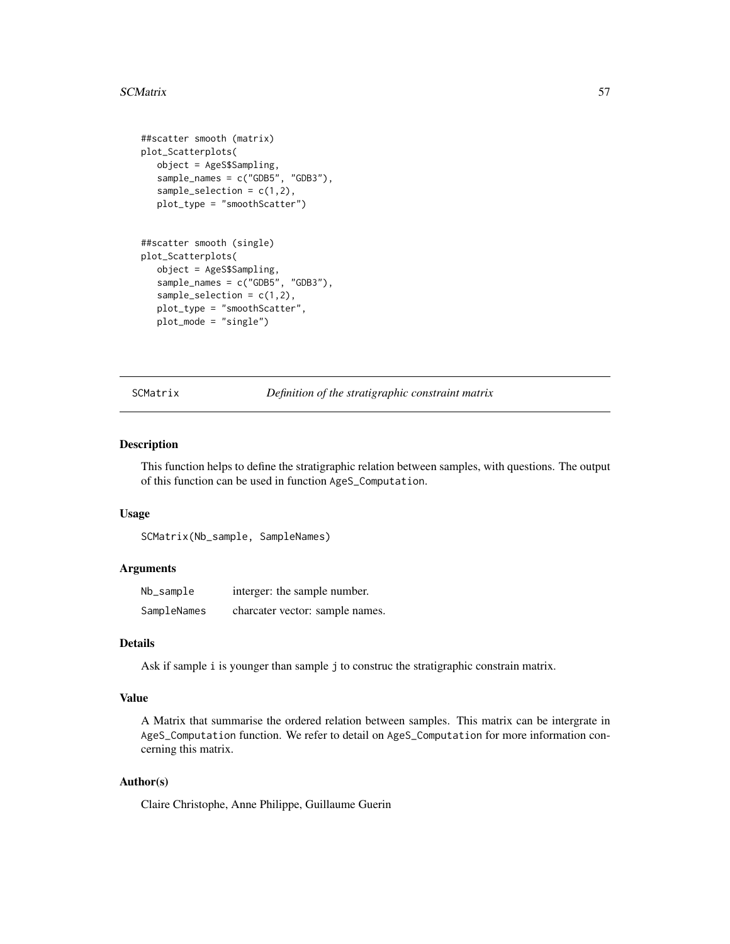#### <span id="page-56-0"></span>SCMatrix 57

```
##scatter smooth (matrix)
plot_Scatterplots(
  object = AgeS$Sampling,
  sample_names = c("GDB5", "GDB3"),
  sample_selection = c(1,2),
  plot_type = "smoothScatter")
##scatter smooth (single)
plot_Scatterplots(
  object = AgeS$Sampling,
  sample_names = c("GDB5", "GDB3"),
  sample\_selection = c(1,2),
  plot_type = "smoothScatter",
  plot_mode = "single")
```
<span id="page-56-1"></span>SCMatrix *Definition of the stratigraphic constraint matrix*

#### Description

This function helps to define the stratigraphic relation between samples, with questions. The output of this function can be used in function AgeS\_Computation.

### Usage

SCMatrix(Nb\_sample, SampleNames)

## Arguments

| Nb_sample   | interger: the sample number.    |
|-------------|---------------------------------|
| SampleNames | charcater vector: sample names. |

## Details

Ask if sample i is younger than sample j to construc the stratigraphic constrain matrix.

#### Value

A Matrix that summarise the ordered relation between samples. This matrix can be intergrate in AgeS\_Computation function. We refer to detail on AgeS\_Computation for more information concerning this matrix.

## Author(s)

Claire Christophe, Anne Philippe, Guillaume Guerin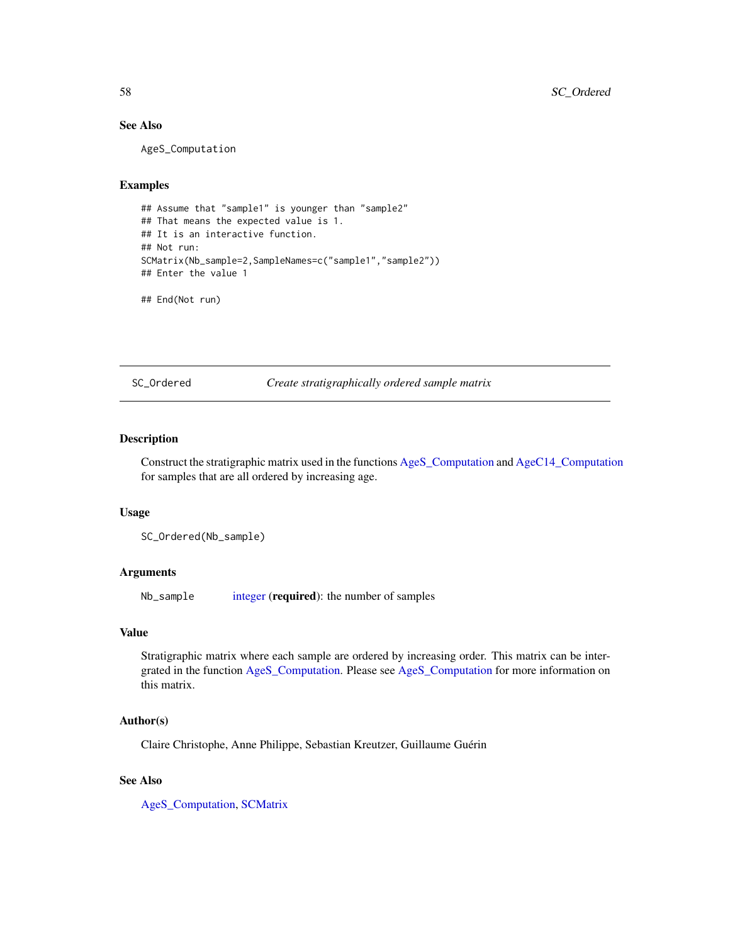## See Also

AgeS\_Computation

## Examples

```
## Assume that "sample1" is younger than "sample2"
## That means the expected value is 1.
## It is an interactive function.
## Not run:
SCMatrix(Nb_sample=2,SampleNames=c("sample1","sample2"))
## Enter the value 1
```
## End(Not run)

<span id="page-57-1"></span>SC\_Ordered *Create stratigraphically ordered sample matrix*

## Description

Construct the stratigraphic matrix used in the functions [AgeS\\_Computation](#page-6-1) and [AgeC14\\_Computation](#page-2-1) for samples that are all ordered by increasing age.

#### Usage

```
SC_Ordered(Nb_sample)
```
#### Arguments

Nb\_sample [integer](#page-0-0) (required): the number of samples

#### Value

Stratigraphic matrix where each sample are ordered by increasing order. This matrix can be intergrated in the function [AgeS\\_Computation.](#page-6-1) Please see [AgeS\\_Computation](#page-6-1) for more information on this matrix.

## Author(s)

Claire Christophe, Anne Philippe, Sebastian Kreutzer, Guillaume Guérin

## See Also

[AgeS\\_Computation,](#page-6-1) [SCMatrix](#page-56-1)

<span id="page-57-0"></span>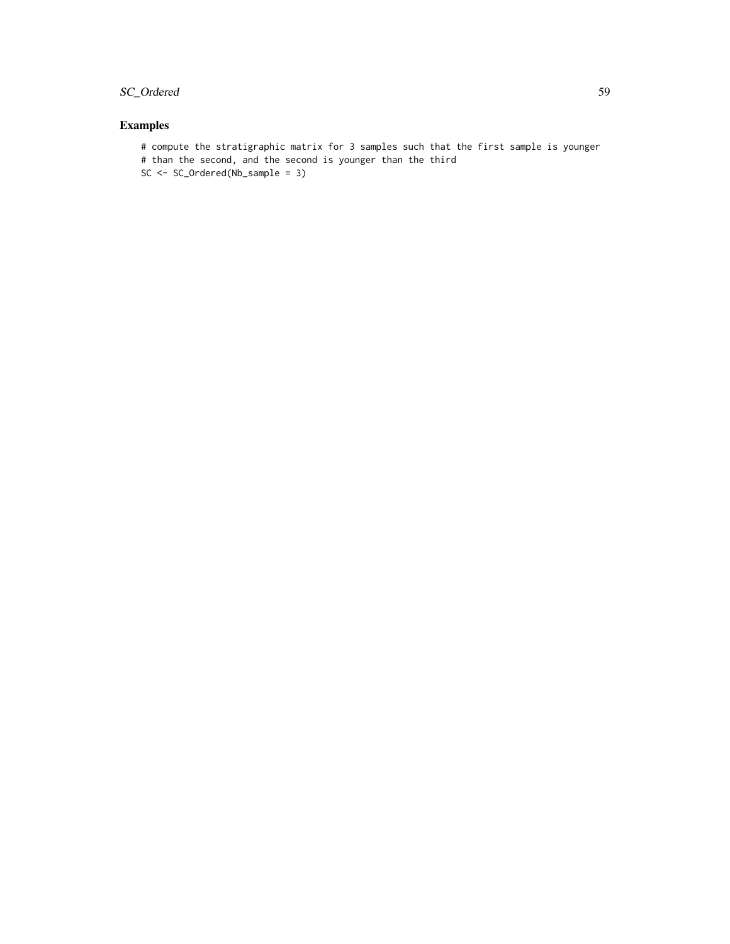## SC\_Ordered 59

## Examples

# compute the stratigraphic matrix for 3 samples such that the first sample is younger # than the second, and the second is younger than the third SC <- SC\_Ordered(Nb\_sample = 3)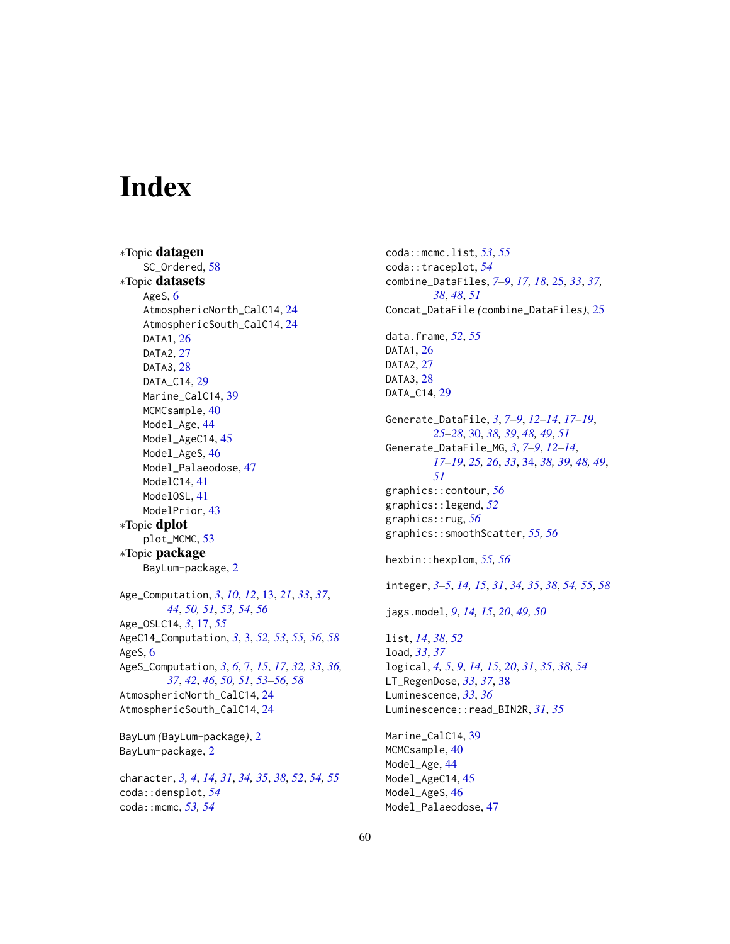# <span id="page-59-0"></span>**Index**

∗Topic datagen SC\_Ordered, [58](#page-57-0) ∗Topic datasets AgeS, [6](#page-5-0) AtmosphericNorth\_CalC14, [24](#page-23-0) AtmosphericSouth\_CalC14, [24](#page-23-0) DATA1, [26](#page-25-0) DATA2, [27](#page-26-0) DATA3, [28](#page-27-0) DATA\_C14, [29](#page-28-0) Marine\_CalC14, [39](#page-38-0) MCMCsample, [40](#page-39-0) Model\_Age, [44](#page-43-0) Model\_AgeC14, [45](#page-44-0) Model\_AgeS, [46](#page-45-0) Model\_Palaeodose, [47](#page-46-0) ModelC14, [41](#page-40-0) ModelOSL, [41](#page-40-0) ModelPrior, [43](#page-42-0) ∗Topic dplot plot\_MCMC, [53](#page-52-0) ∗Topic package BayLum-package, [2](#page-1-0) Age\_Computation, *[3](#page-2-0)*, *[10](#page-9-0)*, *[12](#page-11-0)*, [13,](#page-12-0) *[21](#page-20-0)*, *[33](#page-32-0)*, *[37](#page-36-0)*, *[44](#page-43-0)*, *[50,](#page-49-0) [51](#page-50-0)*, *[53,](#page-52-0) [54](#page-53-0)*, *[56](#page-55-0)* Age\_OSLC14, *[3](#page-2-0)*, [17,](#page-16-0) *[55](#page-54-0)* AgeC14\_Computation, *[3](#page-2-0)*, [3,](#page-2-0) *[52,](#page-51-0) [53](#page-52-0)*, *[55,](#page-54-0) [56](#page-55-0)*, *[58](#page-57-0)* AgeS, [6](#page-5-0) AgeS\_Computation, *[3](#page-2-0)*, *[6](#page-5-0)*, [7,](#page-6-0) *[15](#page-14-0)*, *[17](#page-16-0)*, *[32,](#page-31-0) [33](#page-32-0)*, *[36,](#page-35-0) [37](#page-36-0)*, *[42](#page-41-0)*, *[46](#page-45-0)*, *[50,](#page-49-0) [51](#page-50-0)*, *[53–](#page-52-0)[56](#page-55-0)*, *[58](#page-57-0)* AtmosphericNorth\_CalC14, [24](#page-23-0) AtmosphericSouth\_CalC14, [24](#page-23-0) BayLum *(*BayLum-package*)*, [2](#page-1-0)

BayLum-package, [2](#page-1-0) character, *[3,](#page-2-0) [4](#page-3-0)*, *[14](#page-13-0)*, *[31](#page-30-0)*, *[34,](#page-33-0) [35](#page-34-0)*, *[38](#page-37-0)*, *[52](#page-51-0)*, *[54,](#page-53-0) [55](#page-54-0)* coda::densplot, *[54](#page-53-0)* coda::mcmc, *[53,](#page-52-0) [54](#page-53-0)*

coda::mcmc.list, *[53](#page-52-0)*, *[55](#page-54-0)* coda::traceplot, *[54](#page-53-0)* combine\_DataFiles, *[7](#page-6-0)[–9](#page-8-0)*, *[17,](#page-16-0) [18](#page-17-0)*, [25,](#page-24-0) *[33](#page-32-0)*, *[37,](#page-36-0) [38](#page-37-0)*, *[48](#page-47-0)*, *[51](#page-50-0)* Concat\_DataFile *(*combine\_DataFiles*)*, [25](#page-24-0) data.frame, *[52](#page-51-0)*, *[55](#page-54-0)* DATA1, [26](#page-25-0) DATA2, [27](#page-26-0) DATA3, [28](#page-27-0) DATA\_C14, [29](#page-28-0) Generate\_DataFile, *[3](#page-2-0)*, *[7](#page-6-0)[–9](#page-8-0)*, *[12](#page-11-0)[–14](#page-13-0)*, *[17](#page-16-0)[–19](#page-18-0)*, *[25](#page-24-0)[–28](#page-27-0)*, [30,](#page-29-0) *[38,](#page-37-0) [39](#page-38-0)*, *[48,](#page-47-0) [49](#page-48-0)*, *[51](#page-50-0)* Generate\_DataFile\_MG, *[3](#page-2-0)*, *[7](#page-6-0)[–9](#page-8-0)*, *[12](#page-11-0)[–14](#page-13-0)*, *[17](#page-16-0)[–19](#page-18-0)*, *[25,](#page-24-0) [26](#page-25-0)*, *[33](#page-32-0)*, [34,](#page-33-0) *[38,](#page-37-0) [39](#page-38-0)*, *[48,](#page-47-0) [49](#page-48-0)*, *[51](#page-50-0)* graphics::contour, *[56](#page-55-0)* graphics::legend, *[52](#page-51-0)* graphics::rug, *[56](#page-55-0)* graphics::smoothScatter, *[55,](#page-54-0) [56](#page-55-0)* hexbin::hexplom, *[55,](#page-54-0) [56](#page-55-0)* integer, *[3](#page-2-0)[–5](#page-4-0)*, *[14,](#page-13-0) [15](#page-14-0)*, *[31](#page-30-0)*, *[34,](#page-33-0) [35](#page-34-0)*, *[38](#page-37-0)*, *[54,](#page-53-0) [55](#page-54-0)*, *[58](#page-57-0)* jags.model, *[9](#page-8-0)*, *[14,](#page-13-0) [15](#page-14-0)*, *[20](#page-19-0)*, *[49,](#page-48-0) [50](#page-49-0)* list, *[14](#page-13-0)*, *[38](#page-37-0)*, *[52](#page-51-0)* load, *[33](#page-32-0)*, *[37](#page-36-0)* logical, *[4,](#page-3-0) [5](#page-4-0)*, *[9](#page-8-0)*, *[14,](#page-13-0) [15](#page-14-0)*, *[20](#page-19-0)*, *[31](#page-30-0)*, *[35](#page-34-0)*, *[38](#page-37-0)*, *[54](#page-53-0)* LT\_RegenDose, *[33](#page-32-0)*, *[37](#page-36-0)*, [38](#page-37-0) Luminescence, *[33](#page-32-0)*, *[36](#page-35-0)* Luminescence::read\_BIN2R, *[31](#page-30-0)*, *[35](#page-34-0)* Marine\_CalC14, [39](#page-38-0) MCMCsample, [40](#page-39-0) Model\_Age, [44](#page-43-0) Model\_AgeC14, [45](#page-44-0) Model\_AgeS, [46](#page-45-0) Model\_Palaeodose, [47](#page-46-0)